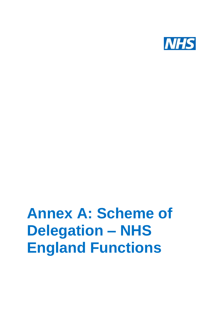

# **Annex A: Scheme of Delegation – NHS England Functions**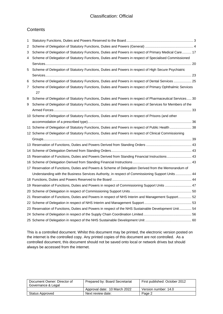#### **Contents**

| 1 |                                                                                                          |  |
|---|----------------------------------------------------------------------------------------------------------|--|
| 2 |                                                                                                          |  |
| 3 | Scheme of Delegation of Statutory Functions, Duties and Powers in respect of Primary Medical Care 17     |  |
| 4 | Scheme of Delegation of Statutory Functions, Duties and Powers in respect of Specialised Commissioned    |  |
|   |                                                                                                          |  |
| 5 | Scheme of Delegation of Statutory Functions, Duties and Powers in respect of High Secure Psychiatric     |  |
|   |                                                                                                          |  |
| 6 | Scheme of Delegation of Statutory Functions, Duties and Powers in respect of Dental Services  25         |  |
| 7 | Scheme of Delegation of Statutory Functions, Duties and Powers in respect of Primary Ophthalmic Services |  |
|   | 27                                                                                                       |  |
| 8 | Scheme of Delegation of Statutory Functions, Duties and Powers in respect of Pharmaceutical Services 30  |  |
| 9 | Scheme of Delegation of Statutory Functions, Duties and Powers in respect of Services for Members of the |  |
|   |                                                                                                          |  |
|   | 10 Scheme of Delegation of Statutory Functions, Duties and Powers in respect of Prisons (and other       |  |
|   |                                                                                                          |  |
|   | 11 Scheme of Delegation of Statutory Functions, Duties and Powers in respect of Public Health  38        |  |
|   |                                                                                                          |  |
|   | 12 Scheme of Delegation of Statutory Functions, Duties and Powers in respect of Clinical Commissioning   |  |
|   |                                                                                                          |  |
|   |                                                                                                          |  |
|   |                                                                                                          |  |
|   | 15 Reservation of Functions, Duties and Powers Derived from Standing Financial Instructions 43           |  |
|   |                                                                                                          |  |
|   | 17 Reservation of Functions, Duties and Powers & Scheme of Delegation Derived from the Memorandum of     |  |
|   | Understanding with the Business Services Authority, in respect of Commissioning Support Units 44         |  |
|   |                                                                                                          |  |
|   | 19 Reservation of Functions, Duties and Powers in respect of Commissioning Support Units  47             |  |
|   |                                                                                                          |  |
|   | 21 Reservation of Functions, Duties and Powers in respect of NHS Interim and Management Support 52       |  |
|   |                                                                                                          |  |
|   | 23 Reservation of Functions, Duties and Powers in respect of the NHS Sustainable Development Unit 54     |  |
|   |                                                                                                          |  |

This is a controlled document. Whilst this document may be printed, the electronic version posted on the internet is the controlled copy. Any printed copies of this document are not controlled. As a controlled document, this document should not be saved onto local or network drives but should always be accessed from the internet.

| Document Owner: Director of<br>Governance & Legal | Prepared by: Board Secretariat | First published: October 2012 |
|---------------------------------------------------|--------------------------------|-------------------------------|
|                                                   | Approval date: 10 March 2022   | Version number: 14.0          |
| Status Approved                                   | Next review date:              | Page 2                        |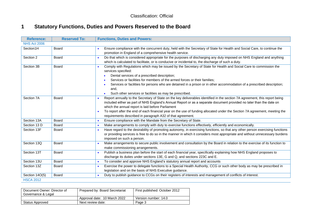### **1 Statutory Functions, Duties and Powers Reserved to the Board**

| <b>Reference:</b>   | <b>Reserved To:</b> | <b>Functions, Duties and Powers:</b>                                                                                                                                                                                                                                                                                                                                                                                                                                                                                          |
|---------------------|---------------------|-------------------------------------------------------------------------------------------------------------------------------------------------------------------------------------------------------------------------------------------------------------------------------------------------------------------------------------------------------------------------------------------------------------------------------------------------------------------------------------------------------------------------------|
| <b>NHS Act 2006</b> |                     |                                                                                                                                                                                                                                                                                                                                                                                                                                                                                                                               |
| Section1H           | <b>Board</b>        | Ensure compliance with the concurrent duty, held with the Secretary of State for Health and Social Care, to continue the<br>promotion in England of a comprehensive health service.                                                                                                                                                                                                                                                                                                                                           |
| Section 2           | <b>Board</b>        | Do that which is considered appropriate for the purposes of discharging any duty imposed on NHS England and anything<br>which is calculated to facilitate, or is conducive or incidental to, the discharge of such a duty.                                                                                                                                                                                                                                                                                                    |
| Section 3B          | Board               | Comply with Regulations which may be issued by the Secretary of State for Health and Social Care to commission the<br>$\bullet$<br>services specified:<br>Dental services of a prescribed description;<br>Services or facilities for members of the armed forces or their families;<br>Services or facilities for persons who are detained in a prison or in other accommodation of a prescribed description;<br>and,<br>Such other services or facilities as may be prescribed.                                              |
| Section 7A          | Board               | Report annually to the Secretary of State on the key deliverables identified in the section 7A agreement, this report being<br>$\bullet$<br>included either as part of NHS England's Annual Report or as a separate document provided no later than the date on<br>which the annual report is laid before Parliament<br>To report after the end of each financial year on the use of funding allocated under the Section 7A agreement, meeting the<br>$\bullet$<br>requirements described in paragraph A32 of that agreement. |
| Section 13A         | <b>Board</b>        | Ensure compliance with the Mandate from the Secretary of State.                                                                                                                                                                                                                                                                                                                                                                                                                                                               |
| Section 13 D        | <b>Board</b>        | Make arrangements to comply with duty to exercise functions effectively, efficiently and economically.<br>$\bullet$                                                                                                                                                                                                                                                                                                                                                                                                           |
| Section 13F         | Board               | Have regard to the desirability of promoting autonomy, in exercising functions, so that any other person exercising functions<br>$\bullet$<br>or providing services is free to do so in the manner in which it considers most appropriate and without unnecessary burdens<br>imposed on such a person.                                                                                                                                                                                                                        |
| Section 13Q         | Board               | Make arrangements to secure public involvement and consultation by the Board in relation to the exercise of its function to<br>make commissioning arrangements.                                                                                                                                                                                                                                                                                                                                                               |
| Section 13T         | <b>Board</b>        | Publish a business plan before the start of each financial year, specifically explaining how NHS England proposes to<br>$\bullet$<br>discharge its duties under sections 13E, G and Q, and sections 223C and E.                                                                                                                                                                                                                                                                                                               |
| Section 13U         | <b>Board</b>        | To consider and approve NHS England's statutory annual report and accounts<br>$\bullet$                                                                                                                                                                                                                                                                                                                                                                                                                                       |
| Section 13Z         | Board               | Exercise the power to delegate functions to a Special Health Authority, CCG or such other body as may be prescribed in<br>$\bullet$<br>legislation and on the basis of NHS Executive guidance.                                                                                                                                                                                                                                                                                                                                |
| Section 14O(5)      | <b>Board</b>        | Duty to publish guidance to CCGs on their registers of interests and management of conflicts of interest.<br>$\bullet$                                                                                                                                                                                                                                                                                                                                                                                                        |
| <b>HSCA 2012</b>    |                     |                                                                                                                                                                                                                                                                                                                                                                                                                                                                                                                               |

<span id="page-2-0"></span>

| Document Owner: Director of<br>Governance & Legal | Prepared by: Board Secretariat | First published: October 2012 |
|---------------------------------------------------|--------------------------------|-------------------------------|
|                                                   | Approval date: 10 March 2022   | Version number: 14.0          |
| <b>Status Approved</b>                            | Next review date:              | Page 3                        |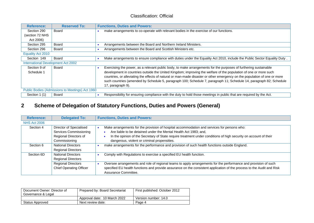| <b>Reference:</b>                               | <b>Reserved To:</b>                |  | <b>Functions, Duties and Powers:</b>                                                                                      |  |
|-------------------------------------------------|------------------------------------|--|---------------------------------------------------------------------------------------------------------------------------|--|
| Section 290                                     | Board                              |  | make arrangements to co-operate with relevant bodies in the exercise of our functions.                                    |  |
| (section 72 NHS                                 |                                    |  |                                                                                                                           |  |
| Act 2006)                                       |                                    |  |                                                                                                                           |  |
| Section 295                                     | Board                              |  | Arrangements between the Board and Northern Ireland Ministers.                                                            |  |
| Section 296                                     | Board                              |  | Arrangements between the Board and Scottish Ministers etc.                                                                |  |
| Equality Act 2010                               |                                    |  |                                                                                                                           |  |
| Section 149                                     | Board                              |  | Make arrangements to ensure compliance with duties under the Equality Act 2010, include the Public Sector Equality Duty.  |  |
|                                                 | International Development Act 2002 |  |                                                                                                                           |  |
| Section 9 of                                    | Board                              |  | Exercising the power, as a relevant public body, to make arrangements for the purposes of furthering sustainable          |  |
| Schedule 1                                      |                                    |  | development in countries outside the United Kingdom; improving the welfare of the population of one or more such          |  |
|                                                 |                                    |  | countries, or alleviating the effects of natural or man-made disaster or other emergency on the population of one or more |  |
|                                                 |                                    |  | such countries (amended by Schedule 5, paragraph 100; Schedule 7, paragraph 11; Schedule 14, paragraph 82; Schedule       |  |
|                                                 |                                    |  | 17, paragraph 9).                                                                                                         |  |
| Public Bodies (Admissions to Meetings) Act 1960 |                                    |  |                                                                                                                           |  |
| Section 1 (1)                                   | Board                              |  | Responsibility for ensuring compliance with the duty to hold those meetings in public that are required by the Act.       |  |

# **2 Scheme of Delegation of Statutory Functions, Duties and Powers (General)**

| <b>Reference:</b>   | <b>Delegated To:</b>           | <b>Functions, Duties and Powers:</b>                                                                                   |
|---------------------|--------------------------------|------------------------------------------------------------------------------------------------------------------------|
| <b>NHS Act 2006</b> |                                |                                                                                                                        |
| Section 4           | Director of Specialised        | Make arrangements for the provision of hospital accommodation and services for persons who:                            |
|                     | Services Commissioning         | Are liable to be detained under the Mental Health Act 1983; and,                                                       |
|                     | Regional Directors of          | In the opinion of the Secretary of State require treatment under conditions of high security on account of their       |
|                     | Commissioning                  | dangerous, violent or criminal propensities.                                                                           |
| Section 6           | <b>National Directors</b>      | make arrangements for the performance and provision of such health functions outside England.                          |
|                     | <b>Regional Directors</b>      |                                                                                                                        |
| Section 6D          | <b>National Directors</b>      | Comply with Regulations to exercise a specified EU health function.                                                    |
|                     | <b>Regional Directors</b>      |                                                                                                                        |
|                     | <b>Regional Directors</b>      | Oversee arrangements and role of regional teams to apply arrangements for the performance and provision of such        |
|                     | <b>Chief Operating Officer</b> | specified EU health functions and provide assurance on the consistent application of the process to the Audit and Risk |
|                     |                                | Assurance Committee.                                                                                                   |

<span id="page-3-0"></span>

| Document Owner: Director of<br>Governance & Legal | Prepared by: Board Secretariat | First published: October 2012 |
|---------------------------------------------------|--------------------------------|-------------------------------|
|                                                   | Approval date: 10 March 2022   | Version number: 14.0          |
| Status Approved                                   | Next review date:              | Page 4                        |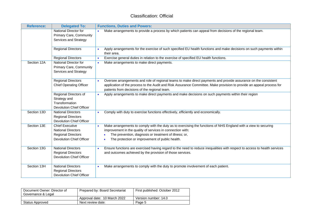| <b>Reference:</b> | <b>Delegated To:</b>                                                                                                | <b>Functions, Duties and Powers:</b>                                                                                                                                                                                                                                                                    |
|-------------------|---------------------------------------------------------------------------------------------------------------------|---------------------------------------------------------------------------------------------------------------------------------------------------------------------------------------------------------------------------------------------------------------------------------------------------------|
|                   | National Director for<br>Primary Care, Community<br>Services and Strategy                                           | Make arrangements to provide a process by which patients can appeal from decisions of the regional team.                                                                                                                                                                                                |
|                   | <b>Regional Directors</b>                                                                                           | Apply arrangements for the exercise of such specified EU health functions and make decisions on such payments within<br>their area.                                                                                                                                                                     |
|                   | <b>Regional Directors</b>                                                                                           | Exercise general duties in relation to the exercise of specified EU health functions.<br>$\bullet$                                                                                                                                                                                                      |
| Section 12A       | National Director for<br>Primary Care, Community<br>Services and Strategy                                           | Make arrangements to make direct payments.<br>$\bullet$                                                                                                                                                                                                                                                 |
|                   | <b>Regional Directors</b><br><b>Chief Operating Officer</b>                                                         | Oversee arrangements and role of regional teams to make direct payments and provide assurance on the consistent<br>application of the process to the Audit and Risk Assurance Committee. Make provision to provide an appeal process for<br>patients from decisions of the regional team.               |
|                   | Regional Directors of<br>Strategy and<br>Transformation<br><b>Devolution Chief Officer</b>                          | Apply arrangements to make direct payments and make decisions on such payments within their region<br>$\bullet$                                                                                                                                                                                         |
| Section 13D       | <b>National Directors</b><br><b>Regional Directors</b><br><b>Devolution Chief Officer</b>                           | Comply with duty to exercise functions effectively, efficiently and economically.                                                                                                                                                                                                                       |
| Section 13E       | <b>Chief Executive</b><br><b>National Directors</b><br><b>Regional Directors</b><br><b>Devolution Chief Officer</b> | Make arrangements to comply with the duty as to exercising the functions of NHS England with a view to securing<br>$\bullet$<br>improvement in the quality of services in connection with:<br>The prevention, diagnosis or treatment of illness; or,<br>The protection or improvement of public health. |
| Section 13G       | <b>National Directors</b><br><b>Regional Directors</b><br><b>Devolution Chief Officer</b>                           | Ensure functions are exercised having regard to the need to reduce inequalities with respect to access to health services<br>and outcomes achieved by the provision of those services.                                                                                                                  |
| Section 13H       | <b>National Directors</b><br><b>Regional Directors</b><br><b>Devolution Chief Officer</b>                           | Make arrangements to comply with the duty to promote involvement of each patient.                                                                                                                                                                                                                       |

| Document Owner: Director of<br>Governance & Legal | Prepared by: Board Secretariat | First published: October 2012 |
|---------------------------------------------------|--------------------------------|-------------------------------|
|                                                   | Approval date: 10 March 2022   | Version number: 14.0          |
| Status Approved                                   | Next review date:              | Page 5                        |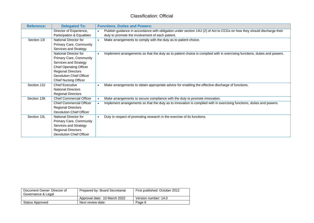| <b>Reference:</b> | <b>Delegated To:</b>            |           | <b>Functions, Duties and Powers:</b>                                                                                      |
|-------------------|---------------------------------|-----------|---------------------------------------------------------------------------------------------------------------------------|
|                   | Director of Experience,         | $\bullet$ | Publish guidance in accordance with obligation under section 14U (2) of Act to CCGs on how they should discharge their    |
|                   | Participation & Equalities      |           | duty to promote the involvement of each patient.                                                                          |
| Section 13I       | National Director for           | $\bullet$ | Make arrangements to comply with the duty as to patient choice.                                                           |
|                   | Primary Care, Community         |           |                                                                                                                           |
|                   | Services and Strategy           |           |                                                                                                                           |
|                   | National Director for           | $\bullet$ | Implement arrangements so that the duty as to patient choice is complied with in exercising functions, duties and powers. |
|                   | Primary Care, Community         |           |                                                                                                                           |
|                   | Services and Strategy           |           |                                                                                                                           |
|                   | <b>Chief Operating Officer</b>  |           |                                                                                                                           |
|                   | <b>Regional Directors</b>       |           |                                                                                                                           |
|                   | Devolution Chief Officer        |           |                                                                                                                           |
|                   | <b>Chief Nursing Officer</b>    |           |                                                                                                                           |
| Section 13J       | <b>Chief Executive</b>          | $\bullet$ | Make arrangements to obtain appropriate advice for enabling the effective discharge of functions.                         |
|                   | <b>National Directors</b>       |           |                                                                                                                           |
|                   | <b>Regional Directors</b>       |           |                                                                                                                           |
| Section 13K       | <b>Chief Commercial Officer</b> | $\bullet$ | Make arrangements to secure compliance with the duty to promote innovation.                                               |
|                   | <b>Chief Commercial Officer</b> | $\bullet$ | Implement arrangements so that the duty as to innovation is complied with in exercising functions, duties and powers.     |
|                   | <b>Regional Directors</b>       |           |                                                                                                                           |
|                   | Devolution Chief Officer        |           |                                                                                                                           |
| Section 13L       | National Director for           | $\bullet$ | Duty in respect of promoting research in the exercise of its functions.                                                   |
|                   | <b>Primary Care, Community</b>  |           |                                                                                                                           |
|                   | Services and Strategy           |           |                                                                                                                           |
|                   | <b>Regional Directors</b>       |           |                                                                                                                           |
|                   | <b>Devolution Chief Officer</b> |           |                                                                                                                           |

| Document Owner: Director of<br>Governance & Legal | Prepared by: Board Secretariat | First published: October 2012 |
|---------------------------------------------------|--------------------------------|-------------------------------|
|                                                   | Approval date: 10 March 2022   | Version number: 14.0          |
| Status Approved                                   | Next review date:              | Page 6                        |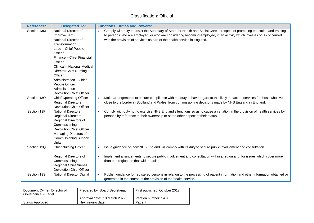| <b>Reference:</b>          | <b>Delegated To:</b>                                                                                                                                                                                                                                                                                                           | <b>Functions, Duties and Powers:</b>                                                                                                                                                                                                                                                                                                                                                                                                              |
|----------------------------|--------------------------------------------------------------------------------------------------------------------------------------------------------------------------------------------------------------------------------------------------------------------------------------------------------------------------------|---------------------------------------------------------------------------------------------------------------------------------------------------------------------------------------------------------------------------------------------------------------------------------------------------------------------------------------------------------------------------------------------------------------------------------------------------|
| Section 13M                | National Director of<br>Improvement<br>National Director of<br>Transformation<br>Lead - Chief People<br>Officer<br>Finance - Chief Financial<br>Officer<br>Clinical - National Medical<br>Director/Chief Nursing<br>Officer<br>Administration - Chief<br>People Officer<br>Administration -<br><b>Devolution Chief Officer</b> | Comply with duty to assist the Secretary of State for Health and Social Care in respect of promoting education and training<br>to persons who are employed, or who are considering becoming employed, in an activity which involves or is concerned<br>with the provision of services as part of the health service in England.                                                                                                                   |
| Section 13O<br>Section 13P | <b>Chief Operating Officer</b><br><b>Regional Directors</b><br><b>Devolution Chief Officer</b><br><b>National Directors</b><br><b>Regional Directors</b><br>Regional Directors of<br>Commissioning<br><b>Devolution Chief Officer</b><br>Managing Directors of<br><b>Commissioning Support</b><br>Units                        | Make arrangements to ensure compliance with the duty to have regard to the likely impact on services for those who live<br>close to the border in Scotland and Wales, from commissioning decisions made by NHS England in England.<br>Comply with duty not to exercise NHS England's functions so as to cause a variation in the provision of health services by<br>persons by reference to their ownership or some other aspect of their status. |
| Section 13Q                | <b>Chief Nursing Officer</b><br>Regional Directors of<br>Commissioning<br><b>Regional Chief Nurses</b><br><b>Devolution Chief Officer</b>                                                                                                                                                                                      | Issue guidance on how NHS England will comply with its duty to secure public involvement and consultation.<br>Implement arrangements to secure public involvement and consultation within a region and, for issues which cover more<br>than one region, on that wider basis                                                                                                                                                                       |
| Section 13S                | <b>National Director Digital</b>                                                                                                                                                                                                                                                                                               | Publish guidance for registered persons in relation to the processing of patient information and other information obtained or<br>generated in the course of the provision of the health service.                                                                                                                                                                                                                                                 |

| Document Owner: Director of<br>Governance & Legal | Prepared by: Board Secretariat | First published: October 2012 |
|---------------------------------------------------|--------------------------------|-------------------------------|
|                                                   | Approval date: 10 March 2022   | Version number: 14.0          |
| Status Approved                                   | Next review date:              | Page 7                        |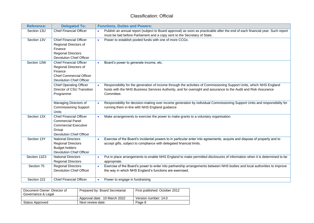| <b>Reference:</b> | <b>Delegated To:</b>                                                                                                                     | <b>Functions, Duties and Powers:</b>                                                                                                                                                                                                                  |  |
|-------------------|------------------------------------------------------------------------------------------------------------------------------------------|-------------------------------------------------------------------------------------------------------------------------------------------------------------------------------------------------------------------------------------------------------|--|
| Section 13U       | <b>Chief Financial Officer</b>                                                                                                           | Publish an annual report (subject to Board approval) as soon as practicable after the end of each financial year. Such report<br>must be laid before Parliament and a copy sent to the Secretary of State.                                            |  |
| Section 13V       | <b>Chief Financial Officer</b><br>Regional Directors of<br>Finance<br><b>Regional Directors</b><br><b>Devolution Chief Officer</b>       | Power to establish pooled funds with one of more CCGs.                                                                                                                                                                                                |  |
| Section 13W       | <b>Chief Financial Officer</b><br>Regional Directors of<br>Finance<br><b>Chief Commercial Officer</b><br><b>Devolution Chief Officer</b> | Board's power to generate income, etc.<br>$\bullet$                                                                                                                                                                                                   |  |
|                   | <b>Chief Operating Officer</b><br>Director of CSU Transition<br>Programme                                                                | Responsibility for the generation of income through the activities of Commissioning Support Units, which NHS England<br>hosts with the NHS Business Services Authority, and for oversight and assurance to the Audit and Risk Assurance<br>Committee. |  |
|                   | Managing Directors of<br><b>Commissioning Support</b><br><b>Units</b>                                                                    | Responsibility for decision-making over income generation by individual Commissioning Support Units and responsibility for<br>running them in-line with NHS England guidance                                                                          |  |
| Section 13X       | <b>Chief Financial Officer</b><br><b>Commercial Panel</b><br><b>Commercial Executive</b><br>Group<br><b>Devolution Chief Officer</b>     | Make arrangements to exercise the power to make grants to a voluntary organisation.                                                                                                                                                                   |  |
| Section 13Y       | <b>National Directors</b><br><b>Regional Directors</b><br><b>Budget holders</b><br><b>Devolution Chief Officer</b>                       | Exercise of the Board's incidental powers to in particular enter into agreements, acquire and dispose of property and to<br>$\bullet$<br>accept gifts, subject to compliance with delegated financial limits.                                         |  |
| Section 13Z3      | <b>National Directors</b><br><b>Regional Directors</b>                                                                                   | Put in place arrangements to enable NHS England to make permitted disclosures of information when it is determined to be<br>appropriate.                                                                                                              |  |
| Section 75        | <b>Regional Directors</b><br><b>Devolution Chief Officer</b>                                                                             | Exercise of the Board's power to enter into partnership arrangements between NHS bodies and local authorities to improve<br>the way in which NHS England's functions are exercised.                                                                   |  |
| Section 222       | <b>Chief Financial Officer</b>                                                                                                           | Power to engage in fundraising<br>$\bullet$                                                                                                                                                                                                           |  |

| Document Owner: Director of<br>Governance & Legal | Prepared by: Board Secretariat | First published: October 2012 |
|---------------------------------------------------|--------------------------------|-------------------------------|
|                                                   | Approval date: 10 March 2022   | Version number: 14.0          |
| Status Approved                                   | Next review date:              | Page 8                        |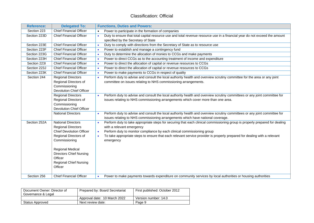| <b>Reference:</b> | <b>Delegated To:</b>                             | <b>Functions, Duties and Powers:</b>                                                                                        |
|-------------------|--------------------------------------------------|-----------------------------------------------------------------------------------------------------------------------------|
| Section 223       | <b>Chief Financial Officer</b>                   | Power to participate in the formation of companies                                                                          |
| Section 223D      | <b>Chief Financial Officer</b>                   | Duty to ensure that total capital resource use and total revenue resource use in a financial year do not exceed the amount  |
|                   |                                                  | specified by the Secretary of State                                                                                         |
| Section 223E      | <b>Chief Financial Officer</b>                   | Duty to comply with directions from the Secretary of State as to resource use                                               |
| Section 223F      | <b>Chief Financial Officer</b>                   | Power to establish and manage a contingency fund                                                                            |
| Section 223G      | <b>Chief Financial Officer</b>                   | Duty to determine the allocation of monies to CCGs and make payments                                                        |
| Section 223H      | <b>Chief Financial Officer</b>                   | Power to direct CCGs as to the accounting treatment of income and expenditure                                               |
| Section 223I      | <b>Chief Financial Officer</b>                   | Power to direct the allocation of capital or revenue resources to CCGs                                                      |
| Section 223J      | <b>Chief Financial Officer</b>                   | Power to direct the allocation of capital or revenue resources to CCGs                                                      |
| Section 223K      | <b>Chief Financial Officer</b>                   | Power to make payments to CCGs in respect of quality                                                                        |
| Section 244       | <b>Regional Directors</b>                        | Perform duty to advise and consult the local authority health and overview scrutiny committee for the area or any joint     |
|                   | Regional Directors of                            | committee on issues relating to NHS commissioning arrangements.                                                             |
|                   | Commissioning                                    |                                                                                                                             |
|                   | <b>Devolution Chief Officer</b>                  |                                                                                                                             |
|                   | <b>Regional Directors</b>                        | Perform duty to advise and consult the local authority health and overview scrutiny committees or any joint committee for   |
|                   | Regional Directors of                            | issues relating to NHS commissioning arrangements which cover more than one area.                                           |
|                   | Commissioning<br><b>Devolution Chief Officer</b> |                                                                                                                             |
|                   | <b>National Directors</b>                        | Perform duty to advise and consult the local authority health and overview scrutiny committees or any joint committee for   |
|                   |                                                  | issues relating to NHS commissioning arrangements which have national coverage.                                             |
| Section 252A      | <b>National Directors</b>                        | Perform duty to take appropriate steps for securing that each clinical commissioning group is properly prepared for dealing |
|                   | <b>Regional Directors</b>                        | with a relevant emergency                                                                                                   |
|                   | <b>Chief Devolution Officer</b>                  | Perform duty to monitor compliance by each clinical commissioning group<br>$\bullet$                                        |
|                   | Regional Directors of                            | To take appropriate steps to ensure that each relevant service provider is properly prepared for dealing with a relevant    |
|                   | Commissioning                                    | emergency                                                                                                                   |
|                   |                                                  |                                                                                                                             |
|                   | <b>Regional Medical</b>                          |                                                                                                                             |
|                   | <b>Directors Chief Nursing</b>                   |                                                                                                                             |
|                   | Officer                                          |                                                                                                                             |
|                   | <b>Regional Chief Nursing</b>                    |                                                                                                                             |
|                   | Officer                                          |                                                                                                                             |
|                   |                                                  |                                                                                                                             |
| Section 256       | <b>Chief Financial Officer</b>                   | Power to make payments towards expenditure on community services by local authorities or housing authorities                |

| Document Owner: Director of<br>Governance & Legal | Prepared by: Board Secretariat | First published: October 2012 |
|---------------------------------------------------|--------------------------------|-------------------------------|
|                                                   | Approval date: 10 March 2022   | Version number: 14.0          |
| Status Approved                                   | Next review date:              | Page 9                        |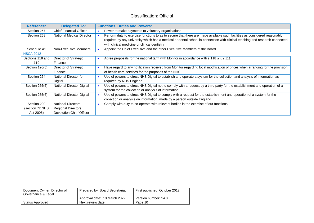| <b>Reference:</b> | <b>Delegated To:</b>            | <b>Functions, Duties and Powers:</b>                                                                                                       |
|-------------------|---------------------------------|--------------------------------------------------------------------------------------------------------------------------------------------|
| Section 257       | <b>Chief Financial Officer</b>  | Power to make payments to voluntary organisations<br>$\bullet$                                                                             |
| Section 258       | National Medical Director       | Perform duty to exercise functions to as to secure that there are made available such facilities as considered reasonably                  |
|                   |                                 | required by any university which has a medical or dental school in connection with clinical teaching and research connected                |
|                   |                                 | with clinical medicine or clinical dentistry                                                                                               |
| Schedule A1       | Non-Executive Members           | Appoint the Chief Executive and the other Executive Members of the Board.                                                                  |
| <b>HSCA 2012</b>  |                                 |                                                                                                                                            |
| Sections 118 and  | Director of Strategic           | Agree proposals for the national tariff with Monitor in accordance with s 118 and s 119.                                                   |
| 119               | Finance                         |                                                                                                                                            |
| Section 126(5)    | Director of Strategic           | Have regard to any notification received from Monitor regarding local modification of prices when arranging for the provision<br>$\bullet$ |
|                   | Finance                         | of health care services for the purposes of the NHS.                                                                                       |
| Section 254       | National Director for           | Use of powers to direct NHS Digital to establish and operate a system for the collection and analysis of information as<br>$\bullet$       |
|                   | Digital                         | required by NHS England.                                                                                                                   |
| Section 255(5)    | National Director Digital       | Use of powers to direct NHS Digital not to comply with a request by a third party for the establishment and operation of a                 |
|                   |                                 | system for the collection or analysis of information                                                                                       |
| Section 255(6)    | National Director Digital       | Use of powers to direct NHS Digital to comply with a request for the establishment and operation of a system for the                       |
|                   |                                 | collection or analysis on information, made by a person outside England                                                                    |
| Section 290       | <b>National Directors</b>       | Comply with duty to co-operate with relevant bodies in the exercise of our functions                                                       |
| (section 72 NHS   | <b>Regional Directors</b>       |                                                                                                                                            |
| Act 2006)         | <b>Devolution Chief Officer</b> |                                                                                                                                            |

| Document Owner: Director of<br>Governance & Legal | Prepared by: Board Secretariat | First published: October 2012 |
|---------------------------------------------------|--------------------------------|-------------------------------|
|                                                   | Approval date: 10 March 2022   | Version number: 14.0          |
| Status Approved                                   | Next review date:              | Page 10                       |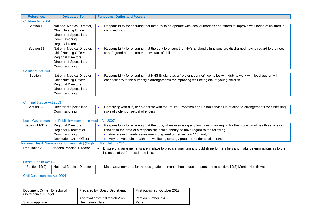| <b>Reference:</b>  | <b>Delegated To:</b>             | <b>Functions, Duties and Powers:</b>                                                                                           |
|--------------------|----------------------------------|--------------------------------------------------------------------------------------------------------------------------------|
| Children Act 2004  |                                  |                                                                                                                                |
| Section 10         | National Medical Director,       | Responsibility for ensuring that the duty to co-operate with local authorities and others to improve well-being of children is |
|                    | <b>Chief Nursing Officer</b>     | complied with.                                                                                                                 |
|                    | Director of Specialised          |                                                                                                                                |
|                    | Commissioning                    |                                                                                                                                |
|                    | <b>Regional Directors</b>        |                                                                                                                                |
| Section 11         | National Medical Director,       | Responsibility for ensuring that the duty to ensure that NHS England's functions are discharged having regard to the need      |
|                    | <b>Chief Nursing Officer</b>     | to safeguard and promote the welfare of children.                                                                              |
|                    | <b>Regional Directors</b>        |                                                                                                                                |
|                    | Director of Specialised          |                                                                                                                                |
|                    | Commissioning                    |                                                                                                                                |
| Childcare Act 2006 |                                  |                                                                                                                                |
| Section 4          | <b>National Medical Director</b> | Responsibility for ensuring that NHS England as a "relevant partner", complies with duty to work with local authority in       |
|                    | <b>Chief Nursing Officer</b>     | connection with the authority's arrangements for improving well-being etc. of young children.                                  |
|                    | <b>Regional Directors</b>        |                                                                                                                                |
|                    | Director of Specialised          |                                                                                                                                |
|                    | Commissioning                    |                                                                                                                                |

#### Criminal Justice Act 2003

| Section 325 | Director of Specialised | Complying with duty to co-operate with the Police, Probation and Prison services in relation to arrangements for assessing |
|-------------|-------------------------|----------------------------------------------------------------------------------------------------------------------------|
|             | Commissioning           | risks of violent or sexual offenders                                                                                       |

| Local Government and Public Involvement in Health Act 2007            |                           |  |                                                                                                                               |  |
|-----------------------------------------------------------------------|---------------------------|--|-------------------------------------------------------------------------------------------------------------------------------|--|
| Section 116B(2)                                                       | <b>Regional Directors</b> |  | Responsibility for ensuring that the duty, when exercising any functions in arranging for the provision of health services in |  |
|                                                                       | Regional Directors of     |  | relation to the area of a responsible local authority, to have regard to the following:                                       |  |
|                                                                       | Commissioning             |  | Any relevant needs assessment prepared under section 116; and,                                                                |  |
|                                                                       | Devolution Chief Officer  |  | Any relevant joint health and wellbeing strategy prepared under section 116A.                                                 |  |
| National Health Service (Performers Lists) (England) Regulations 2013 |                           |  |                                                                                                                               |  |
| Regulation 3                                                          | National Medical Director |  | Ensure that arrangements are in place to prepare, maintain and publish performers lists and make determinations as to the     |  |
|                                                                       |                           |  | inclusion of performers in the lists.                                                                                         |  |

| Mental Health Act 1983       |                           |  |                                                                                                             |  |  |
|------------------------------|---------------------------|--|-------------------------------------------------------------------------------------------------------------|--|--|
| Section 12(2)                | National Medical Director |  | Make arrangements for the designation of mental health doctors pursuant to section 12(2) Mental Health Act. |  |  |
|                              |                           |  |                                                                                                             |  |  |
| Civil Contingencies Act 2004 |                           |  |                                                                                                             |  |  |

| Document Owner: Director of<br>Governance & Legal | Prepared by: Board Secretariat | First published: October 2012 |
|---------------------------------------------------|--------------------------------|-------------------------------|
|                                                   | Approval date: 10 March 2022   | Version number: 14.0          |
| Status Approved                                   | Next review date:              | Page 11                       |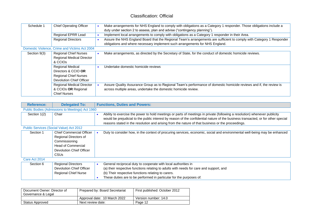| Schedule 1   | <b>Chief Operating Officer</b>                | Make arrangements for NHS England to comply with obligations as a Category 1 responder. Those obligations include a   |
|--------------|-----------------------------------------------|-----------------------------------------------------------------------------------------------------------------------|
|              |                                               |                                                                                                                       |
|              |                                               | duty under section 2 to assess, plan and advise ("contingency planning").                                             |
|              | Regional EPRR Lead                            | Implement local arrangements to comply with obligations as a Category 1 responder in their Area.                      |
|              | <b>Regional Directors</b>                     | Assure the NHS England Board that the Regional Team's arrangements are sufficient to comply with Category 1 Responder |
|              |                                               | obligations and where necessary implement such arrangements for NHS England.                                          |
|              | Domestic Violence, Crime and Victims Act 2004 |                                                                                                                       |
| Section 9(3) | <b>Regional Chief Nurses</b>                  | Make arrangements, as directed by the Secretary of State, for the conduct of domestic homicide reviews.               |
|              | Regional Medical Director                     |                                                                                                                       |
|              | & CCIO <sub>S</sub>                           |                                                                                                                       |
|              | <b>Regional Medical</b>                       | Undertake domestic homicide reviews                                                                                   |
|              | Directors & CCIO OR                           |                                                                                                                       |
|              | <b>Regional Chief Nurses</b>                  |                                                                                                                       |
|              | <b>Devolution Chief Officer</b>               |                                                                                                                       |
|              | <b>Regional Medical Director</b>              | Assure Quality Assurance Group as to Regional Team's performance of domestic homicide reviews and if, the review is   |
|              | & CCIOs OR Regional                           | across multiple areas, undertake the domestic homicide review.                                                        |
|              | <b>Chief Nurses</b>                           |                                                                                                                       |

| <b>Reference:</b>          | <b>Delegated To:</b>                                                                                                                              | <b>Functions, Duties and Powers:</b>                                                                                                                                                                                                                                                                                                                                 |
|----------------------------|---------------------------------------------------------------------------------------------------------------------------------------------------|----------------------------------------------------------------------------------------------------------------------------------------------------------------------------------------------------------------------------------------------------------------------------------------------------------------------------------------------------------------------|
|                            | Public Bodies (Admissions to Meetings) Act 1960                                                                                                   |                                                                                                                                                                                                                                                                                                                                                                      |
| Section 1(2)               | Chair                                                                                                                                             | Ability to exercise the power to hold meetings or parts of meetings in private (following a resolution) whenever publicity<br>would be prejudicial to the public interest by reason of the confidential nature of the business transacted, or for other special<br>reasons stated in the resolution and arising from the nature of that business or the proceedings. |
|                            | Public Services (Social Value) Act 2012                                                                                                           |                                                                                                                                                                                                                                                                                                                                                                      |
| Section 1<br>Care Act 2014 | <b>Chief Commercial Officer</b><br>Regional Directors of<br>Commissioning<br><b>Head of Commercial</b><br>Devolution Chief Officer<br><b>CSUs</b> | Duty to consider how, in the context of procuring services, economic, social and environmental well-being may be enhanced                                                                                                                                                                                                                                            |
| Section 6                  | <b>Regional Directors</b>                                                                                                                         | General reciprocal duty to cooperate with local authorities in                                                                                                                                                                                                                                                                                                       |
|                            | Devolution Chief Officer<br><b>Regional Chief Nurse</b>                                                                                           | (a) their respective functions relating to adults with needs for care and support, and<br>(b) Their respective functions relating to carers.<br>These duties are to be performed in particular for the purposes of:                                                                                                                                                  |

| Document Owner: Director of<br>Governance & Legal | Prepared by: Board Secretariat | First published: October 2012 |
|---------------------------------------------------|--------------------------------|-------------------------------|
|                                                   | Approval date: 10 March 2022   | Version number: 14.0          |
| Status Approved                                   | Next review date:              | Page 12                       |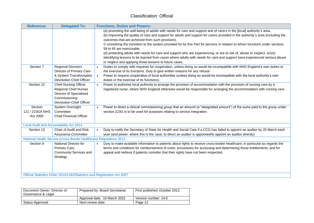| <b>Reference:</b>                      | <b>Delegated To:</b>                                                                                                                        | <b>Functions, Duties and Powers:</b>                                                                                                                                                                                                                                                                                                                                                                                                                                                                                                                                                                                                                                                                                                                                                     |
|----------------------------------------|---------------------------------------------------------------------------------------------------------------------------------------------|------------------------------------------------------------------------------------------------------------------------------------------------------------------------------------------------------------------------------------------------------------------------------------------------------------------------------------------------------------------------------------------------------------------------------------------------------------------------------------------------------------------------------------------------------------------------------------------------------------------------------------------------------------------------------------------------------------------------------------------------------------------------------------------|
|                                        |                                                                                                                                             | (a) promoting the well-being of adults with needs for care and support and of carers in the [local] authority's area,<br>(b) improving the quality of care and support for adults and support for carers provided in the authority's area (including the<br>outcomes that are achieved from such provision),<br>© smoothing the transition to the system provided for by this Part for persons in relation to whom functions under sections<br>58 to 65 are exercisable.<br>(d) protecting adults with needs for care and support who are experiencing, or are at risk of, abuse or neglect, a©(e)<br>Identifying lessons to be learned from cases where adults with needs for care and support have experienced serious abuse<br>or neglect and applying those lessons to future cases. |
| Section 7                              | <b>Regional Directors</b><br>Director of Primary Care<br>& System Transformation<br><b>Devolution Chief Officer</b>                         | Duties to comply with requests for cooperation, unless doing so would be incompatible with NHS England's own duties or<br>the exercise of its functions. Duty to give written reasons for any refusal.<br>Power to request cooperation of local authorities (unless doing so would be incompatible with the local authority's own<br>$\bullet$<br>duties or the exercise of its functions).                                                                                                                                                                                                                                                                                                                                                                                              |
| Section 22                             | <b>Chief Nursing Officer</b><br><b>Regional Chief Nurses</b><br>Director of Specialised<br>Commissioning<br><b>Devolution Chief Officer</b> | Power to authorise local authority to arrange the provision of accommodation with the provision of nursing care by a<br>registered nurse, where NHS England otherwise would be responsible for arranging the accommodation with nursing care.                                                                                                                                                                                                                                                                                                                                                                                                                                                                                                                                            |
| Section<br>121 / 223GA NHS<br>Act 2006 | System Oversight<br>Committee<br><b>Chief Financial Officer</b>                                                                             | Power to direct a clinical commissioning group that an amount (a "designated amount") of the sums paid to the group under<br>$\bullet$<br>section 223G is to be used for purposes relating to service integration.                                                                                                                                                                                                                                                                                                                                                                                                                                                                                                                                                                       |
|                                        | Local Audit and Accountability Act 2014                                                                                                     |                                                                                                                                                                                                                                                                                                                                                                                                                                                                                                                                                                                                                                                                                                                                                                                          |
| Section 13                             | Chair of Audit and Risk<br><b>Assurance Committee</b>                                                                                       | Duty to notify the Secretary of State for Health and Social Care if a CCG has failed to appoint an auditor by 25 March each<br>$\bullet$<br>year (and power, where this is the case, to direct an auditor is appointed/to appoint an auditor directly)                                                                                                                                                                                                                                                                                                                                                                                                                                                                                                                                   |
|                                        | National Health Service (Cross-Border healthcare) Regulations 2013                                                                          |                                                                                                                                                                                                                                                                                                                                                                                                                                                                                                                                                                                                                                                                                                                                                                                          |
| Section 9                              | National Director for<br>Primary Care,<br>Community Services and<br>Strategy                                                                | Duty to make available information to patients about rights to receive cross-border healthcare, in particular as regards the<br>terms and conditions for reimbursement of costs; procedures for accessing and determining those entitlements; and for<br>appeal and redress if patients consider that their rights have not been respected.                                                                                                                                                                                                                                                                                                                                                                                                                                              |
|                                        | Official Statistics Order 2013/1163/Statistics and Registration Act 2007                                                                    |                                                                                                                                                                                                                                                                                                                                                                                                                                                                                                                                                                                                                                                                                                                                                                                          |

| Document Owner: Director of<br>Governance & Legal | Prepared by: Board Secretariat | First published: October 2012 |
|---------------------------------------------------|--------------------------------|-------------------------------|
|                                                   | Approval date: 10 March 2022   | Version number: 14.0          |
| Status Approved                                   | Next review date:              | Page 13                       |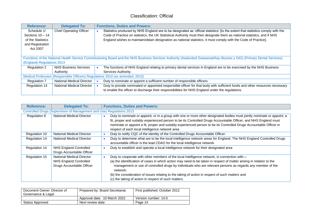| <b>Reference:</b>                                                             | <b>Delegated To:</b>                                                                                                                                                |  | <b>Functions, Duties and Powers:</b>                                                                                            |  |
|-------------------------------------------------------------------------------|---------------------------------------------------------------------------------------------------------------------------------------------------------------------|--|---------------------------------------------------------------------------------------------------------------------------------|--|
| Schedule 1/                                                                   | <b>Chief Operating Officer</b>                                                                                                                                      |  | Statistics produced by NHS England are to be designated as 'official statistics' [to the extent that statistics comply with the |  |
| Sections $10 - 14$                                                            |                                                                                                                                                                     |  | Code of Practice on statistics, the UK Statistical Authority must then designate them as national statistics, and if NHS        |  |
| of the Statistics                                                             |                                                                                                                                                                     |  | England wishes to maintain/obtain designation as national statistics, it must comply with the Code of Practice].                |  |
| and Registration                                                              |                                                                                                                                                                     |  |                                                                                                                                 |  |
| Act 2007                                                                      |                                                                                                                                                                     |  |                                                                                                                                 |  |
|                                                                               |                                                                                                                                                                     |  |                                                                                                                                 |  |
|                                                                               | Functions of the National Health Service Commissioning Board and the NHS Business Services Authority (Awdurdod Gwasanaethau Busnes y GIG) (Primary Dental Services) |  |                                                                                                                                 |  |
| (England) Regulations 2013                                                    |                                                                                                                                                                     |  |                                                                                                                                 |  |
| <b>Regulation 2</b>                                                           | <b>NHS Business Services</b>                                                                                                                                        |  | The functions of NHS England relating to primary dental services in England are to be exercised by the NHS Business             |  |
|                                                                               | Authority                                                                                                                                                           |  | Services Authority.                                                                                                             |  |
| Medical Profession (Responsible Officers) Regulations 2010 (as amended, 2013) |                                                                                                                                                                     |  |                                                                                                                                 |  |
| <b>Regulation 7</b>                                                           | National Medical Director                                                                                                                                           |  | Duty to nominate or appoint a sufficient number of responsible officers.                                                        |  |
| Regulation 14                                                                 | National Medical Director                                                                                                                                           |  | Duty to provide nominated or appointed responsible officer for that body with sufficient funds and other resources necessary    |  |
|                                                                               |                                                                                                                                                                     |  | to enable the officer to discharge their responsibilities for NHS England under the regulations.                                |  |
|                                                                               |                                                                                                                                                                     |  |                                                                                                                                 |  |

| <b>Reference:</b> | <b>Delegated To:</b>                                                  | <b>Functions, Duties and Powers:</b>                                                                                                                                                                                                        |
|-------------------|-----------------------------------------------------------------------|---------------------------------------------------------------------------------------------------------------------------------------------------------------------------------------------------------------------------------------------|
|                   | Controlled Drugs (Supervision of Management and Use) Regulations 2013 |                                                                                                                                                                                                                                             |
| Regulation 8      | <b>National Medical Director</b>                                      | Duty to nominate or appoint, or in a group with one or more other designated bodies must jointly nominate or appoint, a<br>fit, proper and suitably experienced person to be its Controlled Drugs Accountable Officer, and NHS England must |
|                   |                                                                       | nominate or appoint a fit, proper and suitably experienced person to be its Controlled Drugs Accountable Officer in<br>respect of each local intelligence network area                                                                      |
| Regulation 10     | National Medical Director                                             | Duty to notify CQC of the identity of the Controlled Drugs Accountable Officer.                                                                                                                                                             |
| Regulation 14     | <b>National Medical Director</b>                                      | Duty to determine what are to be the local intelligence network areas for England. The NHS England Controlled Drugs                                                                                                                         |
|                   |                                                                       | accountable officer is the lead CDAO for the local intelligence network.                                                                                                                                                                    |
| Regulation 14     | <b>NHS England Controlled</b>                                         | Duty to establish and operate a local intelligence network for their designated area                                                                                                                                                        |
|                   | Drugs Accountable Officer                                             |                                                                                                                                                                                                                                             |
| Regulation 15     | National Medical Director                                             | Duty to cooperate with other members of the local intelligence network, in connection with-                                                                                                                                                 |
|                   | NHS England Controlled                                                | (a) the identification of cases in which action may need to be taken in respect of matter arising in relation to the                                                                                                                        |
|                   | Drugs Accountable Officer                                             | management or use of controlled drugs by individuals who are relevant persons as regards any member of the<br>network;                                                                                                                      |
|                   |                                                                       | (b) the consideration of issues relating to the taking of action in respect of such matters and                                                                                                                                             |
|                   |                                                                       | (c) the taking of action in respect of such matters.                                                                                                                                                                                        |

| Document Owner: Director of<br>Governance & Legal | Prepared by: Board Secretariat | First published: October 2012 |
|---------------------------------------------------|--------------------------------|-------------------------------|
|                                                   | Approval date: 10 March 2022   | Version number: 14.0          |
| Status Approved                                   | Next review date:              | Page 14                       |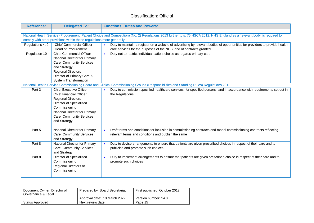| <b>Reference:</b> | <b>Delegated To:</b>                                                  | <b>Functions, Duties and Powers:</b>                                                                                                                                       |
|-------------------|-----------------------------------------------------------------------|----------------------------------------------------------------------------------------------------------------------------------------------------------------------------|
|                   |                                                                       |                                                                                                                                                                            |
|                   |                                                                       | National Health Service (Procurement, Patient Choice and Competition) (No. 2) Regulations 2013 further to s. 75 HSCA 2012; NHS England as a 'relevant body' is required to |
|                   | comply with other provisions within these regulations more generally. |                                                                                                                                                                            |
| Regulations 4, 9  | <b>Chief Commercial Officer</b>                                       | Duty to maintain a register on a website of advertising by relevant bodies of opportunities for providers to provide health                                                |
|                   | <b>Head of Procurement</b>                                            | care services for the purposes of the NHS, and of contracts granted.                                                                                                       |
| Regulation 10     | <b>Chief Commercial Officer</b>                                       | Duty not to restrict individual patient choice as regards primary care<br>$\bullet$                                                                                        |
|                   | National Director for Primary                                         |                                                                                                                                                                            |
|                   | Care, Community Services                                              |                                                                                                                                                                            |
|                   | and Strategy                                                          |                                                                                                                                                                            |
|                   | <b>Regional Directors</b>                                             |                                                                                                                                                                            |
|                   | Director of Primary Care &                                            |                                                                                                                                                                            |
|                   | <b>System Transformation</b>                                          |                                                                                                                                                                            |
|                   |                                                                       | National Health Service Commissioning Board and Clinical Commissioning Groups (Responsibilities and Standing Rules) Regulations 2012                                       |
| Part 3            | <b>Chief Executive Officer</b>                                        | Duty to commission specified healthcare services, for specified persons, and in accordance with requirements set out in                                                    |
|                   | <b>Chief Financial Officer</b>                                        | the Regulations.                                                                                                                                                           |
|                   | <b>Regional Directors</b>                                             |                                                                                                                                                                            |
|                   | Director of Specialised                                               |                                                                                                                                                                            |
|                   | Commissioning                                                         |                                                                                                                                                                            |
|                   | National Director for Primary                                         |                                                                                                                                                                            |
|                   | Care, Community Services                                              |                                                                                                                                                                            |
|                   | and Strategy                                                          |                                                                                                                                                                            |
|                   |                                                                       |                                                                                                                                                                            |
| Part 5            | National Director for Primary                                         | Draft terms and conditions for inclusion in commissioning contracts and model commissioning contracts reflecting<br>$\bullet$                                              |
|                   | Care, Community Services                                              | relevant terms and conditions and publish the same                                                                                                                         |
|                   | and Strategy                                                          |                                                                                                                                                                            |
| Part 8            | National Director for Primary                                         | Duty to devise arrangements to ensure that patients are given prescribed choices in respect of their care and to<br>$\bullet$                                              |
|                   | Care, Community Services                                              | publicise and promote such choices                                                                                                                                         |
|                   | and Strategy                                                          |                                                                                                                                                                            |
| Part 8            | Director of Specialised                                               | Duty to implement arrangements to ensure that patients are given prescribed choice in respect of their care and to<br>$\bullet$                                            |
|                   | Commissioning                                                         | promote such choices                                                                                                                                                       |
|                   | Regional Directors of                                                 |                                                                                                                                                                            |
|                   | Commissioning                                                         |                                                                                                                                                                            |
|                   |                                                                       |                                                                                                                                                                            |

| Document Owner: Director of<br>Governance & Legal | Prepared by: Board Secretariat | First published: October 2012 |
|---------------------------------------------------|--------------------------------|-------------------------------|
|                                                   | Approval date: 10 March 2022   | Version number: 14.0          |
| Status Approved                                   | Next review date:              | Page 15                       |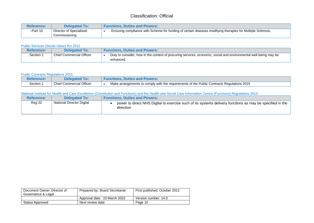| <b>Reference:</b> | <b>Delegated To:</b>                     | <b>Functions. Duties and Powers:</b>                                                                        |  |
|-------------------|------------------------------------------|-------------------------------------------------------------------------------------------------------------|--|
| $-Part 10$        | Director of Specialised<br>Commissioning | Ensuring compliance with Scheme for funding of certain diseases modifying therapies for Multiple Sclerosis. |  |

#### Public Services (Social Value) Act 2012

| <b>Reference:</b> | <b>Delegated To:</b>            | <b>Functions. Duties and Powers:</b>                                                                                          |
|-------------------|---------------------------------|-------------------------------------------------------------------------------------------------------------------------------|
| Section           | <b>Chief Commercial Officer</b> | Duty to consider, how in the context of procuring services, economic, social and environmental well-being may be<br>enhanced. |

#### Public Contracts Regulations 2015

| Reference: | <b>Delegated</b>                | <b>Functions. Duties and Powers:</b>                                                       |
|------------|---------------------------------|--------------------------------------------------------------------------------------------|
| Section 1  | <b>Chief Commercial Officer</b> | Make arrangements to comply with the requirements of the Public Contracts Regulations 2015 |

#### National Institute for Health and Care Excellence (Constitution and Functions) and the Health and Social Care Information Centre (Functions) Regulations 2013

| <b>Reference:</b> | <b>Delegated To:</b>      | <b>Functions. Duties and Powers:</b>                                                                                   |
|-------------------|---------------------------|------------------------------------------------------------------------------------------------------------------------|
| <b>Reg 32</b>     | National Director Digital | power to direct NHS Digital to exercise such of its systems delivery functions as may be specified in the<br>direction |

| Document Owner: Director of<br>Governance & Legal | Prepared by: Board Secretariat | First published: October 2012 |
|---------------------------------------------------|--------------------------------|-------------------------------|
|                                                   | Approval date: 10 March 2022   | Version number: 14.0          |
| Status Approved                                   | Next review date:              | Page 16                       |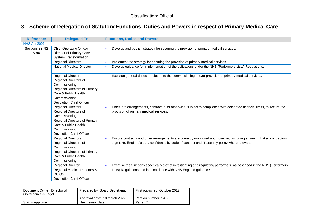### **3 Scheme of Delegation of Statutory Functions, Duties and Powers in respect of Primary Medical Care**

| <b>Reference:</b>       | <b>Delegated To:</b>                                                                                                                                                                    | <b>Functions, Duties and Powers:</b>                                                                                                                                                                                   |
|-------------------------|-----------------------------------------------------------------------------------------------------------------------------------------------------------------------------------------|------------------------------------------------------------------------------------------------------------------------------------------------------------------------------------------------------------------------|
| <b>NHS Act 2006</b>     |                                                                                                                                                                                         |                                                                                                                                                                                                                        |
| Sections 83, 92<br>& 96 | <b>Chief Operating Officer</b><br>Director of Primary Care and<br><b>System Transformation</b>                                                                                          | Develop and publish strategy for securing the provision of primary medical services.<br>$\bullet$                                                                                                                      |
|                         | <b>Regional Directors</b>                                                                                                                                                               | Implement the strategy for securing the provision of primary medical services.                                                                                                                                         |
|                         | <b>National Medical Director</b>                                                                                                                                                        | Develop guidance for implementation of the obligations under the NHS (Performers Lists) Regulations.<br>$\bullet$                                                                                                      |
|                         | <b>Regional Directors</b><br>Regional Directors of<br>Commissioning<br><b>Regional Directors of Primary</b><br>Care & Public Health<br>Commissioning<br><b>Devolution Chief Officer</b> | Exercise general duties in relation to the commissioning and/or provision of primary medical services.<br>$\bullet$                                                                                                    |
|                         | <b>Regional Directors</b><br>Regional Directors of<br>Commissioning<br><b>Regional Directors of Primary</b><br>Care & Public Health<br>Commissioning<br><b>Devolution Chief Officer</b> | Enter into arrangements, contractual or otherwise, subject to compliance with delegated financial limits, to secure the<br>$\bullet$<br>provision of primary medical services.                                         |
|                         | <b>Regional Directors</b><br>Regional Directors of<br>Commissioning<br>Regional Directors of Primary<br>Care & Public Health<br>Commissioning                                           | Ensure contracts and other arrangements are correctly monitored and governed including ensuring that all contractors<br>sign NHS England's data confidentiality code of conduct and IT security policy where relevant. |
|                         | <b>Regional Director</b><br>Regional Medical Directors &<br>CCIO <sub>s</sub><br><b>Devolution Chief Officer</b>                                                                        | Exercise the functions specifically that of investigating and regulating performers, as described in the NHS (Performers<br>$\bullet$<br>Lists) Regulations and in accordance with NHS England guidance.               |

<span id="page-16-0"></span>

| Document Owner: Director of<br>Governance & Legal | Prepared by: Board Secretariat | First published: October 2012 |
|---------------------------------------------------|--------------------------------|-------------------------------|
|                                                   | Approval date: 10 March 2022   | Version number: 14.0          |
| Status Approved                                   | Next review date:              | Page 17                       |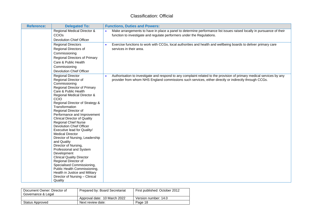| <b>Reference:</b> | <b>Delegated To:</b>                                             | <b>Functions, Duties and Powers:</b>                                                                                  |
|-------------------|------------------------------------------------------------------|-----------------------------------------------------------------------------------------------------------------------|
|                   | Regional Medical Director &                                      | Make arrangements to have in place a panel to determine performance list issues raised locally in pursuance of their  |
|                   | <b>CCIOs</b>                                                     | function to investigate and regulate performers under the Regulations.                                                |
|                   | <b>Devolution Chief Officer</b>                                  |                                                                                                                       |
|                   | <b>Regional Directors</b>                                        | Exercise functions to work with CCGs, local authorities and health and wellbeing boards to deliver primary care       |
|                   | Regional Directors of                                            | services in their area.                                                                                               |
|                   | Commissioning                                                    |                                                                                                                       |
|                   | Regional Directors of Primary                                    |                                                                                                                       |
|                   | Care & Public Health                                             |                                                                                                                       |
|                   | Commissioning                                                    |                                                                                                                       |
|                   | <b>Devolution Chief Officer</b>                                  |                                                                                                                       |
|                   | <b>Regional Director</b>                                         | Authorisation to investigate and respond to any complaint related to the provision of primary medical services by any |
|                   | Regional Director of<br>Commissioning                            | provider from whom NHS England commissions such services, either directly or indirectly through CCGs.                 |
|                   | Regional Director of Primary                                     |                                                                                                                       |
|                   | Care & Public Health                                             |                                                                                                                       |
|                   | Regional Medical Director &                                      |                                                                                                                       |
|                   | <b>CCIO</b>                                                      |                                                                                                                       |
|                   | Regional Director of Strategy &                                  |                                                                                                                       |
|                   | Transformation                                                   |                                                                                                                       |
|                   | Regional Director of<br>Performance and Improvement              |                                                                                                                       |
|                   | <b>Clinical Director of Quality</b>                              |                                                                                                                       |
|                   | <b>Regional Chief Nurse</b>                                      |                                                                                                                       |
|                   | <b>Devolution Chief Officer</b>                                  |                                                                                                                       |
|                   | Executive lead for Quality/                                      |                                                                                                                       |
|                   | <b>Medical Director</b>                                          |                                                                                                                       |
|                   | Director of Nursing, Leadership                                  |                                                                                                                       |
|                   | and Quality<br>Director of Nursing,                              |                                                                                                                       |
|                   | Professional and System                                          |                                                                                                                       |
|                   | Development                                                      |                                                                                                                       |
|                   | <b>Clinical Quality Director</b>                                 |                                                                                                                       |
|                   | Regional Director of                                             |                                                                                                                       |
|                   | Specialised Commissioning,                                       |                                                                                                                       |
|                   | Public Health Commissioning,                                     |                                                                                                                       |
|                   | Health in Justice and Military<br>Director of Nursing - Clinical |                                                                                                                       |
|                   | Quality                                                          |                                                                                                                       |

| Document Owner: Director of<br>Governance & Legal | Prepared by: Board Secretariat | First published: October 2012 |
|---------------------------------------------------|--------------------------------|-------------------------------|
|                                                   | Approval date: 10 March 2022   | Version number: 14.0          |
| Status Approved                                   | Next review date:              | Page 18                       |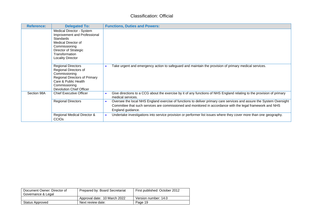| <b>Reference:</b> | <b>Delegated To:</b>                                                                                                                                                                         | <b>Functions, Duties and Powers:</b>                                                                                                                                                                                                                                 |
|-------------------|----------------------------------------------------------------------------------------------------------------------------------------------------------------------------------------------|----------------------------------------------------------------------------------------------------------------------------------------------------------------------------------------------------------------------------------------------------------------------|
|                   | Medical Director - System<br>Improvement and Professional<br><b>Standards</b><br>Medical Director of<br>Commissioning<br>Director of Strategic<br>Transformation<br><b>Locality Director</b> |                                                                                                                                                                                                                                                                      |
|                   | <b>Regional Directors</b><br>Regional Directors of<br>Commissioning<br>Regional Directors of Primary<br>Care & Public Health<br>Commissioning<br><b>Devolution Chief Officer</b>             | Take urgent and emergency action to safeguard and maintain the provision of primary medical services.                                                                                                                                                                |
| Section 98A       | <b>Chief Executive Officer</b>                                                                                                                                                               | Give directions to a CCG about the exercise by it of any functions of NHS England relating to the provision of primary<br>medical services.                                                                                                                          |
|                   | <b>Regional Directors</b>                                                                                                                                                                    | Oversee the local NHS England exercise of functions to deliver primary care services and assure the System Oversight<br>$\bullet$<br>Committee that such services are commissioned and monitored in accordance with the legal framework and NHS<br>England guidance. |
|                   | Regional Medical Director &<br><b>CCIO<sub>s</sub></b>                                                                                                                                       | Undertake investigations into service provision or performer list issues where they cover more than one geography.<br>$\bullet$                                                                                                                                      |

| Document Owner: Director of<br>Governance & Legal | Prepared by: Board Secretariat | First published: October 2012 |
|---------------------------------------------------|--------------------------------|-------------------------------|
|                                                   | Approval date: 10 March 2022   | Version number: 14.0          |
| Status Approved                                   | Next review date:              | Page 19                       |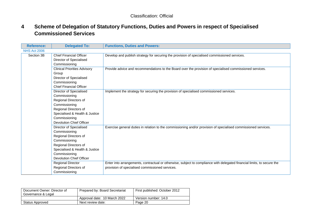### **4 Scheme of Delegation of Statutory Functions, Duties and Powers in respect of Specialised Commissioned Services**

| <b>Reference:</b>   | <b>Delegated To:</b>                | <b>Functions, Duties and Powers:</b>                                                                                    |
|---------------------|-------------------------------------|-------------------------------------------------------------------------------------------------------------------------|
| <b>NHS Act 2006</b> |                                     |                                                                                                                         |
| Section 3B          | <b>Chief Financial Officer</b>      | Develop and publish strategy for securing the provision of specialised commissioned services.                           |
|                     | Director of Specialised             |                                                                                                                         |
|                     | Commissioning                       |                                                                                                                         |
|                     | <b>Clinical Priorities Advisory</b> | Provide advice and recommendations to the Board over the provision of specialised commissioned services.                |
|                     | Group                               |                                                                                                                         |
|                     | Director of Specialised             |                                                                                                                         |
|                     | Commissioning                       |                                                                                                                         |
|                     | <b>Chief Financial Officer</b>      |                                                                                                                         |
|                     | Director of Specialised             | Implement the strategy for securing the provision of specialised commissioned services.                                 |
|                     | Commissioning                       |                                                                                                                         |
|                     | Regional Directors of               |                                                                                                                         |
|                     | Commissioning                       |                                                                                                                         |
|                     | Regional Directors of               |                                                                                                                         |
|                     | Specialised & Health & Justice      |                                                                                                                         |
|                     | Commissioning                       |                                                                                                                         |
|                     | <b>Devolution Chief Officer</b>     |                                                                                                                         |
|                     | Director of Specialised             | Exercise general duties in relation to the commissioning and/or provision of specialised commissioned services.         |
|                     | Commissioning                       |                                                                                                                         |
|                     | Regional Directors of               |                                                                                                                         |
|                     | Commissioning                       |                                                                                                                         |
|                     | Regional Directors of               |                                                                                                                         |
|                     | Specialised & Health & Justice      |                                                                                                                         |
|                     | Commissioning                       |                                                                                                                         |
|                     | <b>Devolution Chief Officer</b>     |                                                                                                                         |
|                     | <b>Regional Director</b>            | Enter into arrangements, contractual or otherwise, subject to compliance with delegated financial limits, to secure the |
|                     | Regional Directors of               | provision of specialised commissioned services.                                                                         |
|                     | Commissioning                       |                                                                                                                         |

<span id="page-19-0"></span>

| Document Owner: Director of<br>Governance & Legal | Prepared by: Board Secretariat | First published: October 2012 |
|---------------------------------------------------|--------------------------------|-------------------------------|
|                                                   | Approval date: 10 March 2022   | Version number: 14.0          |
| Status Approved                                   | Next review date:              | Page 20                       |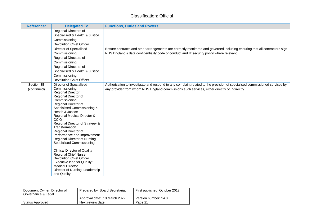| <b>Reference:</b>         | <b>Delegated To:</b>                                                                                                                                                                                                                                                                                                                                                                                                                                                                                                                                                                                                           | <b>Functions, Duties and Powers:</b>                                                                                                                                                                                       |
|---------------------------|--------------------------------------------------------------------------------------------------------------------------------------------------------------------------------------------------------------------------------------------------------------------------------------------------------------------------------------------------------------------------------------------------------------------------------------------------------------------------------------------------------------------------------------------------------------------------------------------------------------------------------|----------------------------------------------------------------------------------------------------------------------------------------------------------------------------------------------------------------------------|
|                           | Regional Directors of<br>Specialised & Health & Justice<br>Commissioning<br><b>Devolution Chief Officer</b>                                                                                                                                                                                                                                                                                                                                                                                                                                                                                                                    |                                                                                                                                                                                                                            |
|                           | Director of Specialised<br>Commissioning<br>Regional Directors of<br>Commissioning<br>Regional Directors of<br>Specialised & Health & Justice<br>Commissioning<br><b>Devolution Chief Officer</b>                                                                                                                                                                                                                                                                                                                                                                                                                              | Ensure contracts and other arrangements are correctly monitored and governed including ensuring that all contractors sign<br>NHS England's data confidentiality code of conduct and IT security policy where relevant.     |
| Section 3B<br>(continued) | Director of Specialised<br>Commissioning<br><b>Regional Director</b><br>Regional Director of<br>Commissioning<br>Regional Director of<br>Specialised Commissioning &<br>Health & Justice<br>Regional Medical Director &<br>CCIO<br>Regional Director of Strategy &<br>Transformation<br>Regional Director of<br>Performance and Improvement<br>Regional Director of Nursing,<br>Specialised Commissioning<br><b>Clinical Director of Quality</b><br><b>Regional Chief Nurse</b><br><b>Devolution Chief Officer</b><br>Executive lead for Quality/<br><b>Medical Director</b><br>Director of Nursing, Leadership<br>and Quality | Authorisation to investigate and respond to any complaint related to the provision of specialised commissioned services by<br>any provider from whom NHS England commissions such services, either directly or indirectly. |

| Document Owner: Director of<br>Governance & Legal | Prepared by: Board Secretariat | First published: October 2012 |
|---------------------------------------------------|--------------------------------|-------------------------------|
|                                                   | Approval date: 10 March 2022   | Version number: 14.0          |
| Status Approved                                   | Next review date:              | Page 21                       |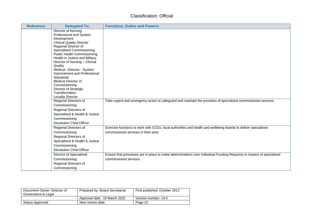| <b>Reference:</b> | <b>Delegated To:</b>                                                                                                                                                                                                                                                                                                                                                                                                                                                                                        | <b>Functions, Duties and Powers:</b>                                                                                                                   |
|-------------------|-------------------------------------------------------------------------------------------------------------------------------------------------------------------------------------------------------------------------------------------------------------------------------------------------------------------------------------------------------------------------------------------------------------------------------------------------------------------------------------------------------------|--------------------------------------------------------------------------------------------------------------------------------------------------------|
|                   | Director of Nursing,<br>Professional and System<br>Development<br><b>Clinical Quality Director</b><br>Regional Director of<br>Specialised Commissioning,<br>Public Health Commissioning,<br>Health in Justice and Military<br>Director of Nursing - Clinical<br>Quality<br>Medical -Director - System<br>Improvement and Professional<br>Standards<br>Medical Director of<br>Commissioning<br>Director of Strategic<br>Transformation<br><b>Locality Director</b><br>Regional Directors of<br>Commissioning | Take urgent and emergency action to safeguard and maintain the provision of specialised commissioned services.                                         |
|                   | Regional Directors of<br>Specialised & Health & Justice<br>Commissioning<br><b>Devolution Chief Officer</b>                                                                                                                                                                                                                                                                                                                                                                                                 |                                                                                                                                                        |
|                   | Regional Directors of<br>Commissioning<br>Regional Directors of<br>Specialised & Health & Justice<br>Commissioning<br><b>Devolution Chief Officer</b>                                                                                                                                                                                                                                                                                                                                                       | Exercise functions to work with CCGs, local authorities and health and wellbeing boards to deliver specialised<br>commissioned services in their area. |
|                   | Director of Specialised<br>Commissioning<br>Regional Directors of<br>Commissioning                                                                                                                                                                                                                                                                                                                                                                                                                          | Ensure that processes are in place to make determinations over Individual Funding Requests in respect of specialised<br>commissioned services.         |

| Document Owner: Director of<br>Governance & Legal | Prepared by: Board Secretariat | First published: October 2012 |
|---------------------------------------------------|--------------------------------|-------------------------------|
|                                                   | Approval date: 10 March 2022   | Version number: 14.0          |
| Status Approved                                   | Next review date:              | Page 22                       |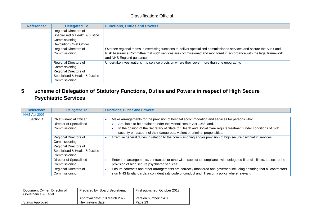| <b>Reference:</b> | <b>Delegated To:</b>            | <b>Functions, Duties and Powers:</b>                                                                                                           |
|-------------------|---------------------------------|------------------------------------------------------------------------------------------------------------------------------------------------|
|                   | Regional Directors of           |                                                                                                                                                |
|                   | Specialised & Health & Justice  |                                                                                                                                                |
|                   | Commissioning                   |                                                                                                                                                |
|                   | <b>Devolution Chief Officer</b> |                                                                                                                                                |
|                   | Regional Directors of           | Oversee regional teams in exercising functions to deliver specialised commissioned services and assure the Audit and                           |
|                   | Commissioning                   | Risk Assurance Committee that such services are commissioned and monitored in accordance with the legal framework<br>and NHS England guidance. |
|                   | Regional Directors of           | Undertake investigations into service provision where they cover more than one geography.                                                      |
|                   | Commissioning                   |                                                                                                                                                |
|                   | Regional Directors of           |                                                                                                                                                |
|                   | Specialised & Health & Justice  |                                                                                                                                                |
|                   | Commissioning                   |                                                                                                                                                |

### **5 Scheme of Delegation of Statutory Functions, Duties and Powers in respect of High Secure Psychiatric Services**

| <b>Reference:</b>   | <b>Delegated To:</b>                                                                                               | <b>Functions, Duties and Powers:</b>                                                                                                                                                                                                                                                                                                                                                                |
|---------------------|--------------------------------------------------------------------------------------------------------------------|-----------------------------------------------------------------------------------------------------------------------------------------------------------------------------------------------------------------------------------------------------------------------------------------------------------------------------------------------------------------------------------------------------|
| <b>NHS Act 2006</b> |                                                                                                                    |                                                                                                                                                                                                                                                                                                                                                                                                     |
| Section 4           | <b>Chief Financial Officer</b><br>Director of Specialised<br>Commissioning                                         | Make arrangements for the provision of hospital accommodation and services for persons who:<br>Are liable to be detained under the Mental Health Act 1983; and,<br>In the opinion of the Secretary of State for Health and Social Care require treatment under conditions of high<br>security on account of their dangerous, violent or criminal propensities.                                      |
|                     | Regional Directors of<br>Commissioning<br>Regional Directors of<br>Specialised & Health & Justice<br>Commissioning | Exercise general duties in relation to the commissioning and/or provision of high secure psychiatric services.                                                                                                                                                                                                                                                                                      |
|                     | Director of Specialised<br>Commissioning<br>Regional Directors of<br>Commissioning                                 | Enter into arrangements, contractual or otherwise, subject to compliance with delegated financial limits, to secure the<br>provision of high secure psychiatric services.<br>Ensure contracts and other arrangements are correctly monitored and governed including ensuring that all contractors<br>sign NHS England's data confidentiality code of conduct and IT security policy where relevant. |

<span id="page-22-0"></span>

| Document Owner: Director of<br>Governance & Legal | Prepared by: Board Secretariat | First published: October 2012 |
|---------------------------------------------------|--------------------------------|-------------------------------|
|                                                   | Approval date: 10 March 2022   | Version number: 14.0          |
| Status Approved                                   | Next review date:              | Page 23                       |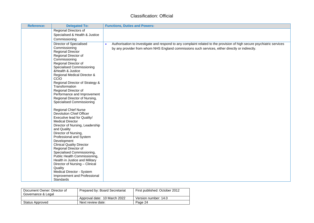| Reference: | <b>Delegated To:</b>                                       | <b>Functions, Duties and Powers:</b>                                                                                   |
|------------|------------------------------------------------------------|------------------------------------------------------------------------------------------------------------------------|
|            | Regional Directors of                                      |                                                                                                                        |
|            | Specialised & Health & Justice                             |                                                                                                                        |
|            | Commissioning                                              |                                                                                                                        |
|            | Director of Specialised                                    | Authorisation to investigate and respond to any complaint related to the provision of high secure psychiatric services |
|            | Commissioning<br><b>Regional Director</b>                  | by any provider from whom NHS England commissions such services, either directly or indirectly.                        |
|            | Regional Director of                                       |                                                                                                                        |
|            | Commissioning                                              |                                                                                                                        |
|            | Regional Director of                                       |                                                                                                                        |
|            | Specialised Commissioning                                  |                                                                                                                        |
|            | &Health & Justice                                          |                                                                                                                        |
|            | Regional Medical Director &<br>CCIO                        |                                                                                                                        |
|            | Regional Director of Strategy &<br>Transformation          |                                                                                                                        |
|            | Regional Director of                                       |                                                                                                                        |
|            | Performance and Improvement                                |                                                                                                                        |
|            | Regional Director of Nursing,                              |                                                                                                                        |
|            | <b>Specialised Commissioning</b>                           |                                                                                                                        |
|            | <b>Regional Chief Nurse</b>                                |                                                                                                                        |
|            | <b>Devolution Chief Officer</b>                            |                                                                                                                        |
|            | Executive lead for Quality/                                |                                                                                                                        |
|            | <b>Medical Director</b><br>Director of Nursing, Leadership |                                                                                                                        |
|            | and Quality                                                |                                                                                                                        |
|            | Director of Nursing,                                       |                                                                                                                        |
|            | Professional and System                                    |                                                                                                                        |
|            | Development                                                |                                                                                                                        |
|            | <b>Clinical Quality Director</b>                           |                                                                                                                        |
|            | Regional Director of                                       |                                                                                                                        |
|            | Specialised Commissioning,<br>Public Health Commissioning, |                                                                                                                        |
|            | Health in Justice and Military                             |                                                                                                                        |
|            | Director of Nursing - Clinical                             |                                                                                                                        |
|            | Quality                                                    |                                                                                                                        |
|            | Medical Director - System                                  |                                                                                                                        |
|            | Improvement and Professional                               |                                                                                                                        |
|            | Standards                                                  |                                                                                                                        |

| Document Owner: Director of<br>Governance & Legal | Prepared by: Board Secretariat | First published: October 2012 |
|---------------------------------------------------|--------------------------------|-------------------------------|
|                                                   | Approval date: 10 March 2022   | Version number: 14.0          |
| Status Approved                                   | Next review date:              | Page 24                       |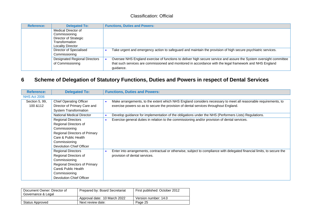| <b>Reference:</b> | <b>Delegated To:</b>                 | <b>Functions, Duties and Powers:</b>                                                                               |
|-------------------|--------------------------------------|--------------------------------------------------------------------------------------------------------------------|
|                   | Medical Director of                  |                                                                                                                    |
|                   | Commissioning                        |                                                                                                                    |
|                   | Director of Strategic                |                                                                                                                    |
|                   | Transformation                       |                                                                                                                    |
|                   | <b>Locality Director</b>             |                                                                                                                    |
|                   | Director of Specialised              | Take urgent and emergency action to safeguard and maintain the provision of high secure psychiatric services.      |
|                   | Commissioning                        |                                                                                                                    |
|                   | <b>Designated Regional Directors</b> | Oversee NHS England exercise of functions to deliver high secure service and assure the System oversight committee |
|                   | of Commissioning                     | that such services are commissioned and monitored in accordance with the legal framework and NHS England           |
|                   |                                      | quidance.                                                                                                          |

### **6 Scheme of Delegation of Statutory Functions, Duties and Powers in respect of Dental Services**

| <b>Reference:</b>   | <b>Delegated To:</b>             | <b>Functions, Duties and Powers:</b>                                                                                    |
|---------------------|----------------------------------|-------------------------------------------------------------------------------------------------------------------------|
| <b>NHS Act 2006</b> |                                  |                                                                                                                         |
| Section 5, 99,      | <b>Chief Operating Officer</b>   | Make arrangements, to the extent which NHS England considers necessary to meet all reasonable requirements, to          |
| 100 & 112           | Director of Primary Care and     | exercise powers so as to secure the provision of dental services throughout England.                                    |
|                     | <b>System Transformation</b>     |                                                                                                                         |
|                     | <b>National Medical Director</b> | Develop guidance for implementation of the obligations under the NHS (Performers Lists) Regulations.                    |
|                     | <b>Regional Directors</b>        | Exercise general duties in relation to the commissioning and/or provision of dental services.<br>$\bullet$              |
|                     | Regional Directors of            |                                                                                                                         |
|                     | Commissioning                    |                                                                                                                         |
|                     | Regional Directors of Primary    |                                                                                                                         |
|                     | Care & Public Health             |                                                                                                                         |
|                     | Commissioning                    |                                                                                                                         |
|                     | Devolution Chief Officer         |                                                                                                                         |
|                     | <b>Regional Directors</b>        | Enter into arrangements, contractual or otherwise, subject to compliance with delegated financial limits, to secure the |
|                     | Regional Directors of            | provision of dental services.                                                                                           |
|                     | Commissioning                    |                                                                                                                         |
|                     | Regional Directors of Primary    |                                                                                                                         |
|                     | Care& Public Health              |                                                                                                                         |
|                     | Commissioning                    |                                                                                                                         |
|                     | Devolution Chief Officer         |                                                                                                                         |

<span id="page-24-0"></span>

| Document Owner: Director of<br>Governance & Legal | Prepared by: Board Secretariat | First published: October 2012 |
|---------------------------------------------------|--------------------------------|-------------------------------|
|                                                   | Approval date: 10 March 2022   | Version number: 14.0          |
| Status Approved                                   | Next review date:              | Page 25                       |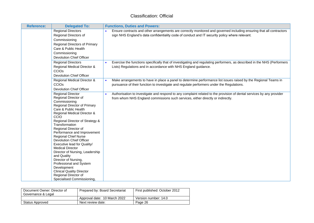| <b>Reference:</b>                                                                                                                                                                                                                                                                                                                                          | <b>Delegated To:</b>                                                                                                                                                                                                                                     | <b>Functions, Duties and Powers:</b>                                                                                                                                                                                   |
|------------------------------------------------------------------------------------------------------------------------------------------------------------------------------------------------------------------------------------------------------------------------------------------------------------------------------------------------------------|----------------------------------------------------------------------------------------------------------------------------------------------------------------------------------------------------------------------------------------------------------|------------------------------------------------------------------------------------------------------------------------------------------------------------------------------------------------------------------------|
| <b>Regional Directors</b><br>Regional Directors of<br>Commissioning<br>Care & Public Health<br>Commissioning<br><b>Devolution Chief Officer</b>                                                                                                                                                                                                            | Regional Directors of Primary                                                                                                                                                                                                                            | Ensure contracts and other arrangements are correctly monitored and governed including ensuring that all contractors<br>sign NHS England's data confidentiality code of conduct and IT security policy where relevant. |
| <b>Regional Directors</b><br>CCIOs<br><b>Devolution Chief Officer</b>                                                                                                                                                                                                                                                                                      | Regional Medical Director &                                                                                                                                                                                                                              | Exercise the functions specifically that of investigating and regulating performers, as described in the NHS (Performers<br>Lists) Regulations and in accordance with NHS England guidance.                            |
| <b>CCIOs</b><br><b>Devolution Chief Officer</b>                                                                                                                                                                                                                                                                                                            | Regional Medical Director &                                                                                                                                                                                                                              | Make arrangements to have in place a panel to determine performance list issues raised by the Regional Teams in<br>pursuance of their function to investigate and regulate performers under the Regulations.           |
| <b>Regional Director</b><br>Regional Director of<br>Commissioning<br>Care & Public Health<br>CCIO<br>Transformation<br>Regional Director of<br><b>Regional Chief Nurse</b><br><b>Devolution Chief Officer</b><br><b>Medical Director</b><br>and Quality<br>Director of Nursing,<br>Development<br><b>Clinical Quality Director</b><br>Regional Director of | Regional Director of Primary<br>Regional Medical Director &<br>Regional Director of Strategy &<br>Performance and Improvement<br>Executive lead for Quality/<br>Director of Nursing, Leadership<br>Professional and System<br>Specialised Commissioning, | Authorisation to investigate and respond to any complaint related to the provision of dental services by any provider<br>from whom NHS England commissions such services, either directly or indirectly.               |

| Document Owner: Director of<br>Governance & Legal | Prepared by: Board Secretariat | First published: October 2012 |
|---------------------------------------------------|--------------------------------|-------------------------------|
|                                                   | Approval date: 10 March 2022   | Version number: 14.0          |
| Status Approved                                   | Next review date:              | Page 26                       |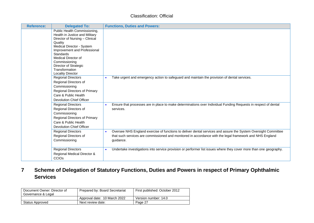| <b>Reference:</b> | <b>Delegated To:</b>                                                                                                                                                                                                                                                                                        | <b>Functions, Duties and Powers:</b>                                                                                                                                                                                                    |
|-------------------|-------------------------------------------------------------------------------------------------------------------------------------------------------------------------------------------------------------------------------------------------------------------------------------------------------------|-----------------------------------------------------------------------------------------------------------------------------------------------------------------------------------------------------------------------------------------|
|                   | Public Health Commissioning,<br>Health in Justice and Military<br>Director of Nursing - Clinical<br>Quality<br>Medical Director - System<br>Improvement and Professional<br><b>Standards</b><br>Medical Director of<br>Commissioning<br>Director of Strategic<br>Transformation<br><b>Locality Director</b> |                                                                                                                                                                                                                                         |
|                   | <b>Regional Directors</b><br>Regional Directors of<br>Commissioning<br>Regional Directors of Primary<br>Care & Public Health<br><b>Devolution Chief Officer</b>                                                                                                                                             | Take urgent and emergency action to safeguard and maintain the provision of dental services.<br>$\bullet$                                                                                                                               |
|                   | <b>Regional Directors</b><br>Regional Directors of<br>Commissioning<br>Regional Directors of Primary<br>Care & Public Health<br><b>Devolution Chief Officer</b>                                                                                                                                             | Ensure that processes are in place to make determinations over Individual Funding Requests in respect of dental<br>services.                                                                                                            |
|                   | <b>Regional Directors</b><br>Regional Directors of<br>Commissioning                                                                                                                                                                                                                                         | Oversee NHS England exercise of functions to deliver dental services and assure the System Oversight Committee<br>that such services are commissioned and monitored in accordance with the legal framework and NHS England<br>guidance. |
|                   | <b>Regional Directors</b><br>Regional Medical Director &<br>CCIOs                                                                                                                                                                                                                                           | Undertake investigations into service provision or performer list issues where they cover more than one geography.<br>$\bullet$                                                                                                         |

**7 Scheme of Delegation of Statutory Functions, Duties and Powers in respect of Primary Ophthalmic Services**

<span id="page-26-0"></span>

| Document Owner: Director of<br>Governance & Legal | Prepared by: Board Secretariat | First published: October 2012 |
|---------------------------------------------------|--------------------------------|-------------------------------|
|                                                   | Approval date: 10 March 2022   | Version number: 14.0          |
| Status Approved                                   | Next review date:              | Page 27                       |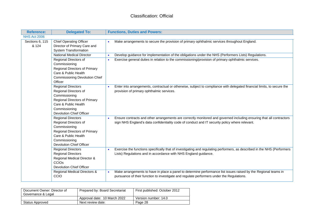| <b>Reference:</b>        | <b>Delegated To:</b>                                                                                                                                                             | <b>Functions, Duties and Powers:</b>                                                                                                                                                                                      |  |
|--------------------------|----------------------------------------------------------------------------------------------------------------------------------------------------------------------------------|---------------------------------------------------------------------------------------------------------------------------------------------------------------------------------------------------------------------------|--|
| <b>NHS Act 2006</b>      |                                                                                                                                                                                  |                                                                                                                                                                                                                           |  |
| Sections 6, 115<br>& 124 | <b>Chief Operating Officer</b><br>Director of Primary Care and<br><b>System Transformation</b>                                                                                   | Make arrangements to secure the provision of primary ophthalmic services throughout England.                                                                                                                              |  |
|                          | <b>National Medical Director</b>                                                                                                                                                 | Develop guidance for implementation of the obligations under the NHS (Performers Lists) Regulations.                                                                                                                      |  |
|                          | Regional Directors of<br>Commissioning<br>Regional Directors of Primary<br>Care & Public Health<br><b>Commissioning Devolution Chief</b><br>Officer                              | Exercise general duties in relation to the commissioning/provision of primary ophthalmic services.                                                                                                                        |  |
|                          | <b>Regional Directors</b><br>Regional Directors of<br>Commissioning<br>Regional Directors of Primary<br>Care & Public Health<br>Commissioning<br><b>Devolution Chief Officer</b> | Enter into arrangements, contractual or otherwise, subject to compliance with delegated financial limits, to secure the<br>$\bullet$<br>provision of primary ophthalmic services.                                         |  |
|                          | <b>Regional Directors</b><br>Regional Directors of<br>Commissioning<br>Regional Directors of Primary<br>Care & Public Health<br>Commissioning<br><b>Devolution Chief Officer</b> | Ensure contracts and other arrangements are correctly monitored and governed including ensuring that all contractors<br>sign NHS England's data confidentiality code of conduct and IT security policy where relevant.    |  |
|                          | <b>Regional Directors</b><br><b>Regional Directors</b><br>Regional Medical Director &<br><b>CCIOs</b><br><b>Devolution Chief Officer</b>                                         | Exercise the functions specifically that of investigating and regulating performers, as described in the NHS (Performers<br>$\bullet$<br>Lists) Regulations and in accordance with NHS England guidance.                  |  |
|                          | Regional Medical Directors &<br>CCIO                                                                                                                                             | Make arrangements to have in place a panel to determine performance list issues raised by the Regional teams in<br>$\bullet$<br>pursuance of their function to investigate and regulate performers under the Regulations. |  |

| Document Owner: Director of<br>Governance & Legal | Prepared by: Board Secretariat | First published: October 2012 |
|---------------------------------------------------|--------------------------------|-------------------------------|
|                                                   | Approval date: 10 March 2022   | Version number: 14.0          |
| Status Approved                                   | Next review date:              | Page 28                       |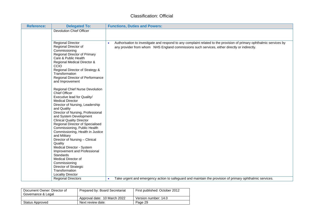| <b>Reference:</b> | <b>Delegated To:</b>                                             | <b>Functions, Duties and Powers:</b>                                                                                              |
|-------------------|------------------------------------------------------------------|-----------------------------------------------------------------------------------------------------------------------------------|
|                   | <b>Devolution Chief Officer</b>                                  |                                                                                                                                   |
|                   |                                                                  |                                                                                                                                   |
|                   |                                                                  |                                                                                                                                   |
|                   | <b>Regional Director</b><br>Regional Director of                 | Authorisation to investigate and respond to any complaint related to the provision of primary ophthalmic services by<br>$\bullet$ |
|                   | Commissioning                                                    | any provider from whom NHS England commissions such services, either directly or indirectly.                                      |
|                   | Regional Director of Primary                                     |                                                                                                                                   |
|                   | Care & Public Health                                             |                                                                                                                                   |
|                   | Regional Medical Director &                                      |                                                                                                                                   |
|                   | CCIO                                                             |                                                                                                                                   |
|                   | Regional Director of Strategy &                                  |                                                                                                                                   |
|                   | Transformation                                                   |                                                                                                                                   |
|                   | Regional Director of Performance                                 |                                                                                                                                   |
|                   | and Improvement                                                  |                                                                                                                                   |
|                   | Regional Chief Nurse Devolution                                  |                                                                                                                                   |
|                   | <b>Chief Officer</b>                                             |                                                                                                                                   |
|                   | Executive lead for Quality/                                      |                                                                                                                                   |
|                   | <b>Medical Director</b>                                          |                                                                                                                                   |
|                   | Director of Nursing, Leadership                                  |                                                                                                                                   |
|                   | and Quality                                                      |                                                                                                                                   |
|                   | Director of Nursing, Professional                                |                                                                                                                                   |
|                   | and System Development                                           |                                                                                                                                   |
|                   | <b>Clinical Quality Director</b>                                 |                                                                                                                                   |
|                   | Regional Director of Specialised<br>Commissioning, Public Health |                                                                                                                                   |
|                   | Commissioning, Health in Justice                                 |                                                                                                                                   |
|                   | and Military                                                     |                                                                                                                                   |
|                   | Director of Nursing - Clinical                                   |                                                                                                                                   |
|                   | Quality                                                          |                                                                                                                                   |
|                   | Medical Director - System                                        |                                                                                                                                   |
|                   | Improvement and Professional                                     |                                                                                                                                   |
|                   | <b>Standards</b>                                                 |                                                                                                                                   |
|                   | Medical Director of                                              |                                                                                                                                   |
|                   | Commissioning                                                    |                                                                                                                                   |
|                   | Director of Strategic                                            |                                                                                                                                   |
|                   | Transformation<br><b>Locality Director</b>                       |                                                                                                                                   |
|                   | <b>Regional Directors</b>                                        | Take urgent and emergency action to safeguard and maintain the provision of primary ophthalmic services.<br>$\bullet$             |
|                   |                                                                  |                                                                                                                                   |

| Document Owner: Director of<br>Governance & Legal | Prepared by: Board Secretariat | First published: October 2012 |
|---------------------------------------------------|--------------------------------|-------------------------------|
|                                                   | Approval date: 10 March 2022   | Version number: 14.0          |
| Status Approved                                   | Next review date:              | Page 29                       |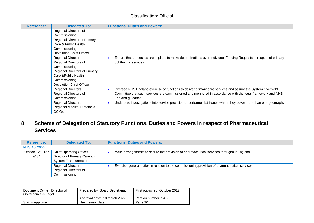| <b>Reference:</b> | <b>Delegated To:</b>          | <b>Functions, Duties and Powers:</b>                                                                                            |
|-------------------|-------------------------------|---------------------------------------------------------------------------------------------------------------------------------|
|                   | Regional Directors of         |                                                                                                                                 |
|                   | Commissioning                 |                                                                                                                                 |
|                   | Regional Director of Primary  |                                                                                                                                 |
|                   | Care & Public Health          |                                                                                                                                 |
|                   | Commissioning                 |                                                                                                                                 |
|                   | Devolution Chief Officer      |                                                                                                                                 |
|                   | <b>Regional Directors</b>     | Ensure that processes are in place to make determinations over Individual Funding Requests in respect of primary                |
|                   | Regional Directors of         | ophthalmic services.                                                                                                            |
|                   | Commissioning                 |                                                                                                                                 |
|                   | Regional Directors of Primary |                                                                                                                                 |
|                   | Care & Public Health          |                                                                                                                                 |
|                   | Commissioning                 |                                                                                                                                 |
|                   | Devolution Chief Officer      |                                                                                                                                 |
|                   | <b>Regional Directors</b>     | Oversee NHS England exercise of functions to deliver primary care services and assure the System Oversight<br>$\bullet$         |
|                   | Regional Directors of         | Committee that such services are commissioned and monitored in accordance with the legal framework and NHS                      |
|                   | Commissioning                 | England guidance.                                                                                                               |
|                   | <b>Regional Directors</b>     | Undertake investigations into service provision or performer list issues where they cover more than one geography.<br>$\bullet$ |
|                   | Regional Medical Director &   |                                                                                                                                 |
|                   | <b>CCIOS</b>                  |                                                                                                                                 |

### **8 Scheme of Delegation of Statutory Functions, Duties and Powers in respect of Pharmaceutical Services**

| <b>Reference:</b>   | <b>Delegated To:</b>           | <b>Functions, Duties and Powers:</b>                                                           |
|---------------------|--------------------------------|------------------------------------------------------------------------------------------------|
| <b>NHS Act 2006</b> |                                |                                                                                                |
| Section 126, 127    | <b>Chief Operating Officer</b> | Make arrangements to secure the provision of pharmaceutical services throughout England.       |
| &134                | Director of Primary Care and   |                                                                                                |
|                     | <b>System Transformation</b>   |                                                                                                |
|                     | <b>Regional Directors</b>      | Exercise general duties in relation to the commissioning/provision of pharmaceutical services. |
|                     | Regional Directors of          |                                                                                                |
|                     | Commissioning                  |                                                                                                |

<span id="page-29-0"></span>

| Document Owner: Director of<br>Governance & Legal | Prepared by: Board Secretariat | First published: October 2012 |
|---------------------------------------------------|--------------------------------|-------------------------------|
|                                                   | Approval date: 10 March 2022   | Version number: 14.0          |
| Status Approved                                   | Next review date:              | Page 30                       |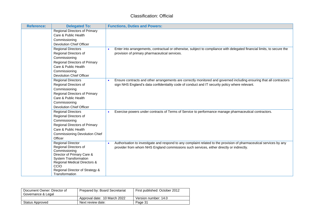| <b>Reference:</b> | <b>Delegated To:</b>                                                                                                                                                                                                          | <b>Functions, Duties and Powers:</b>                                                                                                                                                                                          |
|-------------------|-------------------------------------------------------------------------------------------------------------------------------------------------------------------------------------------------------------------------------|-------------------------------------------------------------------------------------------------------------------------------------------------------------------------------------------------------------------------------|
|                   | <b>Regional Directors of Primary</b><br>Care & Public Health<br>Commissioning<br><b>Devolution Chief Officer</b>                                                                                                              |                                                                                                                                                                                                                               |
|                   | <b>Regional Directors</b><br>Regional Directors of<br>Commissioning<br>Regional Directors of Primary<br>Care & Public Health<br>Commissioning                                                                                 | Enter into arrangements, contractual or otherwise, subject to compliance with delegated financial limits, to secure the<br>provision of primary pharmaceutical services.                                                      |
|                   | <b>Devolution Chief Officer</b><br><b>Regional Directors</b><br>Regional Directors of<br>Commissioning<br><b>Regional Directors of Primary</b><br>Care & Public Health<br>Commissioning<br><b>Devolution Chief Officer</b>    | Ensure contracts and other arrangements are correctly monitored and governed including ensuring that all contractors<br>sign NHS England's data confidentiality code of conduct and IT security policy where relevant.        |
|                   | <b>Regional Directors</b><br>Regional Directors of<br>Commissioning<br><b>Regional Directors of Primary</b><br>Care & Public Health<br><b>Commissioning Devolution Chief</b><br>Officer                                       | Exercise powers under contracts of Terms of Service to performance manage pharmaceutical contractors.                                                                                                                         |
|                   | <b>Regional Director</b><br>Regional Directors of<br>Commissioning<br>Director of Primary Care &<br><b>System Transformation</b><br>Regional Medical Directors &<br>CCIO<br>Regional Director of Strategy &<br>Transformation | Authorisation to investigate and respond to any complaint related to the provision of pharmaceutical services by any<br>$\bullet$<br>provider from whom NHS England commissions such services, either directly or indirectly. |

| Document Owner: Director of<br>Governance & Legal | Prepared by: Board Secretariat | First published: October 2012 |
|---------------------------------------------------|--------------------------------|-------------------------------|
|                                                   | Approval date: 10 March 2022   | Version number: 14.0          |
| Status Approved                                   | Next review date:              | Page 31                       |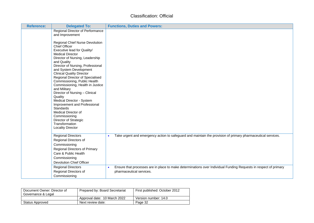| <b>Reference:</b> | <b>Delegated To:</b>                                                                                                                                                                                                       | <b>Functions, Duties and Powers:</b>                                                                                                                      |
|-------------------|----------------------------------------------------------------------------------------------------------------------------------------------------------------------------------------------------------------------------|-----------------------------------------------------------------------------------------------------------------------------------------------------------|
|                   | Regional Director of Performance<br>and Improvement<br>Regional Chief Nurse Devolution<br><b>Chief Officer</b><br>Executive lead for Quality/<br><b>Medical Director</b><br>Director of Nursing, Leadership<br>and Quality |                                                                                                                                                           |
|                   | Director of Nursing, Professional<br>and System Development<br><b>Clinical Quality Director</b><br>Regional Director of Specialised<br>Commissioning, Public Health<br>Commissioning, Health in Justice                    |                                                                                                                                                           |
|                   | and Military<br>Director of Nursing - Clinical<br>Quality<br>Medical Director - System<br>Improvement and Professional<br><b>Standards</b><br>Medical Director of<br>Commissioning                                         |                                                                                                                                                           |
|                   | Director of Strategic<br>Transformation<br><b>Locality Director</b>                                                                                                                                                        |                                                                                                                                                           |
|                   | <b>Regional Directors</b><br>Regional Directors of<br>Commissioning<br>Regional Directors of Primary<br>Care & Public Health<br>Commissioning<br><b>Devolution Chief Officer</b>                                           | Take urgent and emergency action to safeguard and maintain the provision of primary pharmaceutical services.<br>$\bullet$                                 |
|                   | <b>Regional Directors</b><br>Regional Directors of<br>Commissioning                                                                                                                                                        | Ensure that processes are in place to make determinations over Individual Funding Requests in respect of primary<br>$\bullet$<br>pharmaceutical services. |

| Document Owner: Director of<br>Governance & Legal | Prepared by: Board Secretariat | First published: October 2012 |
|---------------------------------------------------|--------------------------------|-------------------------------|
|                                                   | Approval date: 10 March 2022   | Version number: 14.0          |
| Status Approved                                   | Next review date:              | Page 32                       |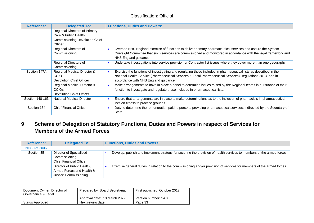| <b>Reference:</b> | <b>Delegated To:</b>                                                                                             | <b>Functions, Duties and Powers:</b>                                                                                                                                                                                                                                    |
|-------------------|------------------------------------------------------------------------------------------------------------------|-------------------------------------------------------------------------------------------------------------------------------------------------------------------------------------------------------------------------------------------------------------------------|
|                   | <b>Regional Directors of Primary</b><br>Care & Public Health<br><b>Commissioning Devolution Chief</b><br>Officer |                                                                                                                                                                                                                                                                         |
|                   | Regional Directors of<br>Commissioning                                                                           | Oversee NHS England exercise of functions to deliver primary pharmaceutical services and assure the System<br>Oversight Committee that such services are commissioned and monitored in accordance with the legal framework and<br>NHS England guidance.                 |
|                   | Regional Directors of<br>Commissioning                                                                           | Undertake investigations into service provision or Contractor list issues where they cover more than one geography.                                                                                                                                                     |
| Section 147A      | Regional Medical Director &<br>CCIO<br>Devolution Chief Officer                                                  | Exercise the functions of investigating and regulating those included in pharmaceutical lists as described in the<br>National Health Service (Pharmaceutical Services & Local Pharmaceutical Services) Regulations 2013 and in<br>accordance with NHS England guidance. |
|                   | Regional Medical Director &<br><b>CCIOS</b><br>Devolution Chief Officer                                          | Make arrangements to have in place a panel to determine issues raised by the Regional teams in pursuance of their<br>function to investigate and regulate those included in pharmaceutical lists.                                                                       |
| Section 148-163   | <b>National Medical Director</b>                                                                                 | Ensure that arrangements are in place to make determinations as to the inclusion of pharmacists in pharmaceutical<br>$\bullet$<br>lists on fitness to practice grounds                                                                                                  |
| Section 164       | <b>Chief Financial Officer</b>                                                                                   | Duty to determine the remuneration paid to persons providing pharmaceutical services, if directed by the Secretary of<br>State                                                                                                                                          |

### **9 Scheme of Delegation of Statutory Functions, Duties and Powers in respect of Services for Members of the Armed Forces**

| <b>Reference:</b>   | <b>Delegated To:</b>                                                             | <b>Functions, Duties and Powers:</b>                                                                                   |
|---------------------|----------------------------------------------------------------------------------|------------------------------------------------------------------------------------------------------------------------|
| <b>NHS Act 2006</b> |                                                                                  |                                                                                                                        |
| Section 3B          | Director of Specialised<br>Commissioning<br><b>Chief Financial Officer</b>       | Develop, publish and implement strategy for securing the provision of health services to members of the armed forces.  |
|                     | Director of Public Health.<br>Armed Forces and Health &<br>Justice Commissioning | Exercise general duties in relation to the commissioning and/or provision of services for members of the armed forces. |

<span id="page-32-0"></span>

| Document Owner: Director of<br>Governance & Legal | Prepared by: Board Secretariat | First published: October 2012 |
|---------------------------------------------------|--------------------------------|-------------------------------|
|                                                   | Approval date: 10 March 2022   | Version number: 14.0          |
| Status Approved                                   | Next review date:              | Page 33                       |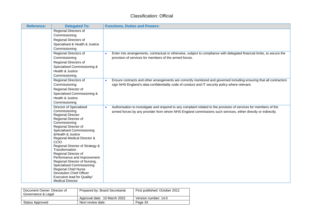| <b>Reference:</b> | <b>Delegated To:</b>                                                                                                                                                                                                                                                                                                                                                                                                                                                                                                                         | <b>Functions, Duties and Powers:</b>                                                                                                                                                                                              |
|-------------------|----------------------------------------------------------------------------------------------------------------------------------------------------------------------------------------------------------------------------------------------------------------------------------------------------------------------------------------------------------------------------------------------------------------------------------------------------------------------------------------------------------------------------------------------|-----------------------------------------------------------------------------------------------------------------------------------------------------------------------------------------------------------------------------------|
|                   | Regional Directors of<br>Commissioning<br>Regional Directors of<br>Specialised & Health & Justice<br>Commissioning                                                                                                                                                                                                                                                                                                                                                                                                                           |                                                                                                                                                                                                                                   |
|                   | Regional Directors of<br>Commissioning<br>Regional Directors of<br>Specialised Commissioning &<br>Health & Justice<br>Commissioning                                                                                                                                                                                                                                                                                                                                                                                                          | Enter into arrangements, contractual or otherwise, subject to compliance with delegated financial limits, to secure the<br>provision of services for members of the armed forces.                                                 |
|                   | Regional Directors of<br>Commissioning<br>Regional Director of<br>Specialised Commissioning &<br>Health & Justice<br>Commissioning                                                                                                                                                                                                                                                                                                                                                                                                           | Ensure contracts and other arrangements are correctly monitored and governed including ensuring that all contractors<br>sign NHS England's data confidentiality code of conduct and IT security policy where relevant.            |
|                   | Director of Specialised<br>Commissioning<br><b>Regional Director</b><br>Regional Director of<br>Commissioning<br>Regional Director of<br><b>Specialised Commissioning</b><br>& Health & Justice<br>Regional Medical Director &<br>ccio<br>Regional Director of Strategy &<br>Transformation<br>Regional Director of<br>Performance and Improvement<br>Regional Director of Nursing,<br>Specialised Commissioning<br><b>Regional Chief Nurse</b><br><b>Devolution Chief Officer</b><br>Executive lead for Quality/<br><b>Medical Director</b> | Authorisation to investigate and respond to any complaint related to the provision of services for members of the<br>armed forces by any provider from whom NHS England commissions such services, either directly or indirectly. |

| Document Owner: Director of<br>Governance & Legal | Prepared by: Board Secretariat | First published: October 2012 |
|---------------------------------------------------|--------------------------------|-------------------------------|
|                                                   | Approval date: 10 March 2022   | Version number: 14.0          |
| Status Approved                                   | Next review date:              | Page 34                       |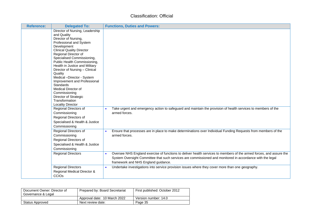| <b>Reference:</b> | <b>Delegated To:</b>                                                                                                                                                                                                                                                                                                                                                                                                                                                                                                | <b>Functions, Duties and Powers:</b>                                                                                                                                                                                                                                    |
|-------------------|---------------------------------------------------------------------------------------------------------------------------------------------------------------------------------------------------------------------------------------------------------------------------------------------------------------------------------------------------------------------------------------------------------------------------------------------------------------------------------------------------------------------|-------------------------------------------------------------------------------------------------------------------------------------------------------------------------------------------------------------------------------------------------------------------------|
|                   | Director of Nursing, Leadership<br>and Quality<br>Director of Nursing,<br>Professional and System<br>Development<br><b>Clinical Quality Director</b><br>Regional Director of<br>Specialised Commissioning,<br>Public Health Commissioning,<br>Health in Justice and Military<br>Director of Nursing - Clinical<br>Quality<br>Medical -Director - System<br>Improvement and Professional<br>Standards<br>Medical Director of<br>Commissioning<br>Director of Strategic<br>Transformation<br><b>Locality Director</b> |                                                                                                                                                                                                                                                                         |
|                   | Regional Directors of<br>Commissioning<br>Regional Directors of<br>Specialised & Health & Justice<br>Commissioning                                                                                                                                                                                                                                                                                                                                                                                                  | Take urgent and emergency action to safeguard and maintain the provision of health services to members of the<br>armed forces.                                                                                                                                          |
|                   | Regional Directors of<br>Commissioning<br>Regional Directors of<br>Specialised & Health & Justice<br>Commissioning                                                                                                                                                                                                                                                                                                                                                                                                  | Ensure that processes are in place to make determinations over Individual Funding Requests from members of the<br>armed forces.                                                                                                                                         |
|                   | <b>Regional Directors</b>                                                                                                                                                                                                                                                                                                                                                                                                                                                                                           | Oversee NHS England exercise of functions to deliver health services to members of the armed forces, and assure the<br>System Oversight Committee that such services are commissioned and monitored in accordance with the legal<br>framework and NHS England guidance. |
|                   | <b>Regional Directors</b><br>Regional Medical Director &<br>CCIO <sub>s</sub>                                                                                                                                                                                                                                                                                                                                                                                                                                       | Undertake investigations into service provision issues where they cover more than one geography.<br>$\bullet$                                                                                                                                                           |

| Document Owner: Director of<br>Governance & Legal | Prepared by: Board Secretariat | First published: October 2012 |
|---------------------------------------------------|--------------------------------|-------------------------------|
|                                                   | Approval date: 10 March 2022   | Version number: 14.0          |
| Status Approved                                   | Next review date:              | Page 35                       |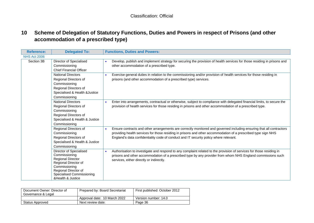### **10 Scheme of Delegation of Statutory Functions, Duties and Powers in respect of Prisons (and other accommodation of a prescribed type)**

| <b>Reference:</b>   | <b>Delegated To:</b>                                                                                                                                                                     | <b>Functions, Duties and Powers:</b>                                                                                                                                                                                                                                                                                                        |
|---------------------|------------------------------------------------------------------------------------------------------------------------------------------------------------------------------------------|---------------------------------------------------------------------------------------------------------------------------------------------------------------------------------------------------------------------------------------------------------------------------------------------------------------------------------------------|
| <b>NHS Act 2006</b> |                                                                                                                                                                                          |                                                                                                                                                                                                                                                                                                                                             |
| Section 3B          | Director of Specialised<br>Commissioning<br><b>Chief Financial Officer</b>                                                                                                               | Develop, publish and implement strategy for securing the provision of health services for those residing in prisons and<br>other accommodation of a prescribed type.                                                                                                                                                                        |
|                     | <b>National Directors</b><br>Regional Directors of<br>Commissioning<br>Regional Directors of<br>Specialised & Health &Justice<br>Commissioning                                           | Exercise general duties in relation to the commissioning and/or provision of health services for those residing in<br>prisons (and other accommodation of a prescribed type) services.                                                                                                                                                      |
|                     | <b>National Directors</b><br>Regional Directors of<br>Commissioning<br>Regional Directors of<br>Specialised & Health & Justice<br>Commissioning                                          | Enter into arrangements, contractual or otherwise, subject to compliance with delegated financial limits, to secure the<br>provision of health services for those residing in prisons and other accommodation of a prescribed type.                                                                                                         |
|                     | Regional Directors of<br>Commissioning<br>Regional Directors of<br>Specialised & Health & Justice<br>Commissioning                                                                       | Ensure contracts and other arrangements are correctly monitored and governed including ensuring that all contractors<br>$\bullet$<br>providing health services for those residing in prisons and other accommodation of a prescribed type sign NHS<br>England's data confidentiality code of conduct and IT security policy where relevant. |
|                     | Director of Specialised<br>Commissioning<br><b>Regional Director</b><br>Regional Director of<br>Commissioning<br>Regional Director of<br>Specialised Commissioning<br>& Health & Justice | Authorisation to investigate and respond to any complaint related to the provision of services for those residing in<br>$\bullet$<br>prisons and other accommodation of a prescribed type by any provider from whom NHS England commissions such<br>services, either directly or indirectly.                                                |

<span id="page-35-0"></span>

| Document Owner: Director of<br>Governance & Legal | Prepared by: Board Secretariat | First published: October 2012 |
|---------------------------------------------------|--------------------------------|-------------------------------|
|                                                   | Approval date: 10 March 2022   | Version number: 14.0          |
| Status Approved                                   | Next review date:              | Page 36                       |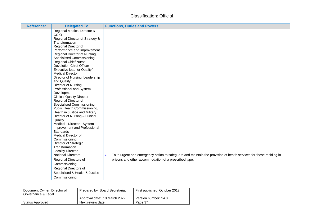| <b>Reference:</b> | <b>Delegated To:</b>                                  | <b>Functions, Duties and Powers:</b>                                                                              |
|-------------------|-------------------------------------------------------|-------------------------------------------------------------------------------------------------------------------|
|                   | <b>Regional Medical Director &amp;</b>                |                                                                                                                   |
|                   | ccio                                                  |                                                                                                                   |
|                   | Regional Director of Strategy &<br>Transformation     |                                                                                                                   |
|                   | Regional Director of                                  |                                                                                                                   |
|                   | Performance and Improvement                           |                                                                                                                   |
|                   | Regional Director of Nursing,                         |                                                                                                                   |
|                   | <b>Specialised Commissioning</b>                      |                                                                                                                   |
|                   | <b>Regional Chief Nurse</b>                           |                                                                                                                   |
|                   | <b>Devolution Chief Officer</b>                       |                                                                                                                   |
|                   | Executive lead for Quality/                           |                                                                                                                   |
|                   | <b>Medical Director</b>                               |                                                                                                                   |
|                   | Director of Nursing, Leadership                       |                                                                                                                   |
|                   | and Quality                                           |                                                                                                                   |
|                   | Director of Nursing,                                  |                                                                                                                   |
|                   | Professional and System                               |                                                                                                                   |
|                   | Development                                           |                                                                                                                   |
|                   | <b>Clinical Quality Director</b>                      |                                                                                                                   |
|                   | Regional Director of<br>Specialised Commissioning,    |                                                                                                                   |
|                   | Public Health Commissioning,                          |                                                                                                                   |
|                   | Health in Justice and Military                        |                                                                                                                   |
|                   | Director of Nursing - Clinical                        |                                                                                                                   |
|                   | Quality                                               |                                                                                                                   |
|                   | Medical -Director - System                            |                                                                                                                   |
|                   | Improvement and Professional                          |                                                                                                                   |
|                   | <b>Standards</b>                                      |                                                                                                                   |
|                   | Medical Director of                                   |                                                                                                                   |
|                   | Commissioning                                         |                                                                                                                   |
|                   | Director of Strategic                                 |                                                                                                                   |
|                   | Transformation                                        |                                                                                                                   |
|                   | <b>Locality Director</b><br><b>National Directors</b> | Take urgent and emergency action to safeguard and maintain the provision of health services for those residing in |
|                   |                                                       |                                                                                                                   |
|                   | Regional Directors of                                 | prisons and other accommodation of a prescribed type.                                                             |
|                   | Commissioning                                         |                                                                                                                   |
|                   | Regional Directors of                                 |                                                                                                                   |
|                   | Specialised & Health & Justice                        |                                                                                                                   |
|                   | Commissioning                                         |                                                                                                                   |

| Document Owner: Director of<br>Governance & Legal | Prepared by: Board Secretariat | First published: October 2012 |
|---------------------------------------------------|--------------------------------|-------------------------------|
|                                                   | Approval date: 10 March 2022   | Version number: 14.0          |
| Status Approved                                   | Next review date:              | Page 37                       |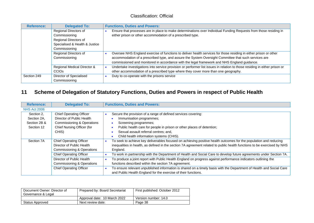| <b>Reference:</b> | <b>Delegated To:</b>                                                                                               | <b>Functions, Duties and Powers:</b>                                                                                                                                                                                                                                                                                     |
|-------------------|--------------------------------------------------------------------------------------------------------------------|--------------------------------------------------------------------------------------------------------------------------------------------------------------------------------------------------------------------------------------------------------------------------------------------------------------------------|
|                   | Regional Directors of<br>Commissioning<br>Regional Directors of<br>Specialised & Health & Justice<br>Commissioning | Ensure that processes are in place to make determinations over Individual Funding Requests from those residing in<br>either prison or other accommodation of a prescribed type.                                                                                                                                          |
|                   | Regional Directors of<br>Commissioning                                                                             | Oversee NHS England exercise of functions to deliver health services for those residing in either prison or other<br>accommodation of a prescribed type, and assure the System Oversight Committee that such services are<br>commissioned and monitored in accordance with the legal framework and NHS England guidance. |
|                   | Regional Medical Director &<br><b>CCIOS</b>                                                                        | Undertake investigations into service provision or performer list issues in relation to those residing in either prison or<br>other accommodation of a prescribed type where they cover more than one geography.                                                                                                         |
| Section 249       | Director of Specialised<br>Commissioning                                                                           | Duty to co-operate with the prisons service                                                                                                                                                                                                                                                                              |

# **11 Scheme of Delegation of Statutory Functions, Duties and Powers in respect of Public Health**

| <b>Reference:</b>   | <b>Delegated To:</b>                  | <b>Functions, Duties and Powers:</b>                                                                                     |
|---------------------|---------------------------------------|--------------------------------------------------------------------------------------------------------------------------|
| <b>NHS Act 2006</b> |                                       |                                                                                                                          |
| Section 2.          | <b>Chief Operating Officer</b>        | Secure the provision of a range of defined services covering:                                                            |
| Section 2A,         | Director of Public Health             | Immunisation programmes;                                                                                                 |
| Section 2B &        | Commissioning & Operations            | Screening programmes;                                                                                                    |
| Section 12          | Chief Nursing Officer (for            | Public health care for people in prison or other places of detention;                                                    |
|                     | CHIS)                                 | Sexual assault referral centres; and,                                                                                    |
|                     |                                       | Child health information systems (CHIS).                                                                                 |
| Section 7A          | <b>Chief Operating Officer</b>        | To seek to achieve key deliverables focused on achieving positive health outcomes for the population and reducing        |
|                     | Director of Public Health             | inequalities in health, as defined in the section 7A agreement related to public health functions to be exercised by NHS |
|                     | <b>Commissioning &amp; Operations</b> | England.                                                                                                                 |
|                     | <b>Chief Operating Officer</b>        | To work in partnership with the Department of Health and Social Care to develop future agreements under Section 7A.      |
|                     | Director of Public Health             | To produce a joint report with Public Health England on progress against performance indicators outlining the            |
|                     | <b>Commissioning &amp; Operations</b> | functions described within the section 7A agreement.                                                                     |
|                     | <b>Chief Operating Officer</b>        | To ensure relevant unpublished information is shared on a timely basis with the Department of Health and Social Care     |
|                     |                                       | and Public Health England for the exercise of their functions.                                                           |

<span id="page-37-0"></span>

| Document Owner: Director of<br>Governance & Legal | Prepared by: Board Secretariat | First published: October 2012 |
|---------------------------------------------------|--------------------------------|-------------------------------|
|                                                   | Approval date: 10 March 2022   | Version number: 14.0          |
| Status Approved                                   | Next review date:              | Page 38                       |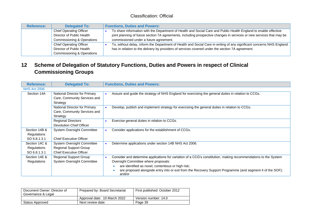| <b>Reference:</b> | <b>Delegated To:</b>           | <b>Functions, Duties and Powers:</b>                                                                                  |
|-------------------|--------------------------------|-----------------------------------------------------------------------------------------------------------------------|
|                   | <b>Chief Operating Officer</b> | To share information with the Department of Health and Social Care and Public Health England to enable effective      |
|                   | Director of Public Health      | joint planning of future section 7A agreements, including prospective changes in services or new services that may be |
|                   | Commissioning & Operations     | commissioned under a future agreement.                                                                                |
|                   | <b>Chief Operating Officer</b> | To, without delay, inform the Department of Health and Social Care in writing of any significant concerns NHS England |
|                   | Director of Public Health      | has in relation to the delivery by providers of services covered under the section 7A agreement.                      |
|                   | Commissioning & Operations     |                                                                                                                       |

### **12 Scheme of Delegation of Statutory Functions, Duties and Powers in respect of Clinical Commissioning Groups**

| <b>Reference:</b>   | <b>Delegated To:</b>              | <b>Functions, Duties and Powers:</b>                                                                                |
|---------------------|-----------------------------------|---------------------------------------------------------------------------------------------------------------------|
| <b>NHS Act 2006</b> |                                   |                                                                                                                     |
| Section 14A         | National Director for Primary     | Assure and guide the strategy of NHS England for exercising the general duties in relation to CCGs.                 |
|                     | Care, Community Services and      |                                                                                                                     |
|                     | Strategy                          |                                                                                                                     |
|                     | National Director for Primary     | Develop, publish and implement strategy for exercising the general duties in relation to CCGs.                      |
|                     | Care, Community Services and      |                                                                                                                     |
|                     | Strategy                          |                                                                                                                     |
|                     | <b>Regional Directors</b>         | Exercise general duties in relation to CCGs.                                                                        |
|                     | Devolution Chief Officer          |                                                                                                                     |
| Section 14B &       | <b>System Oversight Committee</b> | Consider applications for the establishment of CCGs.                                                                |
| Regulations         |                                   |                                                                                                                     |
| SO 6.8.1.3.1        | <b>Chief Executive Officer</b>    |                                                                                                                     |
| Section 14C &       | System Oversight Committee        | Determine applications under section 14B NHS Act 2006.                                                              |
| Regulations         | <b>Regional Support Group</b>     |                                                                                                                     |
| SO 6.8.1.3.1        | <b>Chief Executive Officer</b>    |                                                                                                                     |
| Section 14E &       | <b>Regional Support Group</b>     | Consider and determine applications for variation of a CCG's constitution, making recommendations to the System     |
| Regulations         | <b>System Oversight Committee</b> | Oversight Committee where proposals:                                                                                |
|                     |                                   | are identified as novel, contentious or high risk;                                                                  |
|                     |                                   | are proposed alongside entry into or exit from the Recovery Support Programme (and segment 4 of the SOF);<br>and/or |

<span id="page-38-0"></span>

| Document Owner: Director of<br>Governance & Legal | Prepared by: Board Secretariat | First published: October 2012 |
|---------------------------------------------------|--------------------------------|-------------------------------|
|                                                   | Approval date: 10 March 2022   | Version number: 14.0          |
| Status Approved                                   | Next review date:              | Page 39                       |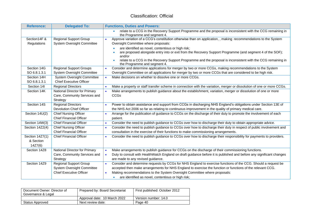| <b>Reference:</b> | <b>Delegated To:</b>              | <b>Functions, Duties and Powers:</b>                                                                                                         |
|-------------------|-----------------------------------|----------------------------------------------------------------------------------------------------------------------------------------------|
|                   |                                   | relate to a CCG in the Recovery Support Programme and the proposal is inconsistent with the CCG remaining in<br>the Programme and segment 4. |
| Section14F &      | <b>Regional Support Group</b>     | Approve variation of a CCG's constitution otherwise than on application, , making recommendations to the System<br>$\bullet$                 |
| Regulations       | <b>System Oversight Committee</b> | Oversight Committee where proposals:                                                                                                         |
|                   |                                   | are identified as novel, contentious or high risk;                                                                                           |
|                   |                                   | are proposed alongside entry into or exit from the Recovery Support Programme (and segment 4 of the SOF);<br>and/or                          |
|                   |                                   | relate to a CCG in the Recovery Support Programme and the proposal is inconsistent with the CCG remaining in<br>the Programme and segment 4. |
| Section 14G       | <b>Regional Support Groups</b>    | Consider and determine applications for merger by two or more CCGs, making recommendations to the System<br>$\bullet$                        |
| SO 6.8.1.3.1      | <b>System Oversight Committee</b> | Oversight Committee on all applications for merger by two or more CCGs that are considered to be high risk.                                  |
| Section 14H       | <b>System Oversight Committee</b> | Make decisions on whether to dissolve one or more CCGs.<br>$\bullet$                                                                         |
| SO 6.8.1.3.1      | <b>Chief Executive Officer</b>    |                                                                                                                                              |
| Section 14I       | <b>Regional Directors</b>         | Make a property or staff transfer scheme in connection with the variation, merger or dissolution of one or more CCGs.                        |
| Section 14K       | National Director for Primary     | Make arrangements to publish guidance about the establishment, variation, merger or dissolution of one or more<br>$\bullet$                  |
|                   | Care, Community Services and      | CCGs                                                                                                                                         |
|                   | Strategy                          |                                                                                                                                              |
| Section 14S       | <b>Regional Directors</b>         | Power to obtain assistance and support from CCGs in discharging NHS England's obligations under Section 13E of                               |
|                   | <b>Devolution Chief Officer</b>   | the NHS Act 2006 so far as relating to continuous improvement in the quality of primary medical care.                                        |
| Section 14U(2)    | <b>Chief Nursing Officer</b>      | Arrange for the publication of guidance to CCGs on the discharge of their duty to promote the involvement of each<br>$\bullet$               |
|                   | <b>Chief Financial Officer</b>    | patient.                                                                                                                                     |
| Section 14W(3)    | <b>Chief Financial Officer</b>    | Consider the need to publish guidance to CCGs over how to discharge their duty to obtain appropriate advice.<br>$\bullet$                    |
| Section 14Z2(4)   | <b>Chief Nursing Officer</b>      | Consider the need to publish guidance to CCGs over how to discharge their duty in respect of public involvement and<br>$\bullet$             |
|                   | <b>Chief Financial Officer</b>    | consultation in the exercise of their functions to make commissioning arrangements.                                                          |
| Section 14Z7(1)   | <b>Chief Financial Officer</b>    | Consider the need to publish guidance to CCGs over how to discharge their responsibility for payments to providers.                          |
| & Section         |                                   |                                                                                                                                              |
| 14Z7(6)           |                                   |                                                                                                                                              |
| Section 14Z8      | National Director for Primary     | Make arrangements to publish guidance for CCGs on the discharge of their commissioning functions.<br>$\bullet$                               |
|                   | Care, Community Services and      | Duty to consult with HealthWatch England on draft guidance before it is published and before any significant changes<br>$\bullet$            |
|                   | Strategy                          | are made to any revised guidance.                                                                                                            |
| Section 14Z9      | <b>Regional Support Group</b>     | Consider and determine requests by CCGs for NHS England to exercise functions of the CCG. Should a request be<br>$\bullet$                   |
|                   | System Oversight Committee        | accepted then make arrangements for NHS England to exercise the function or functions of the relevant CCG.                                   |
|                   | <b>Chief Executive Officer</b>    | Making recommendations to the System Oversight Committee where proposals:<br>$\bullet$                                                       |
|                   |                                   | are identified as novel, contentious or high risk;<br>$\bullet$                                                                              |

| Document Owner: Director of<br>Governance & Legal | Prepared by: Board Secretariat | First published: October 2012 |
|---------------------------------------------------|--------------------------------|-------------------------------|
|                                                   | Approval date: 10 March 2022   | Version number: 14.0          |
| Status Approved                                   | Next review date:              | Page 40                       |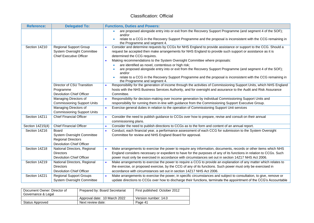| <b>Reference:</b> | <b>Delegated To:</b>                                                                                 | <b>Functions, Duties and Powers:</b>                                                                                                                                                                                                                                    |
|-------------------|------------------------------------------------------------------------------------------------------|-------------------------------------------------------------------------------------------------------------------------------------------------------------------------------------------------------------------------------------------------------------------------|
|                   |                                                                                                      | are proposed alongside entry into or exit from the Recovery Support Programme (and segment 4 of the SOF);<br>and/or<br>relate to a CCG in the Recovery Support Programme and the proposal is inconsistent with the CCG remaining in<br>the Programme and segment 4.     |
| Section 14Z10     | <b>Regional Support Group</b><br><b>System Oversight Committee</b><br><b>Chief Executive Officer</b> | Consider and determine requests by CCGs for NHS England to provide assistance or support to the CCG. Should a<br>$\bullet$<br>request be accepted then make arrangements for NHS England to provide such support or assistance as it is<br>determined the CCG requires. |
|                   |                                                                                                      | Making recommendations to the System Oversight Committee where proposals:<br>$\bullet$                                                                                                                                                                                  |
|                   |                                                                                                      | are identified as novel, contentious or high risk;                                                                                                                                                                                                                      |
|                   |                                                                                                      | are proposed alongside entry into or exit from the Recovery Support Programme (and segment 4 of the SOF);                                                                                                                                                               |
|                   |                                                                                                      | and/or<br>relate to a CCG in the Recovery Support Programme and the proposal is inconsistent with the CCG remaining in<br>the Programme and segment 4.                                                                                                                  |
|                   | Director of CSU Transition                                                                           | Responsibility for the generation of income through the activities of Commissioning Support Units, which NHS England                                                                                                                                                    |
|                   | Programme                                                                                            | hosts with the NHS Business Services Authority, and for oversight and assurance to the Audit and Risk Assurance                                                                                                                                                         |
|                   | Devolution Chief Officer                                                                             | Committee.                                                                                                                                                                                                                                                              |
|                   | Managing Directors of                                                                                | Responsibility for decision-making over income generation by individual Commissioning Support Units and<br>$\bullet$                                                                                                                                                    |
|                   | <b>Commissioning Support Units</b>                                                                   | responsibility for running them in-line with guidance from the Commissioning Support Executive Group.                                                                                                                                                                   |
|                   | Managing Directors of                                                                                | Exercise general duties in relation to the operation of Commissioning Support Unit services                                                                                                                                                                             |
|                   | <b>Commissioning Support Units</b>                                                                   |                                                                                                                                                                                                                                                                         |
| Section 14Z11     | <b>Chief Financial Officer</b>                                                                       | Consider the need to publish guidance to CCGs over how to prepare, revise and consult on their annual<br>commissioning plans.                                                                                                                                           |
| Section 14Z15(4)  | <b>Chief Financial Officer</b>                                                                       | Consider the need to publish directions to CCGs as to the form and content of an annual report.                                                                                                                                                                         |
| Section 14Z16     | Board                                                                                                | Conduct, each financial year, a performance assessment of each CCG for submission to the System Oversight<br>$\bullet$                                                                                                                                                  |
|                   | <b>System Oversight Committee</b>                                                                    | Committee for review and NHS England Board for approval.                                                                                                                                                                                                                |
|                   | <b>Regional Directors</b>                                                                            |                                                                                                                                                                                                                                                                         |
|                   | <b>Devolution Chief Officer</b>                                                                      |                                                                                                                                                                                                                                                                         |
| Section 14Z18     | National Directors, Regional                                                                         | Make arrangements to exercise the power to require any information, documents, records or other items which NHS<br>$\bullet$                                                                                                                                            |
|                   | <b>Directors</b>                                                                                     | England considers necessary or expedient to have for the purposes of any of its functions in relation to CCGs. Such                                                                                                                                                     |
|                   | <b>Devolution Chief Officer</b>                                                                      | power must only be exercised in accordance with circumstances set out in section 14Z17 NHS Act 2006.                                                                                                                                                                    |
| Section 14Z19     | National Directors, Regional                                                                         | Make arrangements to exercise the power to require a CCG to provide an explanation of any matter which relates to                                                                                                                                                       |
|                   | <b>Directors</b>                                                                                     | the exercise, or proposed exercise, by the CCG of any of its functions. Such power must only be exercised in                                                                                                                                                            |
|                   | <b>Devolution Chief Officer</b>                                                                      | accordance with circumstances set out in section 14Z17 NHS Act 2006.                                                                                                                                                                                                    |
| Section 14Z21     | <b>Regional Support Groups</b>                                                                       | Make arrangements to exercise the power, in specific circumstances and subject to consultation, to give, remove or                                                                                                                                                      |
|                   | <b>System Oversight Committee</b>                                                                    | update directions to CCGs over how to discharge their functions, terminate the appointment of the CCG's Accountable                                                                                                                                                     |

| Document Owner: Director of<br>Governance & Legal | Prepared by: Board Secretariat | First published: October 2012 |
|---------------------------------------------------|--------------------------------|-------------------------------|
|                                                   | Approval date: 10 March 2022   | Version number: 14.0          |
| Status Approved                                   | Next review date:              | Page 41                       |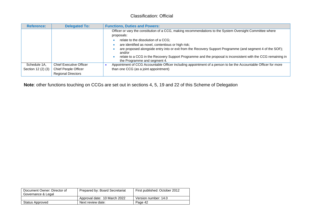| <b>Reference:</b>                  | <b>Delegated To:</b>                                                                | <b>Functions, Duties and Powers:</b>                                                                                                                                                                                                                                                                                                                                                                                                                                                        |
|------------------------------------|-------------------------------------------------------------------------------------|---------------------------------------------------------------------------------------------------------------------------------------------------------------------------------------------------------------------------------------------------------------------------------------------------------------------------------------------------------------------------------------------------------------------------------------------------------------------------------------------|
|                                    |                                                                                     | Officer or vary the constitution of a CCG, making recommendations to the System Oversight Committee where<br>proposals:<br>relate to the dissolution of a CCG;<br>are identified as novel, contentious or high risk;<br>are proposed alongside entry into or exit from the Recovery Support Programme (and segment 4 of the SOF);<br>and/or<br>relate to a CCG in the Recovery Support Programme and the proposal is inconsistent with the CCG remaining in<br>the Programme and segment 4. |
| Schedule 1A,<br>Section 12 (2) (3) | <b>Chief Executive Officer</b><br>Chief People Officer<br><b>Regional Directors</b> | Appointment of CCG Accountable Officer including appointment of a person to be the Accountable Officer for more<br>than one CCG (as a joint appointment)                                                                                                                                                                                                                                                                                                                                    |

**Note**: other functions touching on CCGs are set out in sections 4, 5, 19 and 22 of this Scheme of Delegation

| Document Owner: Director of<br>Governance & Legal | Prepared by: Board Secretariat | First published: October 2012 |
|---------------------------------------------------|--------------------------------|-------------------------------|
|                                                   | Approval date: 10 March 2022   | Version number: 14.0          |
| Status Approved                                   | Next review date:              | Page 42                       |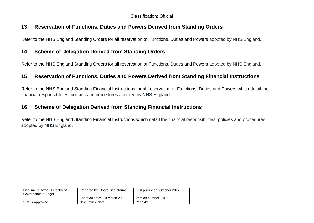### **13 Reservation of Functions, Duties and Powers Derived from Standing Orders**

Refer to the NHS England Standing Orders for all reservation of Functions, Duties and Powers adopted by NHS England.

### **14 Scheme of Delegation Derived from Standing Orders**

Refer to the NHS England Standing Orders for all reservation of Functions, Duties and Powers adopted by NHS England.

### **15 Reservation of Functions, Duties and Powers Derived from Standing Financial Instructions**

Refer to the NHS England Standing Financial Instructions for all reservation of Functions, Duties and Powers which detail the financial responsibilities, policies and procedures adopted by NHS England.

### **16 Scheme of Delegation Derived from Standing Financial Instructions**

<span id="page-42-1"></span><span id="page-42-0"></span>Refer to the NHS England Standing Financial Instructions which detail the financial responsibilities, policies and procedures adopted by NHS England.

<span id="page-42-3"></span><span id="page-42-2"></span>

| Document Owner: Director of<br>Governance & Legal | Prepared by: Board Secretariat | First published: October 2012 |
|---------------------------------------------------|--------------------------------|-------------------------------|
|                                                   | Approval date: 10 March 2022   | Version number: 14.0          |
| <b>Status Approved</b>                            | Next review date:              | Page 43                       |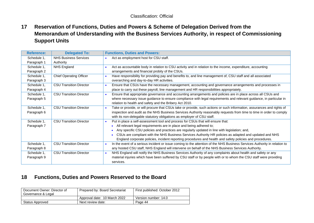**17 Reservation of Functions, Duties and Powers & Scheme of Delegation Derived from the Memorandum of Understanding with the Business Services Authority, in respect of Commissioning Support Units**

| <b>Reference:</b> | <b>Delegated To:</b>           | <b>Functions, Duties and Powers:</b>                                                                                                   |
|-------------------|--------------------------------|----------------------------------------------------------------------------------------------------------------------------------------|
| Schedule 1,       | <b>NHS Business Services</b>   | Act as employment host for CSU staff.                                                                                                  |
| Paragraph 1       | Authority                      |                                                                                                                                        |
| Schedule 1,       | <b>NHS England</b>             | Act as accountable body in relation to CSU activity and in relation to the income, expenditure, accounting                             |
| Paragraph 2       |                                | arrangements and financial probity of the CSUs.                                                                                        |
| Schedule 1,       | <b>Chief Operating Officer</b> | Have responsibility for providing pay and benefits to, and line management of, CSU staff and all associated<br>$\bullet$               |
| Paragraph 3       |                                | overarching and day-to-day HR activities.                                                                                              |
| Schedule 1,       | <b>CSU Transition Director</b> | Ensure that CSUs have the necessary management, accounting and governance arrangements and processes in<br>$\bullet$                   |
| Paragraph 4       |                                | place to carry out these payroll, line management and HR responsibilities appropriately.                                               |
| Schedule 1,       | <b>CSU Transition Director</b> | Ensure that appropriate governance and accounting arrangements and policies are in place across all CSUs and<br>$\bullet$              |
| Paragraph 5       |                                | where necessary issue guidance to ensure compliance with legal requirements and relevant guidance, in particular in                    |
|                   |                                | relation to health and safety and the Bribery Act 2010.                                                                                |
| Schedule 1,       | <b>CSU Transition Director</b> | Take or provide, or will procure that CSUs take or provide, such actions or such information, assurances and rights of<br>$\bullet$    |
| Paragraph 6       |                                | inspection and audit as the NHS Business Services Authority reasonably requests from time to time in order to comply                   |
|                   |                                | with its non-delegable statutory obligations as employer of CSU staff.                                                                 |
| Schedule 1,       | <b>CSU Transition Director</b> | Put in place a self-assessment tool and process for CSUs that will ensure that:<br>$\bullet$                                           |
| Paragraph 7       |                                | All relevant legal requirements are in place and being adhered to;                                                                     |
|                   |                                | Any specific CSU policies and practices are regularly updated in line with legislation; and,                                           |
|                   |                                | CSUs are compliant with the NHS Business Services Authority HR policies as adapted and updated and NHS<br>$\bullet$                    |
|                   |                                | England corporate policies, incident reporting procedures and health and safety policies and procedures.                               |
| Schedule 1,       | <b>CSU Transition Director</b> | In the event of a serious incident or issue coming to the attention of the NHS Business Services Authority in relation to<br>$\bullet$ |
| Paragraph 8       |                                | any hosted CSU staff, NHS England will intervene on behalf of the NHS Business Services Authority.                                     |
| Schedule 1,       | <b>CSU Transition Director</b> | NHS England will notify the NHS Business Services Authority of any complaints about health and safety or any<br>$\bullet$              |
| Paragraph 9       |                                | material injuries which have been suffered by CSU staff or by people with or to whom the CSU staff were providing                      |
|                   |                                | services.                                                                                                                              |

### <span id="page-43-0"></span>**18 Functions, Duties and Powers Reserved to the Board**

<span id="page-43-1"></span>

| Document Owner: Director of<br>Governance & Legal | Prepared by: Board Secretariat | First published: October 2012 |
|---------------------------------------------------|--------------------------------|-------------------------------|
|                                                   | Approval date: 10 March 2022   | Version number: 14.0          |
| Status Approved                                   | Next review date:              | Page 44                       |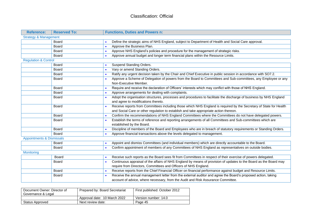| <b>Reference:</b>                    | <b>Reserved To:</b> | <b>Functions, Duties and Powers n:</b>                                                                                          |
|--------------------------------------|---------------------|---------------------------------------------------------------------------------------------------------------------------------|
| <b>Strategy &amp; Management</b>     |                     |                                                                                                                                 |
|                                      | <b>Board</b>        | Define the strategic aims of NHS England, subject to Department of Health and Social Care approval.                             |
|                                      | <b>Board</b>        | Approve the Business Plan.<br>$\bullet$                                                                                         |
|                                      | <b>Board</b>        | Approve NHS England's policies and procedure for the management of strategic risks.<br>$\bullet$                                |
|                                      | Board               | Approve annual budget and longer term financial plans within the Resource Limits.<br>$\bullet$                                  |
| <b>Regulation &amp; Control</b>      |                     |                                                                                                                                 |
|                                      | Board               | Suspend Standing Orders.                                                                                                        |
|                                      | Board               | Vary or amend Standing Orders.<br>$\bullet$                                                                                     |
|                                      | <b>Board</b>        | Ratify any urgent decision taken by the Chair and Chief Executive in public session in accordance with SO7.2.                   |
|                                      | Board               | Approve a Scheme of Delegation of powers from the Board to Committees and Sub-committees, any Employee or any                   |
|                                      |                     | Non-Executive Member.                                                                                                           |
|                                      | <b>Board</b>        | Require and receive the declaration of Officers' interests which may conflict with those of NHS England.<br>$\bullet$           |
|                                      | <b>Board</b>        | Approve arrangements for dealing with complaints.                                                                               |
|                                      | Board               | Adopt the organisation structures, processes and procedures to facilitate the discharge of business by NHS England              |
|                                      |                     | and agree to modifications thereto.                                                                                             |
|                                      | Board               | Receive reports from Committees including those which NHS England is required by the Secretary of State for Health<br>$\bullet$ |
|                                      |                     | and Social Care or other regulation to establish and take appropriate action thereon.                                           |
|                                      | Board               | Confirm the recommendations of NHS England Committees where the Committees do not have delegated powers.<br>$\bullet$           |
|                                      | Board               | Establish the terms of reference and reporting arrangements of all Committees and Sub-committees which are<br>$\bullet$         |
|                                      |                     | established by the Board.                                                                                                       |
|                                      | <b>Board</b>        | Discipline of members of the Board and Employees who are in breach of statutory requirements or Standing Orders.                |
|                                      | <b>Board</b>        | Approve financial transactions above the levels delegated to management.<br>$\bullet$                                           |
| <b>Appointments &amp; Dismissals</b> |                     |                                                                                                                                 |
|                                      | Board               | Appoint and dismiss Committees (and individual members) which are directly accountable to the Board.                            |
|                                      | <b>Board</b>        | Confirm appointment of members of any Committees of NHS England as representatives on outside bodies.                           |
| <b>Monitoring</b>                    |                     |                                                                                                                                 |
|                                      | <b>Board</b>        | Receive such reports as the Board sees fit from Committees in respect of their exercise of powers delegated.                    |
|                                      | <b>Board</b>        | Continuous appraisal of the affairs of NHS England by means of provision of updates to the Board as the Board may               |
|                                      |                     | require from Directors, Committees and Officers of NHS England.                                                                 |
|                                      | Board               | Receive reports from the Chief Financial Officer on financial performance against budget and Resource Limits.                   |
|                                      | Board               | Receive the annual management letter from the external auditor and agree the Board's proposed action, taking<br>$\bullet$       |
|                                      |                     | account of advice, where necessary, from the Audit and Risk Assurance Committee.                                                |

| Document Owner: Director of<br>Governance & Legal | Prepared by: Board Secretariat | First published: October 2012 |
|---------------------------------------------------|--------------------------------|-------------------------------|
|                                                   | Approval date: 10 March 2022   | Version number: 14.0          |
| Status Approved                                   | Next review date:              | Page 45                       |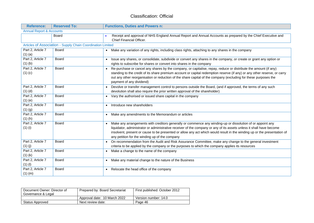| <b>Reference:</b>                   | <b>Reserved To:</b>                                         | <b>Functions, Duties and Powers n:</b>                                                                                                                                                                                                                                                                                                                                                                           |
|-------------------------------------|-------------------------------------------------------------|------------------------------------------------------------------------------------------------------------------------------------------------------------------------------------------------------------------------------------------------------------------------------------------------------------------------------------------------------------------------------------------------------------------|
| <b>Annual Report &amp; Accounts</b> |                                                             |                                                                                                                                                                                                                                                                                                                                                                                                                  |
|                                     | Board                                                       | Receipt and approval of NHS England Annual Report and Annual Accounts as prepared by the Chief Executive and<br>Chief Financial Officer.                                                                                                                                                                                                                                                                         |
|                                     | Articles of Association - Supply Chain Coordination Limited |                                                                                                                                                                                                                                                                                                                                                                                                                  |
| Part 2, Article 7<br>$(1)$ $(a)$    | <b>Board</b>                                                | Make any variation of any rights, including class rights, attaching to any shares in the company<br>$\bullet$                                                                                                                                                                                                                                                                                                    |
| Part 2, Article 7<br>$(1)$ $(b)$    | <b>Board</b>                                                | Issue any shares, or consolidate, subdivide or convert any shares in the company, or create or grant any option or<br>rights to subscribe for shares or convert into shares in the company                                                                                                                                                                                                                       |
| Part 2, Article 7<br>$(1)$ $(c)$    | <b>Board</b>                                                | Re-purchase or cancel any shares by the company, or capitalise, repay, reduce or distribute the amount (if any)<br>$\bullet$<br>standing to the credit of its share premium account or capital redemption reserve (if any) or any other reserve, or carry<br>out any other reorganisation or reduction of the share capital of the company (excluding for these purposes the<br>payment of any dividend)         |
| Part 2, Article 7<br>$(1)$ $(d)$    | <b>Board</b>                                                | Devolve or transfer management control to persons outside the Board, (and if approved, the terms of any such<br>devolution shall also require the prior written approval of the shareholder)                                                                                                                                                                                                                     |
| Part 2, Article 7<br>$(1)$ $(e)$    | Board                                                       | Vary the authorised or issued share capital in the company                                                                                                                                                                                                                                                                                                                                                       |
| Part 2, Article 7<br>$(1)$ $(g)$    | <b>Board</b>                                                | Introduce new shareholders                                                                                                                                                                                                                                                                                                                                                                                       |
| Part 2, Article 7<br>$(1)$ $(h)$    | <b>Board</b>                                                | Make any amendments to the Memorandum or articles<br>$\bullet$                                                                                                                                                                                                                                                                                                                                                   |
| Part 2, Article 7<br>$(1)$ (i)      | <b>Board</b>                                                | Make any arrangements with creditors generally or commence any winding-up or dissolution of or appoint any<br>liquidator, administrator or administrative receiver of the company or any of its assets unless it shall have become<br>insolvent, present or cause to be presented or allow any act which would result in the winding up or the presentation of<br>any petition for the winding up of the company |
| Part 2, Article 7<br>$(1)$ (j)      | <b>Board</b>                                                | On recommendation from the Audit and Risk Assurance Committee, make any change to the general investment<br>$\bullet$<br>criteria to be applied by the company or the purposes to which the company applies its resources                                                                                                                                                                                        |
| Part 2, Article 7<br>$(1)$ $(k)$    | <b>Board</b>                                                | Make a change to the name of the company<br>$\bullet$                                                                                                                                                                                                                                                                                                                                                            |
| Part 2, Article 7<br>$(1)$ (l)      | Board                                                       | Make any material change to the nature of the Business                                                                                                                                                                                                                                                                                                                                                           |
| Part 2, Article 7<br>$(1)$ (m)      | <b>Board</b>                                                | Relocate the head office of the company<br>$\bullet$                                                                                                                                                                                                                                                                                                                                                             |

| Document Owner: Director of<br>Governance & Legal | Prepared by: Board Secretariat | First published: October 2012 |
|---------------------------------------------------|--------------------------------|-------------------------------|
|                                                   | Approval date: 10 March 2022   | Version number: 14.0          |
| Status Approved                                   | Next review date:              | Page 46                       |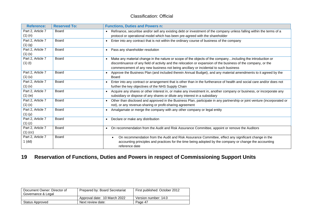| <b>Reference:</b> | <b>Reserved To:</b> | <b>Functions, Duties and Powers n:</b>                                                                                                |
|-------------------|---------------------|---------------------------------------------------------------------------------------------------------------------------------------|
| Part 2, Article 7 | <b>Board</b>        | Refinance, securitise and/or sell any existing debt or investment of the company unless falling within the terms of a                 |
| $(1)$ $(n)$       |                     | protocol or operational model which has been pre-agreed with the shareholder                                                          |
| Part 2, Article 7 | Board               | Enter into any contract that is not within the ordinary course of business of the company<br>$\bullet$                                |
| $(1)$ $(q)$       |                     |                                                                                                                                       |
| Part 2, Article 7 | Board               | Pass any shareholder resolution<br>$\bullet$                                                                                          |
| $(1)$ $(s)$       |                     |                                                                                                                                       |
| Part 2, Article 7 | <b>Board</b>        | Make any material change in the nature or scope of the objects of the companyincluding the introduction or                            |
| $(1)$ $(t)$       |                     | discontinuance of any field of activity and the relocation or expansion of the business of the company, or the                        |
|                   |                     | commencement of any new business not being ancillary or incidental to such business                                                   |
| Part 2, Article 7 | Board               | Approve the Business Plan (and included therein Annual Budget), and any material amendments to it agreed by the                       |
| $(1)$ (u)         |                     | Board                                                                                                                                 |
| Part 2, Article 7 | Board               | Enter into any contract or arrangement that is other than in the furtherance of health and social care and/or does not                |
| $(1)$ $(v)$       |                     | further the key objectives of the NHS Supply Chain                                                                                    |
| Part 2, Article 7 | <b>Board</b>        | Acquire any shares or other interest in, or make any investment in, another company or business, or incorporate any                   |
| $(1)$ (w)         |                     | subsidiary or dispose of any shares or dilute any interest in a subsidiary                                                            |
| Part 2, Article 7 | Board               | Other than disclosed and approved in the Business Plan, participate in any partnership or joint venture (incorporated or<br>$\bullet$ |
| (1)(x)            |                     | not), or any revenue-sharing or profit-sharing agreement                                                                              |
| Part 2, Article 7 | Board               | Amalgamate or merge the company with any other company or legal entity<br>$\bullet$                                                   |
| $(1)$ $(y)$       |                     |                                                                                                                                       |
| Part 2, Article 7 | Board               | Declare or make any distribution<br>$\bullet$                                                                                         |
| $(1)$ $(z)$       |                     |                                                                                                                                       |
| Part 2, Article 7 | Board               | On recommendation from the Audit and Risk Assurance Committee, appoint or remove the Auditors<br>$\bullet$                            |
| $(1)$ (cc)        |                     |                                                                                                                                       |
| Part 2, Article 7 | Board               | On recommendation from the Audit and Risk Assurance Committee, effect any significant change in the<br>$\bullet$                      |
| $1$ (dd)          |                     | accounting principles and practices for the time being adopted by the company or change the accounting<br>reference date              |

# **19 Reservation of Functions, Duties and Powers in respect of Commissioning Support Units**

<span id="page-46-0"></span>

| Document Owner: Director of<br>Governance & Legal | Prepared by: Board Secretariat | First published: October 2012 |
|---------------------------------------------------|--------------------------------|-------------------------------|
|                                                   | Approval date: 10 March 2022   | Version number: 14.0          |
| <b>Status Approved</b>                            | Next review date:              | Page 47                       |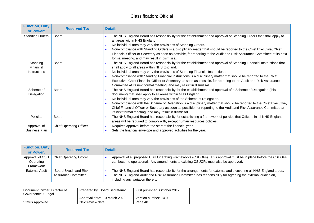| <b>Function, Duty</b><br>or Power:    | <b>Reserved To:</b>            | Detail:                                                                                                                                                                                                                                                                                                                                                                                                                                                                                                                                                                                                |
|---------------------------------------|--------------------------------|--------------------------------------------------------------------------------------------------------------------------------------------------------------------------------------------------------------------------------------------------------------------------------------------------------------------------------------------------------------------------------------------------------------------------------------------------------------------------------------------------------------------------------------------------------------------------------------------------------|
| <b>Standing Orders</b>                | Board                          | The NHS England Board has responsibility for the establishment and approval of Standing Orders that shall apply to<br>all areas within NHS England.<br>No individual area may vary the provisions of Standing Orders.<br>$\bullet$<br>Non-compliance with Standing Orders is a disciplinary matter that should be reported to the Chief Executive, Chief<br>$\bullet$<br>Financial Officer or Secretary as soon as possible, for reporting to the Audit and Risk Assurance Committee at its next<br>formal meeting, and may result in dismissal.                                                       |
| Standing<br>Financial<br>Instructions | <b>Board</b>                   | The NHS England Board has responsibility for the establishment and approval of Standing Financial Instructions that<br>shall apply to all areas within NHS England.<br>No individual area may vary the provisions of Standing Financial Instructions.<br>$\bullet$<br>Non-compliance with Standing Financial Instructions is a disciplinary matter that should be reported to the Chief<br>$\bullet$<br>Executive, Chief Financial Officer or Secretary as soon as possible, for reporting to the Audit and Risk Assurance<br>Committee at its next formal meeting, and may result in dismissal.       |
| Scheme of<br>Delegation               | Board                          | The NHS England Board has responsibility for the establishment and approval of a Scheme of Delegation (this<br>$\bullet$<br>document) that shall apply to all areas within NHS England.<br>No individual area may vary the provisions of the Scheme of Delegation.<br>$\bullet$<br>Non-compliance with the Scheme of Delegation is a disciplinary matter that should be reported to the Chief Executive,<br>$\bullet$<br>Chief Financial Officer or Secretary as soon as possible, for reporting to the Audit and Risk Assurance Committee at<br>its next formal meeting, and may result in dismissal. |
| Policies                              | Board                          | The NHS England Board has responsibility for establishing a framework of policies that Officers in all NHS England<br>$\bullet$<br>areas will be required to comply with, except human resources policies.                                                                                                                                                                                                                                                                                                                                                                                             |
| Approval of<br><b>Business Plan</b>   | <b>Chief Operating Officer</b> | Requires approval before the start of the financial year.<br>$\bullet$<br>Sets the financial envelope and approved activities for the year.                                                                                                                                                                                                                                                                                                                                                                                                                                                            |

| <b>Function, Duty</b><br>or Power:        | <b>Reserved To:</b>                           | Detail:                                                                                                                                                                                                                                                               |
|-------------------------------------------|-----------------------------------------------|-----------------------------------------------------------------------------------------------------------------------------------------------------------------------------------------------------------------------------------------------------------------------|
| Approval of CSU<br>Operating<br>Framework | <b>Chief Operating Officer</b>                | Approval of all proposed CSU Operating Frameworks (CSUOFs). This approval must be in place before the CSUOFs<br>can become operational. Any amendments to existing CSUOFs must also be approved.                                                                      |
| <b>External Audit</b>                     | Board & Audit and Risk<br>Assurance Committee | The NHS England Board has responsibility for the arrangements for external audit, covering all NHS England areas.<br>The NHS England Audit and Risk Assurance Committee has responsibility for agreeing the external audit plan,<br>including any variation there to. |

| Document Owner: Director of<br>Governance & Legal | Prepared by: Board Secretariat | First published: October 2012 |
|---------------------------------------------------|--------------------------------|-------------------------------|
|                                                   | Approval date: 10 March 2022   | Version number: 14.0          |
| Status Approved                                   | Next review date:              | Page 48                       |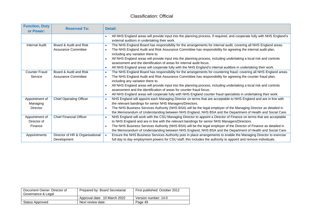| <b>Function, Duty</b><br>or Power: | <b>Reserved To:</b>                           | Detail:                                                                                                                                                                                                                                                    |
|------------------------------------|-----------------------------------------------|------------------------------------------------------------------------------------------------------------------------------------------------------------------------------------------------------------------------------------------------------------|
|                                    |                                               | All NHS England areas will provide input into the planning process, if required, and cooperate fully with NHS England's<br>external auditors in undertaking their work.                                                                                    |
| <b>Internal Audit</b>              | Board & Audit and Risk<br>Assurance Committee | The NHS England Board has responsibility for the arrangements for internal audit, covering all NHS England areas.<br>$\bullet$<br>The NHS England Audit and Risk Assurance Committee has responsibility for agreeing the internal audit plan,<br>$\bullet$ |
|                                    |                                               | including any variation there to.                                                                                                                                                                                                                          |
|                                    |                                               | All NHS England areas will provide input into the planning process, including undertaking a local risk and controls<br>$\bullet$<br>assessment and the identification of areas for internal audit focus.                                                   |
|                                    |                                               | All NHS England areas will cooperate fully with the NHS England's internal auditors in undertaking their work.<br>$\bullet$                                                                                                                                |
| <b>Counter Fraud</b>               | Board & Audit and Risk                        | The NHS England Board has responsibility for the arrangements for countering fraud, covering all NHS England areas.<br>$\bullet$                                                                                                                           |
| Service                            | <b>Assurance Committee</b>                    | The NHS England Audit and Risk Assurance Committee has responsibility for agreeing the counter fraud plan,<br>$\bullet$                                                                                                                                    |
|                                    |                                               | including any variation there to.                                                                                                                                                                                                                          |
|                                    |                                               | All NHS England areas will provide input into the planning process, including undertaking a local risk and controls<br>$\bullet$                                                                                                                           |
|                                    |                                               | assessment and the identification of areas for counter fraud focus.                                                                                                                                                                                        |
|                                    |                                               | All NHS England areas will cooperate fully with NHS England counter fraud specialists in undertaking their work.<br>$\bullet$                                                                                                                              |
| Appointment of                     | <b>Chief Operating Officer</b>                | NHS England will appoint each Managing Director on terms that are acceptable to NHS England and are in line with<br>$\bullet$                                                                                                                              |
| Managing                           |                                               | the relevant bandings for senior NHS Managers/Directors.                                                                                                                                                                                                   |
| Director                           |                                               | The NHS Business Services Authority (NHS BSA) will be the legal employer of the Managing Director as detailed in<br>$\bullet$                                                                                                                              |
|                                    |                                               | the Memorandum of Understanding between NHS England, NHS BSA and the Department of Health and Social Care.                                                                                                                                                 |
| Appointment of                     | <b>Chief Financial Officer</b>                | NHS England will work with the CSU Managing Director to appoint a Director of Finance on terms that are acceptable<br>$\bullet$                                                                                                                            |
| Director of                        |                                               | to NHS England and are in line with the relevant bandings for senior NHS Managers/Directors.                                                                                                                                                               |
| Finance                            |                                               | The NHS Business Services Authority (NHS BSA) will be the legal employer of the Director of Finance as detailed in<br>$\bullet$                                                                                                                            |
|                                    |                                               | the Memorandum of Understanding between NHS England, NHS BSA and the Department of Health and Social Care.                                                                                                                                                 |
| Appointments                       | Director of HR & Organisational               | Ensure the NHS Business Services Authority puts in place arrangements to enable the Managing Director to exercise                                                                                                                                          |
|                                    | Development                                   | full day to day employment powers for CSU staff, this includes the authority to appoint and remove individuals.                                                                                                                                            |

| Document Owner: Director of<br>Governance & Legal | Prepared by: Board Secretariat | First published: October 2012 |
|---------------------------------------------------|--------------------------------|-------------------------------|
|                                                   | Approval date: 10 March 2022   | Version number: 14.0          |
| Status Approved                                   | Next review date:              | Page 49                       |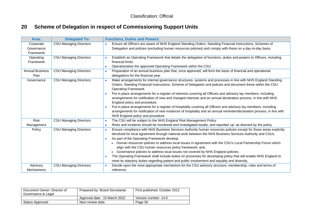# **20 Scheme of Delegation in respect of Commissioning Support Units**

| Area:                  | <b>Delegated To:</b>          | <b>Functions, Duties and Powers:</b>                                                                                                            |
|------------------------|-------------------------------|-------------------------------------------------------------------------------------------------------------------------------------------------|
| Corporate              | <b>CSU Managing Directors</b> | Ensure all Officers are aware of NHS England Standing Orders, Standing Financial Instructions, Schemes of                                       |
| Governance             |                               | Delegation and policies (excluding human resources policies) and comply with these on a day-to-day basis.                                       |
| Framework              |                               |                                                                                                                                                 |
| Operating              | <b>CSU Managing Directors</b> | Establish an Operating Framework that details the delegation of functions, duties and powers to Officers, including<br>$\bullet$                |
| Framework              |                               | financial limits.                                                                                                                               |
|                        |                               | Operationalise the approved Operating Framework within the CSU.<br>$\bullet$                                                                    |
| <b>Annual Business</b> | <b>CSU Managing Directors</b> | Preparation of an annual business plan that, once approved, will form the basis of financial and operational<br>$\bullet$                       |
| Plan                   |                               | delegations for the financial year.                                                                                                             |
| Governance             | <b>CSU Managing Directors</b> | Make arrangements for internal governance structures, systems and processes in line with NHS England Standing<br>$\bullet$                      |
|                        |                               | Orders, Standing Financial Instructions, Scheme of Delegation and policies and document these within the CSU                                    |
|                        |                               | Operating Framework.                                                                                                                            |
|                        |                               | Put in place arrangements for a register of interests covering all Officers and advisory lay members, including<br>$\bullet$                    |
|                        |                               | arrangements for notification of new and changed interests and an annual declaration process, in line with NHS<br>England policy and procedure. |
|                        |                               | Put in place arrangements for a register of hospitality covering all Officers and advisory lay members, including                               |
|                        |                               | arrangements for notification of new instances of hospitality and an annual reminder/declaration process, in line with                          |
|                        |                               | NHS England policy and procedure.                                                                                                               |
| <b>Risk</b>            | <b>CSU Managing Directors</b> | The CSU will be subject to the NHS England Risk Management Policy.<br>$\bullet$                                                                 |
| Management             |                               | Risks and incidents should be monitored and investigated locally, and reported 'up' as directed by the policy.<br>$\bullet$                     |
| Policy                 | <b>CSU Managing Directors</b> | Ensure compliance with NHS Business Services Authority human resources policies except for those areas explicitly<br>$\bullet$                  |
|                        |                               | devolved for local agreement through national work between the NHS Business Services Authority and CSUs.                                        |
|                        |                               | As part of the Operating Framework develop:<br>$\bullet$                                                                                        |
|                        |                               | Human resources policies to address local issues in agreement with the CSU's Local Partnership Forum which                                      |
|                        |                               | align with the CSU human resources policy framework; and,                                                                                       |
|                        |                               | Governance policies to address local issues not covered by NHS England policies.                                                                |
|                        |                               | The Operating Framework shall include duties on processes for developing policy that will enable NHS England to<br>$\bullet$                    |
|                        |                               | meet its statutory duties regarding patient and public involvement and equality and diversity.                                                  |
| Advisory               | <b>CSU Managing Directors</b> | Decide upon the most appropriate mechanism for the CSU advisory structure, membership, roles and terms of                                       |
| <b>Mechanisms</b>      |                               | reference.                                                                                                                                      |

<span id="page-49-0"></span>

| Document Owner: Director of<br>Governance & Legal | Prepared by: Board Secretariat | First published: October 2012 |
|---------------------------------------------------|--------------------------------|-------------------------------|
|                                                   | Approval date: 10 March 2022   | Version number: 14.0          |
| Status Approved                                   | Next review date:              | Page 50                       |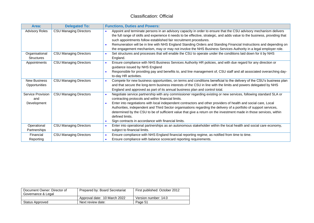| Area:                                   | <b>Delegated To:</b>          | <b>Functions, Duties and Powers:</b>                                                                                                                                                                                                                                                                                                                                                                                                                                                                                                                                                                                                                     |
|-----------------------------------------|-------------------------------|----------------------------------------------------------------------------------------------------------------------------------------------------------------------------------------------------------------------------------------------------------------------------------------------------------------------------------------------------------------------------------------------------------------------------------------------------------------------------------------------------------------------------------------------------------------------------------------------------------------------------------------------------------|
| <b>Advisory Roles</b>                   | <b>CSU Managing Directors</b> | Appoint and terminate persons in an advisory capacity in order to ensure that the CSU advisory mechanism delivers<br>the full range of skills and experience it needs to be effective, strategic, and adds value to the business, providing that<br>such appointments follow established fair recruitment procedures.<br>Remuneration will be in line with NHS England Standing Orders and Standing Financial Instructions and depending on<br>$\bullet$<br>the engagement mechanism, may or may not involve the NHS Business Services Authority in a legal employer role.                                                                               |
| Organisational<br><b>Structures</b>     | <b>CSU Managing Directors</b> | Set structures and processes that will enable the CSU to operate under the conditions laid down for it by NHS<br>$\bullet$<br>England.                                                                                                                                                                                                                                                                                                                                                                                                                                                                                                                   |
| Appointments                            | <b>CSU Managing Directors</b> | Ensure compliance with NHS Business Services Authority HR policies, and with due regard for any direction or<br>guidance issued by NHS England<br>Responsible for providing pay and benefits to, and line management of, CSU staff and all associated overarching day-<br>to-day HR activities.                                                                                                                                                                                                                                                                                                                                                          |
| <b>New Business</b><br>Opportunities    | <b>CSU Managing Directors</b> | Compete for new business opportunities, on terms and conditions beneficial to the delivery of the CSU's business plan<br>$\bullet$<br>and that secure the long-term business interests of the CSU in line with the limits and powers delegated by NHS<br>England and approved as part of its annual business plan and control total.                                                                                                                                                                                                                                                                                                                     |
| Service Provision<br>and<br>Development | <b>CSU Managing Directors</b> | Negotiate service partnership with any commissioner regarding existing or new services, following standard SLA or<br>$\bullet$<br>contracting protocols and within financial limits.<br>Enter into negotiations with local independent contractors and other providers of health and social care, Local<br>$\bullet$<br>Authorities, independent and Third Sector organisations regarding the delivery of a portfolio of support services,<br>determined by the CSU to be of sufficient value that give a return on the investment made in those services, within<br>defined limits.<br>Sign contracts in accordance with financial limits.<br>$\bullet$ |
| Operational<br>Partnerships             | <b>CSU Managing Directors</b> | Enter into operational partnerships as an autonomous stakeholder within the local health and social care economy,<br>$\bullet$<br>subject to financial limits.                                                                                                                                                                                                                                                                                                                                                                                                                                                                                           |
| Financial<br>Reporting                  | <b>CSU Managing Directors</b> | Ensure compliance with NHS England financial reporting regime, as notified from time to time.<br>$\bullet$<br>Ensure compliance with balance scorecard reporting requirements.<br>$\bullet$                                                                                                                                                                                                                                                                                                                                                                                                                                                              |

| Document Owner: Director of<br>Governance & Legal | Prepared by: Board Secretariat | First published: October 2012 |
|---------------------------------------------------|--------------------------------|-------------------------------|
|                                                   | Approval date: 10 March 2022   | Version number: 14.0          |
| <b>Status Approved</b>                            | Next review date:              | Page 51                       |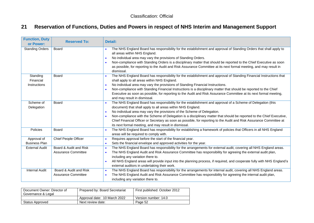# **21 Reservation of Functions, Duties and Powers in respect of NHS Interim and Management Support**

| <b>Function, Duty</b><br>or Power:    | <b>Reserved To:</b>                                  | Detail:                                                                                                                                                                                                                                                                                                                                                                                                                                                                                                                                                                                                |
|---------------------------------------|------------------------------------------------------|--------------------------------------------------------------------------------------------------------------------------------------------------------------------------------------------------------------------------------------------------------------------------------------------------------------------------------------------------------------------------------------------------------------------------------------------------------------------------------------------------------------------------------------------------------------------------------------------------------|
| <b>Standing Orders</b>                | Board                                                | The NHS England Board has responsibility for the establishment and approval of Standing Orders that shall apply to<br>$\bullet$<br>all areas within NHS England.<br>No individual area may vary the provisions of Standing Orders.<br>$\bullet$<br>Non-compliance with Standing Orders is a disciplinary matter that should be reported to the Chief Executive as soon<br>$\bullet$<br>as possible, for reporting to the Audit and Risk Assurance Committee at its next formal meeting, and may result in<br>dismissal.                                                                                |
| Standing<br>Financial<br>Instructions | <b>Board</b>                                         | The NHS England Board has responsibility for the establishment and approval of Standing Financial Instructions that<br>$\bullet$<br>shall apply to all areas within NHS England.<br>No individual area may vary the provisions of Standing Financial Instructions.<br>$\bullet$<br>Non-compliance with Standing Financial Instructions is a disciplinary matter that should be reported to the Chief<br>$\bullet$<br>Executive as soon as possible, for reporting to the Audit and Risk Assurance Committee at its next formal meeting,<br>and may result in dismissal.                                |
| Scheme of<br>Delegation               | <b>Board</b>                                         | The NHS England Board has responsibility for the establishment and approval of a Scheme of Delegation (this<br>$\bullet$<br>document) that shall apply to all areas within NHS England.<br>No individual area may vary the provisions of the Scheme of Delegation.<br>$\bullet$<br>Non-compliance with the Scheme of Delegation is a disciplinary matter that should be reported to the Chief Executive,<br>$\bullet$<br>Chief Financial Officer or Secretary as soon as possible, for reporting to the Audit and Risk Assurance Committee at<br>its next formal meeting, and may result in dismissal. |
| <b>Policies</b>                       | Board                                                | The NHS England Board has responsibility for establishing a framework of policies that Officers in all NHS England<br>$\bullet$<br>areas will be required to comply with.                                                                                                                                                                                                                                                                                                                                                                                                                              |
| Approval of<br><b>Business Plan</b>   | <b>Chief People Officer</b>                          | Requires approval before the start of the financial year.<br>$\bullet$<br>Sets the financial envelope and approved activities for the year.<br>$\bullet$                                                                                                                                                                                                                                                                                                                                                                                                                                               |
| <b>External Audit</b>                 | Board & Audit and Risk<br>Assurance Committee        | The NHS England Board has responsibility for the arrangements for external audit, covering all NHS England areas.<br>$\bullet$<br>The NHS England Audit and Risk Assurance Committee has responsibility for agreeing the external audit plan,<br>$\bullet$<br>including any variation there to.<br>All NHS England areas will provide input into the planning process, if required, and cooperate fully with NHS England's<br>$\bullet$<br>external auditors in undertaking their work.                                                                                                                |
| <b>Internal Audit</b>                 | Board & Audit and Risk<br><b>Assurance Committee</b> | The NHS England Board has responsibility for the arrangements for internal audit, covering all NHS England areas.<br>$\bullet$<br>The NHS England Audit and Risk Assurance Committee has responsibility for agreeing the internal audit plan,<br>including any variation there to.                                                                                                                                                                                                                                                                                                                     |

<span id="page-51-0"></span>

| Document Owner: Director of<br>Governance & Legal | Prepared by: Board Secretariat | First published: October 2012 |
|---------------------------------------------------|--------------------------------|-------------------------------|
|                                                   | Approval date: 10 March 2022   | Version number: 14.0          |
| Status Approved                                   | Next review date:              | Page 52                       |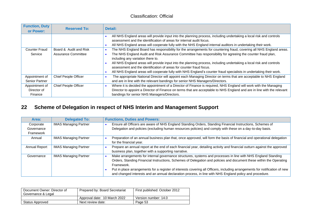| <b>Function, Duty</b><br>or Power: | <b>Reserved To:</b>         | Detail:                                                                                                                                                                                     |
|------------------------------------|-----------------------------|---------------------------------------------------------------------------------------------------------------------------------------------------------------------------------------------|
|                                    |                             | All NHS England areas will provide input into the planning process, including undertaking a local risk and controls<br>assessment and the identification of areas for internal audit focus. |
|                                    |                             |                                                                                                                                                                                             |
|                                    |                             | All NHS England areas will cooperate fully with the NHS England internal auditors in undertaking their work.<br>٠                                                                           |
| <b>Counter Fraud</b>               | Board & Audit and Risk      | The NHS England Board has responsibility for the arrangements for countering fraud, covering all NHS England areas.                                                                         |
| Service                            | Assurance Committee         | The NHS England Audit and Risk Assurance Committee has responsibility for agreeing the counter fraud plan,                                                                                  |
|                                    |                             | including any variation there to.                                                                                                                                                           |
|                                    |                             | All NHS England areas will provide input into the planning process, including undertaking a local risk and controls                                                                         |
|                                    |                             | assessment and the identification of areas for counter fraud focus.                                                                                                                         |
|                                    |                             | All NHS England areas will cooperate fully with NHS England's counter fraud specialists in undertaking their work.                                                                          |
| Appointment of                     | <b>Chief People Officer</b> | The appropriate National Director will appoint each Managing Director on terms that are acceptable to NHS England<br>×                                                                      |
| <b>Senior Partner</b>              |                             | and are in line with the relevant bandings for senior NHS Managers/Directors.                                                                                                               |
| Appointment of                     | <b>Chief People Officer</b> | Where it is decided the appointment of a Director of Finance is required, NHS England will work with the Managing<br>٠                                                                      |
| Director of                        |                             | Director to appoint a Director of Finance on terms that are acceptable to NHS England and are in line with the relevant                                                                     |
| Finance                            |                             | bandings for senior NHS Managers/Directors.                                                                                                                                                 |

# **22 Scheme of Delegation in respect of NHS Interim and Management Support**

| Area:                | <b>Delegated To:</b>         | <b>Functions, Duties and Powers:</b>                                                                                        |
|----------------------|------------------------------|-----------------------------------------------------------------------------------------------------------------------------|
| Corporate            | <b>IMAS Managing Partner</b> | Ensure all Officers are aware of NHS England Standing Orders, Standing Financial Instructions, Schemes of                   |
| Governance           |                              | Delegation and policies (excluding human resources policies) and comply with these on a day-to-day basis.                   |
| Framework            |                              |                                                                                                                             |
| Annual               | <b>IMAS Managing Partner</b> | Preparation of an annual business plan that, once approved, will form the basis of financial and operational delegation     |
|                      |                              | for the financial year.                                                                                                     |
| <b>Annual Report</b> | <b>IMAS Managing Partner</b> | Prepare an annual report at the end of each financial year, detailing activity and financial outturn against the approved   |
|                      |                              | business plan, together with a supporting narrative.                                                                        |
| Governance           | <b>IMAS Managing Partner</b> | Make arrangements for internal governance structures, systems and processes in line with NHS England Standing               |
|                      |                              | Orders, Standing Financial Instructions, Schemes of Delegation and policies and document these within the Operating         |
|                      |                              | Framework.                                                                                                                  |
|                      |                              | Put in place arrangements for a register of interests covering all Officers, including arrangements for notification of new |
|                      |                              | and changed interests and an annual declaration process, in line with NHS England policy and procedure.                     |

<span id="page-52-0"></span>

| Document Owner: Director of<br>Governance & Legal | Prepared by: Board Secretariat | First published: October 2012 |
|---------------------------------------------------|--------------------------------|-------------------------------|
|                                                   | Approval date: 10 March 2022   | Version number: 14.0          |
| Status Approved                                   | Next review date:              | Page 53                       |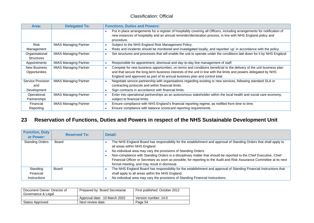| Area:             | <b>Delegated To:</b>         | <b>Functions, Duties and Powers:</b>                                                                                                   |
|-------------------|------------------------------|----------------------------------------------------------------------------------------------------------------------------------------|
|                   |                              | Put in place arrangements for a register of hospitality covering all Officers, including arrangements for notification of<br>$\bullet$ |
|                   |                              | new instances of hospitality and an annual reminder/declaration process, in line with NHS England policy and                           |
|                   |                              | procedure.                                                                                                                             |
| <b>Risk</b>       | <b>IMAS Managing Partner</b> | Subject to the NHS England Risk Management Policy.<br>$\bullet$                                                                        |
| Management        |                              | Risks and incidents should be monitored and investigated locally, and reported 'up' in accordance with the policy.<br>$\bullet$        |
| Organisational    | <b>IMAS Managing Partner</b> | Set structures and processes that will enable the unit to operate under the conditions laid down for it by NHS England.<br>- 0         |
| <b>Structures</b> |                              |                                                                                                                                        |
| Appointments      | <b>IMAS Managing Partner</b> | Responsible for appointment, dismissal and day-to-day line management of staff.<br>$\bullet$                                           |
| New Business      | <b>IMAS Managing Partner</b> | Compete for new business opportunities, on terms and conditions beneficial to the delivery of the unit business plan<br>$\bullet$      |
| Opportunities     |                              | and that secure the long-term business interests of the unit in line with the limits and powers delegated by NHS                       |
|                   |                              | England and approved as part of its annual business plan and control total.                                                            |
| Service Provision | <b>IMAS Managing Partner</b> | Negotiate service partnership with organisations regarding existing or new services, following standard SLA or                         |
| and               |                              | contracting protocols and within financial limits.                                                                                     |
| Development       |                              | Sign contracts in accordance with financial limits.<br>$\bullet$                                                                       |
| Operational       | <b>IMAS Managing Partner</b> | Enter into operational partnerships as an autonomous stakeholder within the local health and social care economy,<br>$\bullet$         |
| Partnerships      |                              | subject to financial limits.                                                                                                           |
| Financial         | <b>IMAS Managing Partner</b> | Ensure compliance with NHS England's financial reporting regime, as notified from time to time.<br>$\bullet$                           |
| Reporting         |                              | Ensure compliance with balance scorecard reporting requirements.                                                                       |

# **23 Reservation of Functions, Duties and Powers in respect of the NHS Sustainable Development Unit**

| <b>Function, Duty</b><br>or Power: | <b>Reserved To:</b> | Detail:                                                                                                                                                                                                                                                                                                                                                                                                                                                                                                                |
|------------------------------------|---------------------|------------------------------------------------------------------------------------------------------------------------------------------------------------------------------------------------------------------------------------------------------------------------------------------------------------------------------------------------------------------------------------------------------------------------------------------------------------------------------------------------------------------------|
| <b>Standing Orders</b>             | <b>Board</b>        | The NHS England Board has responsibility for the establishment and approval of Standing Orders that shall apply to<br>all areas within NHS England.<br>No individual area may vary the provisions of Standing Orders.<br>Non-compliance with Standing Orders is a disciplinary matter that should be reported to the Chief Executive, Chief<br>Financial Officer or Secretary as soon as possible, for reporting to the Audit and Risk Assurance Committee at its next<br>formal meeting, and may result in dismissal. |
| Standing                           | Board               | The NHS England Board has responsibility for the establishment and approval of Standing Financial Instructions that                                                                                                                                                                                                                                                                                                                                                                                                    |
| Financial                          |                     | shall apply to all areas within the NHS England.                                                                                                                                                                                                                                                                                                                                                                                                                                                                       |
| <b>Instructions</b>                |                     | No individual area may vary the provisions of Standing Financial Instructions.                                                                                                                                                                                                                                                                                                                                                                                                                                         |

<span id="page-53-0"></span>

| Document Owner: Director of<br>Governance & Legal | Prepared by: Board Secretariat | First published: October 2012 |
|---------------------------------------------------|--------------------------------|-------------------------------|
|                                                   | Approval date: 10 March 2022   | Version number: 14.0          |
| Status Approved                                   | Next review date:              | Page 54                       |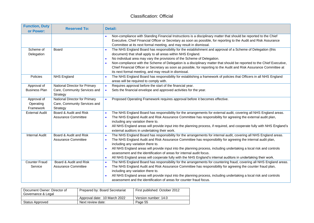| <b>Function, Duty</b><br>or Power: | <b>Reserved To:</b>                  | Detail:                                                                                                                                                                                                                                 |
|------------------------------------|--------------------------------------|-----------------------------------------------------------------------------------------------------------------------------------------------------------------------------------------------------------------------------------------|
|                                    |                                      | Non-compliance with Standing Financial Instructions is a disciplinary matter that should be reported to the Chief<br>Executive, Chief Financial Officer or Secretary as soon as possible, for reporting to the Audit and Risk Assurance |
|                                    |                                      | Committee at its next formal meeting, and may result in dismissal.                                                                                                                                                                      |
| Scheme of                          | <b>Board</b>                         | The NHS England Board has responsibility for the establishment and approval of a Scheme of Delegation (this<br>$\bullet$                                                                                                                |
| Delegation                         |                                      | document) that shall apply to all areas within NHS England.                                                                                                                                                                             |
|                                    |                                      | No individual area may vary the provisions of the Scheme of Delegation.<br>$\bullet$                                                                                                                                                    |
|                                    |                                      | Non-compliance with the Scheme of Delegation is a disciplinary matter that should be reported to the Chief Executive,<br>$\bullet$                                                                                                      |
|                                    |                                      | Chief Financial Officer or Secretary as soon as possible, for reporting to the Audit and Risk Assurance Committee at                                                                                                                    |
|                                    |                                      | its next formal meeting, and may result in dismissal.                                                                                                                                                                                   |
| Policies                           | <b>NHS England</b>                   | The NHS England Board has responsibility for establishing a framework of policies that Officers in all NHS England<br>areas will be required to comply with.                                                                            |
| Approval of                        | National Director for Primary        | Requires approval before the start of the financial year.<br>$\bullet$                                                                                                                                                                  |
| <b>Business Plan</b>               | Care, Community Services and         | Sets the financial envelope and approved activities for the year.                                                                                                                                                                       |
|                                    | Strategy                             |                                                                                                                                                                                                                                         |
| Approval of                        | <b>National Director for Primary</b> | Proposed Operating Framework requires approval before it becomes effective.                                                                                                                                                             |
| Operating                          | Care, Community Services and         |                                                                                                                                                                                                                                         |
| Framework                          | Strategy                             |                                                                                                                                                                                                                                         |
| <b>External Audit</b>              | Board & Audit and Risk               | The NHS England Board has responsibility for the arrangements for external audit, covering all NHS England areas.                                                                                                                       |
|                                    | Assurance Committee                  | The NHS England Audit and Risk Assurance Committee has responsibility for agreeing the external audit plan,<br>including any variation there to.                                                                                        |
|                                    |                                      | All NHS England areas will provide input into the planning process, if required, and cooperate fully with NHS England's<br>$\bullet$                                                                                                    |
|                                    |                                      | external auditors in undertaking their work.                                                                                                                                                                                            |
| <b>Internal Audit</b>              | Board & Audit and Risk               | The NHS England Board has responsibility for the arrangements for internal audit, covering all NHS England areas.<br>$\bullet$                                                                                                          |
|                                    | <b>Assurance Committee</b>           | The NHS England Audit and Risk Assurance Committee has responsibility for agreeing the internal audit plan,<br>$\bullet$                                                                                                                |
|                                    |                                      | including any variation there to.                                                                                                                                                                                                       |
|                                    |                                      | All NHS England areas will provide input into the planning process, including undertaking a local risk and controls                                                                                                                     |
|                                    |                                      | assessment and the identification of areas for internal audit focus.                                                                                                                                                                    |
|                                    |                                      | All NHS England areas will cooperate fully with the NHS England's internal auditors in undertaking their work.                                                                                                                          |
| <b>Counter Fraud</b>               | Board & Audit and Risk               | The NHS England Board has responsibility for the arrangements for countering fraud, covering all NHS England areas.<br>$\bullet$                                                                                                        |
| Service                            | Assurance Committee                  | The NHS England Audit and Risk Assurance Committee has responsibility for agreeing the counter fraud plan,<br>$\bullet$                                                                                                                 |
|                                    |                                      | including any variation there to.                                                                                                                                                                                                       |
|                                    |                                      | All NHS England areas will provide input into the planning process, including undertaking a local risk and controls                                                                                                                     |
|                                    |                                      | assessment and the identification of areas for counter fraud focus.                                                                                                                                                                     |

| Document Owner: Director of<br>Governance & Legal | Prepared by: Board Secretariat | First published: October 2012 |
|---------------------------------------------------|--------------------------------|-------------------------------|
|                                                   | Approval date: 10 March 2022   | Version number: 14.0          |
| Status Approved                                   | Next review date:              | Page 55                       |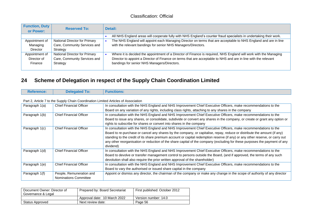| <b>Function, Duty</b><br>or Power: | <b>Reserved To:</b>           | Detail:                                                                                                            |
|------------------------------------|-------------------------------|--------------------------------------------------------------------------------------------------------------------|
|                                    |                               | All NHS England areas will cooperate fully with NHS England's counter fraud specialists in undertaking their work. |
| Appointment of                     | National Director for Primary | The NHS England will appoint each Managing Director on terms that are acceptable to NHS England and are in line    |
| Managing                           | Care, Community Services and  | with the relevant bandings for senior NHS Managers/Directors.                                                      |
| <b>Director</b>                    | Strategy                      |                                                                                                                    |
| Appointment of                     | National Director for Primary | Where it is decided the appointment of a Director of Finance is required, NHS England will work with the Managing  |
| Director of                        | Care, Community Services and  | Director to appoint a Director of Finance on terms that are acceptable to NHS and are in line with the relevant    |
| Finance                            | Strategy                      | bandings for senior NHS Managers/Directors.                                                                        |
|                                    |                               |                                                                                                                    |

### **24 Scheme of Delegation in respect of the Supply Chain Coordination Limited**

|  | <b>Reference:</b> | <b>Delegated To:</b> | <b>Functions:</b> |
|--|-------------------|----------------------|-------------------|
|--|-------------------|----------------------|-------------------|

#### Part 2, Article 7 to the Supply Chain Coordination Limited Articles of Association

| Paragraph 1(a) | <b>Chief Financial Officer</b> | In consultation with the NHS England and NHS Improvement Chief Executive Officers, make recommendations to the                |
|----------------|--------------------------------|-------------------------------------------------------------------------------------------------------------------------------|
|                |                                | Board on any variation of any rights, including class rights, attaching to any shares in the company                          |
| Paragraph 1(b) | <b>Chief Financial Officer</b> | In consultation with the NHS England and NHS Improvement Chief Executive Officers, make recommendations to the                |
|                |                                | Board to issue any shares, or consolidate, subdivide or convert any shares in the company, or create or grant any option or   |
|                |                                | rights to subscribe for shares or convert into shares in the company                                                          |
| Paragraph 1(c) | <b>Chief Financial Officer</b> | In consultation with the NHS England and NHS Improvement Chief Executive Officers, make recommendations to the                |
|                |                                | Board to re-purchase or cancel any shares by the company, or capitalise, repay, reduce or distribute the amount (if any)      |
|                |                                | standing to the credit of its share premium account or capital redemption reserve (if any) or any other reserve, or carry out |
|                |                                | any other reorganisation or reduction of the share capital of the company (excluding for these purposes the payment of any    |
|                |                                | dividend)                                                                                                                     |
| Paragraph 1(d) | <b>Chief Financial Officer</b> | In consultation with the NHS England and NHS Improvement Chief Executive Officers, make recommendations to the                |
|                |                                | Board to devolve or transfer management control to persons outside the Board, (and if approved, the terms of any such         |
|                |                                | devolution shall also require the prior written approval of the shareholder)                                                  |
| Paragraph 1(e) | <b>Chief Financial Officer</b> | In consultation with the NHS England and NHS Improvement Chief Executive Officers, make recommendations to the                |
|                |                                | Board to vary the authorised or issued share capital in the company                                                           |
| Paragraph 1(f) | People, Remuneration and       | Appoint or dismiss any director, the chairman of the company or make any change in the scope of authority of any director     |
|                | Nominations Committee          |                                                                                                                               |

<span id="page-55-0"></span>

| Document Owner: Director of<br>Governance & Legal | Prepared by: Board Secretariat | First published: October 2012 |
|---------------------------------------------------|--------------------------------|-------------------------------|
|                                                   | Approval date: 10 March 2022   | Version number: 14.0          |
| Status Approved                                   | Next review date:              | Page 56                       |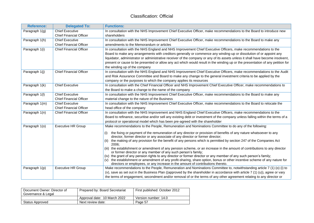| <b>Reference:</b> | <b>Delegated To:</b>           | <b>Functions:</b>                                                                                                                                                                          |
|-------------------|--------------------------------|--------------------------------------------------------------------------------------------------------------------------------------------------------------------------------------------|
| Paragraph 1(g)    | <b>Chief Executive</b>         | In consultation with the NHS Improvement Chief Executive Officer, make recommendations to the Board to introduce new                                                                       |
|                   | <b>Chief Financial Officer</b> | shareholders                                                                                                                                                                               |
| Paragraph 1(h)    | <b>Chief Executive</b>         | In consultation with the NHS Improvement Chief Executive Officer, make recommendations to the Board to make any                                                                            |
|                   | <b>Chief Financial Officer</b> | amendments to the Memorandum or articles                                                                                                                                                   |
| Paragraph 1(i)    | <b>Chief Financial Officer</b> | In consultation with the NHS England and NHS Improvement Chief Executive Officers, make recommendations to the                                                                             |
|                   |                                | Board to make any arrangements with creditors generally or commence any winding-up or dissolution of or appoint any                                                                        |
|                   |                                | liquidator, administrator or administrative receiver of the company or any of its assets unless it shall have become insolvent,                                                            |
|                   |                                | present or cause to be presented or allow any act which would result in the winding up or the presentation of any petition for                                                             |
|                   |                                | the winding up of the company                                                                                                                                                              |
| Paragraph 1(j)    | <b>Chief Financial Officer</b> | In consultation with the NHS England and NHS Improvement Chief Executive Officers, make recommendations to the Audit                                                                       |
|                   |                                | and Risk Assurance Committee and Board to make any change to the general investment criteria to be applied by the                                                                          |
|                   |                                | company or the purposes to which the company applies its resources                                                                                                                         |
| Paragraph 1(k)    | <b>Chief Executive</b>         | In consultation with the Chief Financial Officer and NHS Improvement Chief Executive Officer, make recommendations to                                                                      |
|                   |                                | the Board to make a change to the name of the company                                                                                                                                      |
| Paragraph 1(I)    | <b>Chief Executive</b>         | In consultation with the NHS Improvement Chief Executive Officer, make recommendations to the Board to make any                                                                            |
|                   | <b>Chief Financial Officer</b> | material change to the nature of the Business                                                                                                                                              |
| Paragraph 1(m)    | <b>Chief Executive</b>         | In consultation with the NHS Improvement Chief Executive Officer, make recommendations to the Board to relocate the                                                                        |
|                   | <b>Chief Financial Officer</b> | head office of the company                                                                                                                                                                 |
| Paragraph 1(n)    | <b>Chief Financial Officer</b> | In consultation with the NHS Improvement and NHS England Chief Executive Officers, make recommendations to the                                                                             |
|                   |                                | Board to refinance, securitise and/or sell any existing debt or investment of the company unless falling within the terms of a                                                             |
|                   |                                | protocol or operational model which has been pre-agreed with the shareholder                                                                                                               |
| Paragraph 1(o)    | <b>Executive HR Group</b>      | Make recommendations to the People, Remuneration and Nominations Committee to do any of the following:                                                                                     |
|                   |                                | the fixing or payment of the remuneration of any director or provision of benefits of any nature whatsoever to any<br>(i)                                                                  |
|                   |                                | director, former director or any associate of any director or former director;                                                                                                             |
|                   |                                | the making of any provision for the benefit of any persons which is permitted by section 247 of the Companies Act<br>(ii)<br>2006;                                                         |
|                   |                                | (iii) the establishment or amendment of any pension scheme, or an increase in the amount of contributions to any director<br>or former director or any member of any such person's family; |
|                   |                                | (iv) the grant of any pension rights to any director or former director or any member of any such person's family;                                                                         |
|                   |                                | the establishment or amendment of any profit-sharing, share option, bonus or other incentive scheme of any nature for                                                                      |
|                   |                                | directors or employees, or any increase in the amount of contributions thereto.                                                                                                            |
| Paragraph 1(p)    | <b>Executive HR Group</b>      | Make recommendations to the People, Remuneration and Nominations Committee to, notwithstanding article 7 (1) (o) (i) to                                                                    |
|                   |                                | (v), save as set out in the Business Plan ((approved by the shareholder in accordance with article 7 (1) (u)), agree or vary                                                               |
|                   |                                | the terms of engagement, secondment and/or removal of or the terms of any other agreement relating to any director or                                                                      |

| Document Owner: Director of<br>Governance & Legal | Prepared by: Board Secretariat | First published: October 2012 |
|---------------------------------------------------|--------------------------------|-------------------------------|
|                                                   | Approval date: 10 March 2022   | Version number: 14.0          |
| Status Approved                                   | Next review date:              | Page 57                       |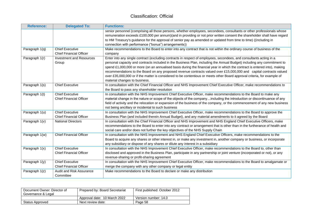| <b>Reference:</b> | <b>Delegated To:</b>                                     | <b>Functions:</b>                                                                                                                                                                                                                                                                                                                                                                                                                                                                                                                                                                                                                                               |
|-------------------|----------------------------------------------------------|-----------------------------------------------------------------------------------------------------------------------------------------------------------------------------------------------------------------------------------------------------------------------------------------------------------------------------------------------------------------------------------------------------------------------------------------------------------------------------------------------------------------------------------------------------------------------------------------------------------------------------------------------------------------|
|                   |                                                          | senior personnel (comprising all those persons, whether employees, secondees, consultants or other professionals whose<br>remuneration exceeds £100,000 per annum)(and in providing or not prior written consent the shareholder shall have regard                                                                                                                                                                                                                                                                                                                                                                                                              |
|                   |                                                          | to HM Treasury's guidance for the approval of senior pay as amended or updated from time to time) ((including in<br>connection with performance ("bonus") arrangements))                                                                                                                                                                                                                                                                                                                                                                                                                                                                                        |
| Paragraph 1(q)    | <b>Chief Executive</b><br><b>Chief Financial Officer</b> | Make recommendations to the Board to enter into any contract that is not within the ordinary course of business of the<br>company                                                                                                                                                                                                                                                                                                                                                                                                                                                                                                                               |
| Paragraph 1(r)    | <b>Investment and Resources</b><br>Group                 | Enter into any single contract (excluding contracts in respect of employees, secondees, and consultants acting in a<br>personal capacity and contracts included in the Business Plan, including the Annual Budget) including any commitment to<br>spend £1,000,000 or more (on an annualised basis during the financial year in which the contract is entered into), making<br>recommendations to the Board on any proposed revenue contracts valued over £15,000,000 and capital contracts valued<br>over £35,000,000 or if the matter is considered to be contentious or meets other Board approval criteria, for example of<br>material changes to business. |
| Paragraph 1(s)    | <b>Chief Executive</b>                                   | In consultation with the Chief Financial Officer and NHS Improvement Chief Executive Officer, make recommendations to<br>the Board to pass any shareholder resolution                                                                                                                                                                                                                                                                                                                                                                                                                                                                                           |
| Paragraph 1(t)    | <b>Chief Executive</b><br><b>Chief Financial Officer</b> | In consultation with the NHS Improvement Chief Executive Officer, make recommendations to the Board to make any<br>material change in the nature or scope of the objects of the companyincluding the introduction or discontinuance of any<br>field of activity and the relocation or expansion of the business of the company, or the commencement of any new business<br>not being ancillary or incidental to such business                                                                                                                                                                                                                                   |
| Paragraph 1(u)    | <b>Chief Executive</b><br><b>Chief Financial Officer</b> | In consultation with the NHS Improvement Chief Executive Officer, make recommendations to the Board to approve the<br>Business Plan (and included therein Annual Budget), and any material amendments to it agreed by the Board                                                                                                                                                                                                                                                                                                                                                                                                                                 |
| Paragraph 1(v)    | <b>National Directors</b>                                | In consultation with the Chief Financial Officer and NHS Improvement and NHS England Chief Executive Officers, make<br>recommendations to the Board to enter into any contract or arrangement that is other than in the furtherance of health and<br>social care and/or does not further the key objectives of the NHS Supply Chain                                                                                                                                                                                                                                                                                                                             |
| Paragraph 1(w)    | <b>Chief Financial Officer</b>                           | In consultation with the NHS Improvement and NHS England Chief Executive Officers, make recommendations to the<br>Board to acquire any shares or other interest in, or make any investment in, another company or business, or incorporate<br>any subsidiary or dispose of any shares or dilute any interest in a subsidiary                                                                                                                                                                                                                                                                                                                                    |
| Paragraph 1(x)    | <b>Chief Executive</b><br><b>Chief Financial Officer</b> | In consultation with the NHS Improvement Chief Executive Officer, make recommendations to the Board to, other than<br>disclosed and approved in the Business Plan, participate in any partnership or joint venture (incorporated or not), or any<br>revenue-sharing or profit-sharing agreement                                                                                                                                                                                                                                                                                                                                                                 |
| Paragraph 1(y)    | <b>Chief Executive</b><br><b>Chief Financial Officer</b> | In consultation with the NHS Improvement Chief Executive Officer, make recommendations to the Board to amalgamate or<br>merge the company with any other company or legal entity                                                                                                                                                                                                                                                                                                                                                                                                                                                                                |
| Paragraph 1(z)    | Audit and Risk Assurance<br>Committee                    | Make recommendations to the Board to declare or make any distribution                                                                                                                                                                                                                                                                                                                                                                                                                                                                                                                                                                                           |

| Document Owner: Director of<br>Governance & Legal | Prepared by: Board Secretariat | First published: October 2012 |
|---------------------------------------------------|--------------------------------|-------------------------------|
|                                                   | Approval date: 10 March 2022   | Version number: 14.0          |
| Status Approved                                   | Next review date:              | Page 58                       |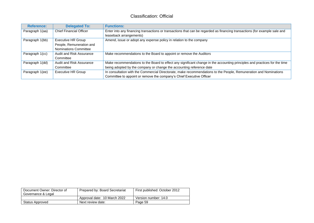| <b>Reference:</b> | <b>Delegated To:</b>           | <b>Functions:</b>                                                                                                          |
|-------------------|--------------------------------|----------------------------------------------------------------------------------------------------------------------------|
| Paragraph 1(aa)   | <b>Chief Financial Officer</b> | Enter into any financing transactions or transactions that can be regarded as financing transactions (for example sale and |
|                   |                                | leaseback arrangements)                                                                                                    |
| Paragraph 1(bb)   | <b>Executive HR Group</b>      | Amend, issue or adopt any expense policy in relation to the company                                                        |
|                   | People, Remuneration and       |                                                                                                                            |
|                   | Nominations Committee          |                                                                                                                            |
| Paragraph 1(cc)   | Audit and Risk Assurance       | Make recommendations to the Board to appoint or remove the Auditors                                                        |
|                   | Committee                      |                                                                                                                            |
| Paragraph 1(dd)   | Audit and Risk Assurance       | Make recommendations to the Board to effect any significant change in the accounting principles and practices for the time |
|                   | Committee                      | being adopted by the company or change the accounting reference date                                                       |
| Paragraph 1(ee)   | <b>Executive HR Group</b>      | In consultation with the Commercial Directorate, make recommendations to the People, Remuneration and Nominations          |
|                   |                                | Committee to appoint or remove the company's Chief Executive Officer                                                       |

| Document Owner: Director of<br>Governance & Legal | Prepared by: Board Secretariat | First published: October 2012 |
|---------------------------------------------------|--------------------------------|-------------------------------|
|                                                   | Approval date: 10 March 2022   | Version number: 14.0          |
| Status Approved                                   | Next review date:              | Page 59                       |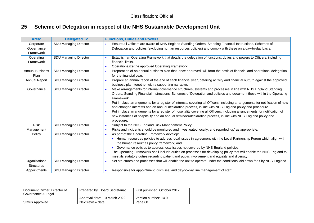### **25 Scheme of Delegation in respect of the NHS Sustainable Development Unit**

| Area:                               | <b>Delegated To:</b>         | <b>Functions, Duties and Powers:</b>                                                                                                     |  |
|-------------------------------------|------------------------------|------------------------------------------------------------------------------------------------------------------------------------------|--|
| Corporate                           | <b>SDU Managing Director</b> | Ensure all Officers are aware of NHS England Standing Orders, Standing Financial Instructions, Schemes of                                |  |
| Governance                          |                              | Delegation and policies (excluding human resources policies) and comply with these on a day-to-day basis.                                |  |
| Framework                           |                              |                                                                                                                                          |  |
| Operating                           | <b>SDU Managing Director</b> | Establish an Operating Framework that details the delegation of functions, duties and powers to Officers, including                      |  |
| Framework                           |                              | financial limits.                                                                                                                        |  |
|                                     |                              | Operationalize the approved Operating Framework.<br>$\bullet$                                                                            |  |
| <b>Annual Business</b>              | SDU Managing Director        | Preparation of an annual business plan that, once approved, will form the basis of financial and operational delegation<br>$\bullet$     |  |
| Plan                                |                              | for the financial year.                                                                                                                  |  |
| Annual Report                       | SDU Managing Director        | Prepare an annual report at the end of each financial year, detailing activity and financial outturn against the approved<br>$\bullet$   |  |
|                                     |                              | business plan, together with a supporting narrative.                                                                                     |  |
| Governance                          | <b>SDU Managing Director</b> | Make arrangements for internal governance structures, systems and processes in line with NHS England Standing<br>$\bullet$               |  |
|                                     |                              | Orders, Standing Financial Instructions, Schemes of Delegation and policies and document these within the Operating                      |  |
|                                     |                              | Framework.                                                                                                                               |  |
|                                     |                              | Put in place arrangements for a register of interests covering all Officers, including arrangements for notification of new<br>$\bullet$ |  |
|                                     |                              | and changed interests and an annual declaration process, in line with NHS England policy and procedure.                                  |  |
|                                     |                              | Put in place arrangements for a register of hospitality covering all Officers, including arrangements for notification of<br>$\bullet$   |  |
|                                     |                              | new instances of hospitality and an annual reminder/declaration process, in line with NHS England policy and                             |  |
|                                     |                              | procedure.                                                                                                                               |  |
| Risk                                | <b>SDU Managing Director</b> | Subject to the NHS England Risk Management Policy.<br>$\bullet$                                                                          |  |
| Management                          |                              | Risks and incidents should be monitored and investigated locally, and reported 'up' as appropriate.<br>$\bullet$                         |  |
| Policy                              | <b>SDU Managing Director</b> | As part of the Operating Framework develop:<br>$\bullet$                                                                                 |  |
|                                     |                              | Human resources policies to address local issues in agreement with the Local Partnership Forum which align with                          |  |
|                                     |                              | the human resources policy framework; and,                                                                                               |  |
|                                     |                              | Governance policies to address local issues not covered by NHS England policies.                                                         |  |
|                                     |                              | The Operating Framework shall include duties on processes for developing policy that will enable the NHS England to<br>$\bullet$         |  |
|                                     |                              | meet its statutory duties regarding patient and public involvement and equality and diversity.                                           |  |
| Organisational<br><b>Structures</b> | <b>SDU Managing Director</b> | Set structures and processes that will enable the unit to operate under the conditions laid down for it by NHS England.                  |  |
| Appointments                        | <b>SDU Managing Director</b> | Responsible for appointment, dismissal and day-to-day line management of staff.<br>$\bullet$                                             |  |

<span id="page-59-0"></span>

| Document Owner: Director of<br>Governance & Legal | Prepared by: Board Secretariat | First published: October 2012 |
|---------------------------------------------------|--------------------------------|-------------------------------|
|                                                   | Approval date: 10 March 2022   | Version number: 14.0          |
| <b>Status Approved</b>                            | Next review date:              | Page 60                       |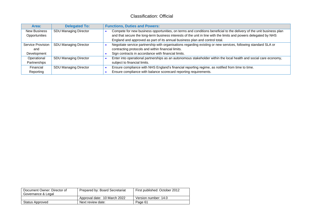| Area:               | <b>Delegated To:</b>         | <b>Functions, Duties and Powers:</b>                                                                                 |
|---------------------|------------------------------|----------------------------------------------------------------------------------------------------------------------|
| <b>New Business</b> | SDU Managing Director        | Compete for new business opportunities, on terms and conditions beneficial to the delivery of the unit business plan |
| Opportunities       |                              | and that secure the long-term business interests of the unit in line with the limits and powers delegated by NHS     |
|                     |                              | England and approved as part of its annual business plan and control total.                                          |
| Service Provision   | <b>SDU Managing Director</b> | Negotiate service partnership with organisations regarding existing or new services, following standard SLA or       |
| and                 |                              | contracting protocols and within financial limits.                                                                   |
| Development         |                              | Sign contracts in accordance with financial limits.                                                                  |
| Operational         | <b>SDU Managing Director</b> | Enter into operational partnerships as an autonomous stakeholder within the local health and social care economy,    |
| Partnerships        |                              | subject to financial limits.                                                                                         |
| Financial           | SDU Managing Director        | Ensure compliance with NHS England's financial reporting regime, as notified from time to time.                      |
| Reporting           |                              | Ensure compliance with balance scorecard reporting requirements.                                                     |

| Document Owner: Director of<br>Governance & Legal | Prepared by: Board Secretariat | First published: October 2012 |
|---------------------------------------------------|--------------------------------|-------------------------------|
|                                                   | Approval date: 10 March 2022   | Version number: 14.0          |
| Status Approved                                   | Next review date:              | Page 61                       |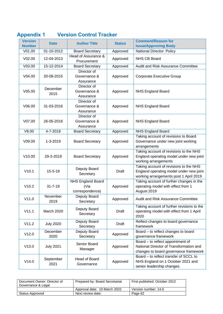| <b>Version</b> | <b>Date</b>       | <b>Author Title</b>                                 | <b>Status</b> | <b>Comment/Reason for</b>                                                                                                   |
|----------------|-------------------|-----------------------------------------------------|---------------|-----------------------------------------------------------------------------------------------------------------------------|
| <b>Number</b>  |                   |                                                     |               | <b>Issue/Approving Body</b>                                                                                                 |
| V01.00         | 01-10-2012        | <b>Board Secretary</b>                              | Approved      | National Director: Policy                                                                                                   |
| V02.00         | 12-04-2013        | Head of Assurance &<br>Procurement                  | Approved      | NHS CB Board                                                                                                                |
| V03.00         | 15-12-2014        | <b>Board Secretary</b>                              | Approved      | Audit and Risk Assurance Committee                                                                                          |
| V04.00         | 20-08-2015        | Director of<br>Governance &<br>Assurance            | Approved      | <b>Corporate Executive Group</b>                                                                                            |
| V05.00         | December<br>2015  | Director of<br>Governance &<br>Assurance            | Approved      | <b>NHS England Board</b>                                                                                                    |
| V06.00         | 31-03-2016        | Director of<br>Governance &<br>Assurance            | Approved      | <b>NHS England Board</b>                                                                                                    |
| V07.00         | 26-05-2016        | Director of<br>Governance &<br>Assurance            | Approved      | <b>NHS England Board</b>                                                                                                    |
| V8.00          | 4-7-2018          | <b>Board Secretary</b>                              | Approved      | <b>NHS England Board</b>                                                                                                    |
| V09.00         | 1-3-2019          | <b>Board Secretary</b>                              | Approved      | Taking account of revisions to Board<br>Governance under new joint working<br>arrangements                                  |
| V10.00         | 29-3-2019         | <b>Board Secretary</b>                              | Approved      | Taking account of revisions to the NHS<br>England operating model under new joint<br>working arrangements                   |
| V10.1          | $15 - 5 - 19$     | Deputy Board<br>Secretary                           | <b>Draft</b>  | Taking account of revisions to the NHS<br>England operating model under new joint<br>working arrangements post 1 April 2019 |
| V10.2          | $31 - 7 - 19$     | <b>NHS England Board</b><br>(Via<br>correspondence) | Approved      | Taking account of further changes in the<br>operating model with effect from 1<br>August 2019                               |
| V11.0          | November<br>2019  | Deputy Board<br>Secretary                           | Approved      | Audit and Risk Assurance Committee                                                                                          |
| V11.1          | March 2020        | Deputy Board<br>Secretary                           | <b>Draft</b>  | Taking account of further revisions to the<br>operating model with effect from 1 April<br>2020                              |
| V11.2          | <b>July 2020</b>  | Deputy Board<br>Secretary                           | <b>Draft</b>  | Reflect changes to board governance<br>framework                                                                            |
| V12.0          | December<br>2020  | Deputy Board<br>Secretary                           | Approved      | Board - to reflect changes to board<br>governance framework                                                                 |
| V13.0          | <b>July 2021</b>  | Senior Board<br>Manager                             | Approved      | Board - to reflect appointment of<br>National Director of Transformation and<br>changes to board governance framework       |
| V14.0          | September<br>2021 | Head of Board<br>Governance                         | Approved      | Board - to reflect transfer of SCCL to<br>NHS England on 1 October 2021 and<br>senior leadership changes.                   |

### **Appendix 1 Version Control Tracker**

| Document Owner: Director of<br>Governance & Legal | Prepared by: Board Secretariat | First published: October 2012 |
|---------------------------------------------------|--------------------------------|-------------------------------|
|                                                   | Approval date: 10 March 2022   | Version number: 14.0          |
| Status Approved                                   | Next review date:              | Page 62                       |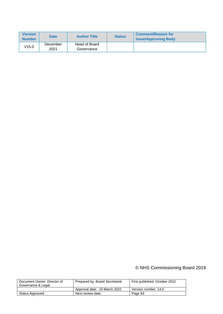| <b>Version</b><br><b>Number</b> | <b>Date</b>      | <b>Author Title</b>         | <b>Status</b> | <b>Comment/Reason for</b><br><b>Issue/Approving Body</b> |
|---------------------------------|------------------|-----------------------------|---------------|----------------------------------------------------------|
| V15.0                           | December<br>2021 | Head of Board<br>Governance |               |                                                          |

### © NHS Commissioning Board 2019

| Document Owner: Director of<br>Governance & Legal | Prepared by: Board Secretariat | First published: October 2012 |
|---------------------------------------------------|--------------------------------|-------------------------------|
|                                                   | Approval date: 10 March 2022   | Version number: 14.0          |
| Status Approved                                   | Next review date:              | Page 63                       |